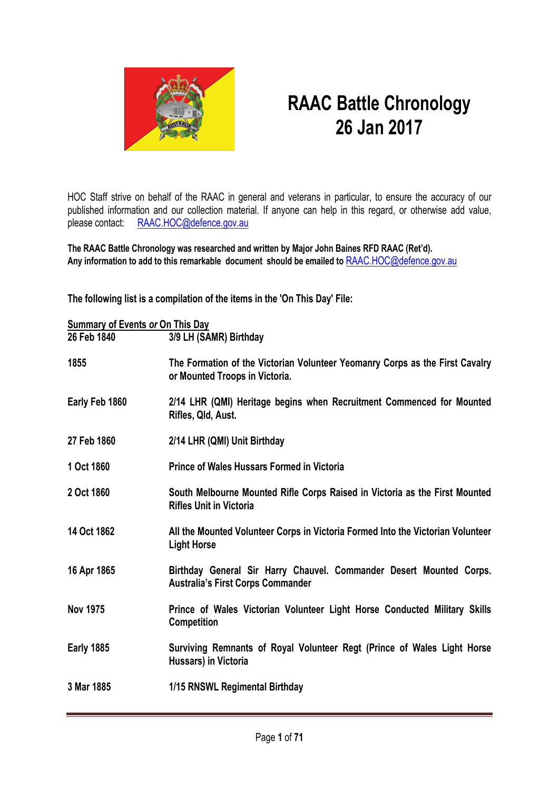

## **RAAC Battle Chronology 26 Jan 2017**

HOC Staff strive on behalf of the RAAC in general and veterans in particular, to ensure the accuracy of our published information and our collection material. If anyone can help in this regard, or otherwise add value, please contact: [RAAC.HOC@defence.gov.au](mailto:RAAC.HOC@defence.gov.au)

**The RAAC Battle Chronology was researched and written by Major John Baines RFD RAAC (Ret'd). Any information to add to this remarkable document should be emailed to** [RAAC.HOC@defence.gov.au](mailto:RAAC.HOC@defence.gov.au)

**The following list is a compilation of the items in the 'On This Day' File:**

| <b>Summary of Events or On This Day</b> |                                                                                                                 |  |
|-----------------------------------------|-----------------------------------------------------------------------------------------------------------------|--|
| 26 Feb 1840                             | 3/9 LH (SAMR) Birthday                                                                                          |  |
| 1855                                    | The Formation of the Victorian Volunteer Yeomanry Corps as the First Cavalry<br>or Mounted Troops in Victoria.  |  |
| Early Feb 1860                          | 2/14 LHR (QMI) Heritage begins when Recruitment Commenced for Mounted<br>Rifles, Qld, Aust.                     |  |
| 27 Feb 1860                             | 2/14 LHR (QMI) Unit Birthday                                                                                    |  |
| 1 Oct 1860                              | <b>Prince of Wales Hussars Formed in Victoria</b>                                                               |  |
| 2 Oct 1860                              | South Melbourne Mounted Rifle Corps Raised in Victoria as the First Mounted<br><b>Rifles Unit in Victoria</b>   |  |
| 14 Oct 1862                             | All the Mounted Volunteer Corps in Victoria Formed Into the Victorian Volunteer<br><b>Light Horse</b>           |  |
| 16 Apr 1865                             | Birthday General Sir Harry Chauvel. Commander Desert Mounted Corps.<br><b>Australia's First Corps Commander</b> |  |
| <b>Nov 1975</b>                         | Prince of Wales Victorian Volunteer Light Horse Conducted Military Skills<br>Competition                        |  |
| <b>Early 1885</b>                       | Surviving Remnants of Royal Volunteer Regt (Prince of Wales Light Horse<br>Hussars) in Victoria                 |  |
| 3 Mar 1885                              | 1/15 RNSWL Regimental Birthday                                                                                  |  |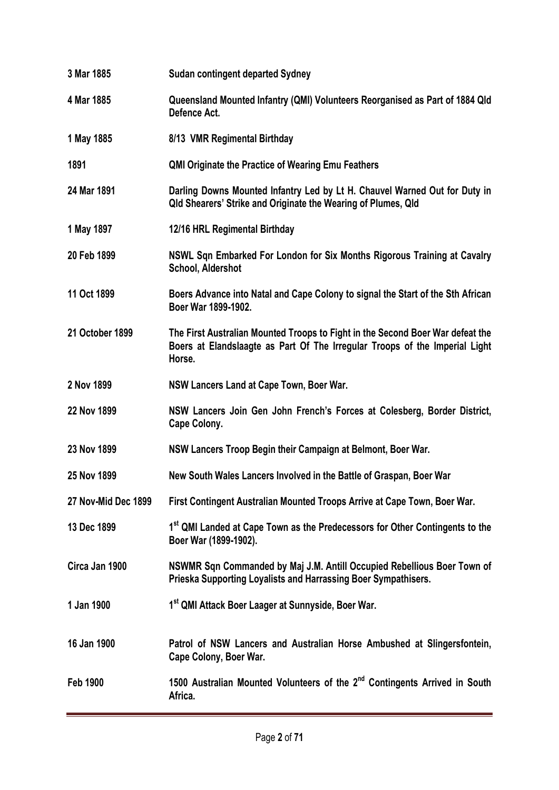| 3 Mar 1885          | <b>Sudan contingent departed Sydney</b>                                                                                                                                 |
|---------------------|-------------------------------------------------------------------------------------------------------------------------------------------------------------------------|
| 4 Mar 1885          | Queensland Mounted Infantry (QMI) Volunteers Reorganised as Part of 1884 Qld<br>Defence Act.                                                                            |
| 1 May 1885          | 8/13 VMR Regimental Birthday                                                                                                                                            |
| 1891                | <b>QMI Originate the Practice of Wearing Emu Feathers</b>                                                                                                               |
| 24 Mar 1891         | Darling Downs Mounted Infantry Led by Lt H. Chauvel Warned Out for Duty in<br>Qld Shearers' Strike and Originate the Wearing of Plumes, Qld                             |
| 1 May 1897          | 12/16 HRL Regimental Birthday                                                                                                                                           |
| 20 Feb 1899         | NSWL Sqn Embarked For London for Six Months Rigorous Training at Cavalry<br>School, Aldershot                                                                           |
| 11 Oct 1899         | Boers Advance into Natal and Cape Colony to signal the Start of the Sth African<br>Boer War 1899-1902.                                                                  |
| 21 October 1899     | The First Australian Mounted Troops to Fight in the Second Boer War defeat the<br>Boers at Elandslaagte as Part Of The Irregular Troops of the Imperial Light<br>Horse. |
| 2 Nov 1899          | NSW Lancers Land at Cape Town, Boer War.                                                                                                                                |
| 22 Nov 1899         | NSW Lancers Join Gen John French's Forces at Colesberg, Border District,<br>Cape Colony.                                                                                |
| 23 Nov 1899         | NSW Lancers Troop Begin their Campaign at Belmont, Boer War.                                                                                                            |
| 25 Nov 1899         | New South Wales Lancers Involved in the Battle of Graspan, Boer War                                                                                                     |
| 27 Nov-Mid Dec 1899 | First Contingent Australian Mounted Troops Arrive at Cape Town, Boer War.                                                                                               |
| 13 Dec 1899         | 1st QMI Landed at Cape Town as the Predecessors for Other Contingents to the<br>Boer War (1899-1902).                                                                   |
| Circa Jan 1900      | NSWMR Sqn Commanded by Maj J.M. Antill Occupied Rebellious Boer Town of<br>Prieska Supporting Loyalists and Harrassing Boer Sympathisers.                               |
| 1 Jan 1900          | 1st QMI Attack Boer Laager at Sunnyside, Boer War.                                                                                                                      |
| 16 Jan 1900         | Patrol of NSW Lancers and Australian Horse Ambushed at Slingersfontein,<br>Cape Colony, Boer War.                                                                       |
| <b>Feb 1900</b>     | 1500 Australian Mounted Volunteers of the 2 <sup>nd</sup> Contingents Arrived in South<br>Africa.                                                                       |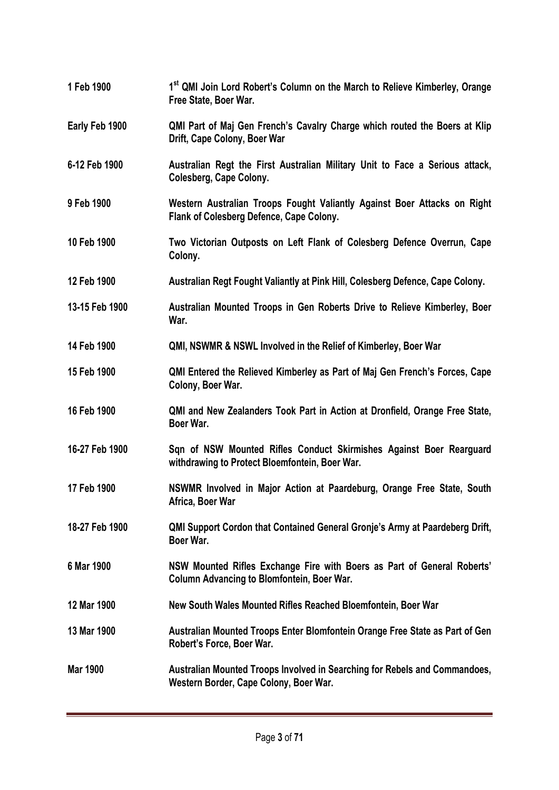| 1 Feb 1900      | 1 <sup>st</sup> QMI Join Lord Robert's Column on the March to Relieve Kimberley, Orange<br>Free State, Boer War.             |
|-----------------|------------------------------------------------------------------------------------------------------------------------------|
| Early Feb 1900  | QMI Part of Maj Gen French's Cavalry Charge which routed the Boers at Klip<br>Drift, Cape Colony, Boer War                   |
| 6-12 Feb 1900   | Australian Regt the First Australian Military Unit to Face a Serious attack,<br>Colesberg, Cape Colony.                      |
| 9 Feb 1900      | Western Australian Troops Fought Valiantly Against Boer Attacks on Right<br>Flank of Colesberg Defence, Cape Colony.         |
| 10 Feb 1900     | Two Victorian Outposts on Left Flank of Colesberg Defence Overrun, Cape<br>Colony.                                           |
| 12 Feb 1900     | Australian Regt Fought Valiantly at Pink Hill, Colesberg Defence, Cape Colony.                                               |
| 13-15 Feb 1900  | Australian Mounted Troops in Gen Roberts Drive to Relieve Kimberley, Boer<br>War.                                            |
| 14 Feb 1900     | QMI, NSWMR & NSWL Involved in the Relief of Kimberley, Boer War                                                              |
| 15 Feb 1900     | QMI Entered the Relieved Kimberley as Part of Maj Gen French's Forces, Cape<br>Colony, Boer War.                             |
| 16 Feb 1900     | QMI and New Zealanders Took Part in Action at Dronfield, Orange Free State,<br>Boer War.                                     |
| 16-27 Feb 1900  | Sqn of NSW Mounted Rifles Conduct Skirmishes Against Boer Rearguard<br>withdrawing to Protect Bloemfontein, Boer War.        |
| 17 Feb 1900     | NSWMR Involved in Major Action at Paardeburg, Orange Free State, South<br>Africa, Boer War                                   |
| 18-27 Feb 1900  | <b>QMI Support Cordon that Contained General Gronje's Army at Paardeberg Drift,</b><br>Boer War.                             |
| 6 Mar 1900      | NSW Mounted Rifles Exchange Fire with Boers as Part of General Roberts'<br><b>Column Advancing to Blomfontein, Boer War.</b> |
| 12 Mar 1900     | New South Wales Mounted Rifles Reached Bloemfontein, Boer War                                                                |
| 13 Mar 1900     | Australian Mounted Troops Enter Blomfontein Orange Free State as Part of Gen<br>Robert's Force, Boer War.                    |
| <b>Mar 1900</b> | Australian Mounted Troops Involved in Searching for Rebels and Commandoes,<br>Western Border, Cape Colony, Boer War.         |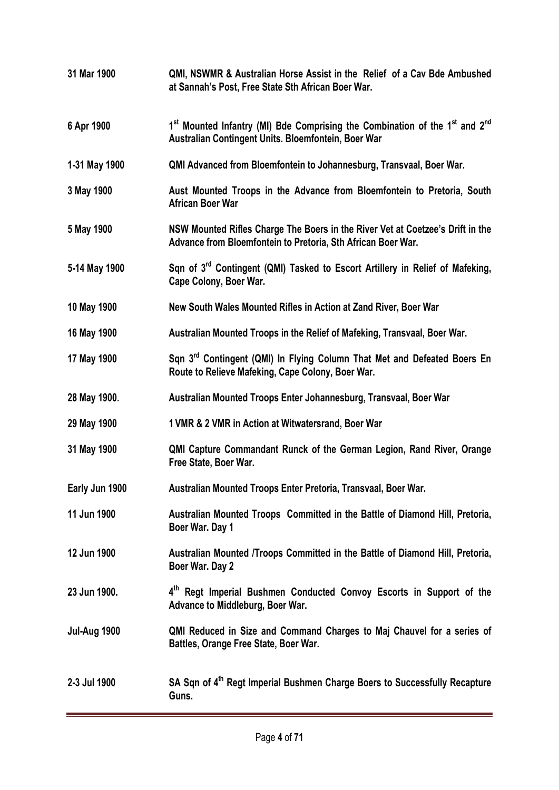| 31 Mar 1900         | QMI, NSWMR & Australian Horse Assist in the Relief of a Cav Bde Ambushed<br>at Sannah's Post, Free State Sth African Boer War.                                         |
|---------------------|------------------------------------------------------------------------------------------------------------------------------------------------------------------------|
| 6 Apr 1900          | 1 <sup>st</sup> Mounted Infantry (MI) Bde Comprising the Combination of the 1 <sup>st</sup> and 2 <sup>nd</sup><br>Australian Contingent Units. Bloemfontein, Boer War |
| 1-31 May 1900       | QMI Advanced from Bloemfontein to Johannesburg, Transvaal, Boer War.                                                                                                   |
| 3 May 1900          | Aust Mounted Troops in the Advance from Bloemfontein to Pretoria, South<br><b>African Boer War</b>                                                                     |
| 5 May 1900          | NSW Mounted Rifles Charge The Boers in the River Vet at Coetzee's Drift in the<br>Advance from Bloemfontein to Pretoria, Sth African Boer War.                         |
| 5-14 May 1900       | Sqn of 3 <sup>rd</sup> Contingent (QMI) Tasked to Escort Artillery in Relief of Mafeking,<br>Cape Colony, Boer War.                                                    |
| 10 May 1900         | New South Wales Mounted Rifles in Action at Zand River, Boer War                                                                                                       |
| 16 May 1900         | Australian Mounted Troops in the Relief of Mafeking, Transvaal, Boer War.                                                                                              |
| 17 May 1900         | Sqn 3rd Contingent (QMI) In Flying Column That Met and Defeated Boers En<br>Route to Relieve Mafeking, Cape Colony, Boer War.                                          |
| 28 May 1900.        | Australian Mounted Troops Enter Johannesburg, Transvaal, Boer War                                                                                                      |
| 29 May 1900         | 1 VMR & 2 VMR in Action at Witwatersrand, Boer War                                                                                                                     |
| 31 May 1900         | QMI Capture Commandant Runck of the German Legion, Rand River, Orange<br>Free State, Boer War.                                                                         |
| Early Jun 1900      | Australian Mounted Troops Enter Pretoria, Transvaal, Boer War.                                                                                                         |
| 11 Jun 1900         | Australian Mounted Troops Committed in the Battle of Diamond Hill, Pretoria,<br>Boer War. Day 1                                                                        |
| 12 Jun 1900         | Australian Mounted /Troops Committed in the Battle of Diamond Hill, Pretoria,<br>Boer War. Day 2                                                                       |
| 23 Jun 1900.        | 4 <sup>th</sup> Regt Imperial Bushmen Conducted Convoy Escorts in Support of the<br>Advance to Middleburg, Boer War.                                                   |
| <b>Jul-Aug 1900</b> | QMI Reduced in Size and Command Charges to Maj Chauvel for a series of<br>Battles, Orange Free State, Boer War.                                                        |
| 2-3 Jul 1900        | SA Sqn of 4 <sup>th</sup> Regt Imperial Bushmen Charge Boers to Successfully Recapture<br>Guns.                                                                        |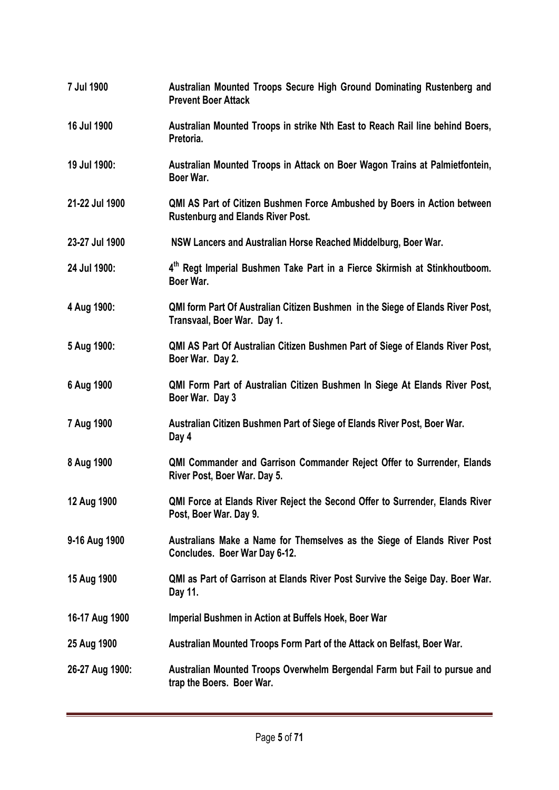| 7 Jul 1900      | Australian Mounted Troops Secure High Ground Dominating Rustenberg and<br><b>Prevent Boer Attack</b>                 |
|-----------------|----------------------------------------------------------------------------------------------------------------------|
| 16 Jul 1900     | Australian Mounted Troops in strike Nth East to Reach Rail line behind Boers,<br>Pretoria.                           |
| 19 Jul 1900:    | Australian Mounted Troops in Attack on Boer Wagon Trains at Palmietfontein,<br>Boer War.                             |
| 21-22 Jul 1900  | QMI AS Part of Citizen Bushmen Force Ambushed by Boers in Action between<br><b>Rustenburg and Elands River Post.</b> |
| 23-27 Jul 1900  | NSW Lancers and Australian Horse Reached Middelburg, Boer War.                                                       |
| 24 Jul 1900:    | 4 <sup>th</sup> Regt Imperial Bushmen Take Part in a Fierce Skirmish at Stinkhoutboom.<br>Boer War.                  |
| 4 Aug 1900:     | <b>QMI form Part Of Australian Citizen Bushmen in the Siege of Elands River Post,</b><br>Transvaal, Boer War. Day 1. |
| 5 Aug 1900:     | QMI AS Part Of Australian Citizen Bushmen Part of Siege of Elands River Post,<br>Boer War. Day 2.                    |
| 6 Aug 1900      | QMI Form Part of Australian Citizen Bushmen In Siege At Elands River Post,<br>Boer War. Day 3                        |
| 7 Aug 1900      | Australian Citizen Bushmen Part of Siege of Elands River Post, Boer War.<br>Day 4                                    |
| 8 Aug 1900      | <b>QMI Commander and Garrison Commander Reject Offer to Surrender, Elands</b><br>River Post, Boer War. Day 5.        |
| 12 Aug 1900     | QMI Force at Elands River Reject the Second Offer to Surrender, Elands River<br>Post, Boer War. Day 9.               |
| 9-16 Aug 1900   | Australians Make a Name for Themselves as the Siege of Elands River Post<br>Concludes. Boer War Day 6-12.            |
| 15 Aug 1900     | QMI as Part of Garrison at Elands River Post Survive the Seige Day. Boer War.<br>Day 11.                             |
| 16-17 Aug 1900  | Imperial Bushmen in Action at Buffels Hoek, Boer War                                                                 |
| 25 Aug 1900     | Australian Mounted Troops Form Part of the Attack on Belfast, Boer War.                                              |
| 26-27 Aug 1900: | Australian Mounted Troops Overwhelm Bergendal Farm but Fail to pursue and<br>trap the Boers. Boer War.               |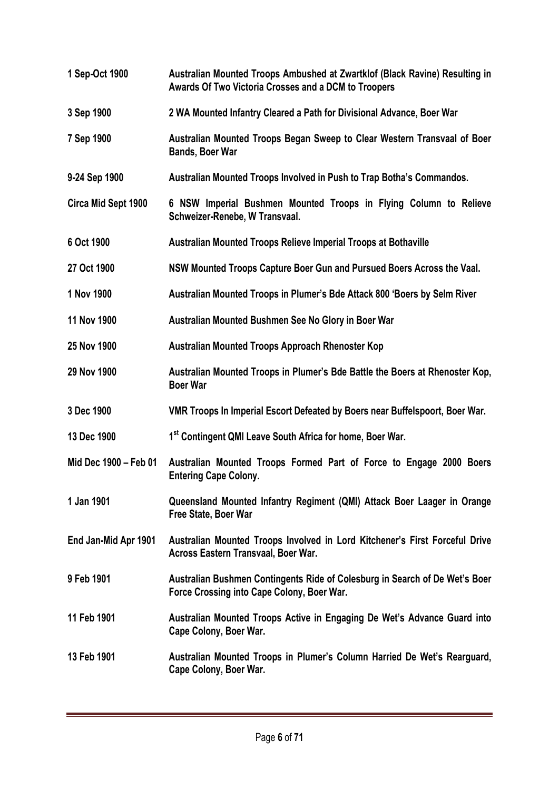| 1 Sep-Oct 1900        | Australian Mounted Troops Ambushed at Zwartklof (Black Ravine) Resulting in<br>Awards Of Two Victoria Crosses and a DCM to Troopers |
|-----------------------|-------------------------------------------------------------------------------------------------------------------------------------|
| 3 Sep 1900            | 2 WA Mounted Infantry Cleared a Path for Divisional Advance, Boer War                                                               |
| 7 Sep 1900            | Australian Mounted Troops Began Sweep to Clear Western Transvaal of Boer<br><b>Bands, Boer War</b>                                  |
| 9-24 Sep 1900         | Australian Mounted Troops Involved in Push to Trap Botha's Commandos.                                                               |
| Circa Mid Sept 1900   | 6 NSW Imperial Bushmen Mounted Troops in Flying Column to Relieve<br>Schweizer-Renebe, W Transvaal.                                 |
| 6 Oct 1900            | Australian Mounted Troops Relieve Imperial Troops at Bothaville                                                                     |
| 27 Oct 1900           | NSW Mounted Troops Capture Boer Gun and Pursued Boers Across the Vaal.                                                              |
| 1 Nov 1900            | Australian Mounted Troops in Plumer's Bde Attack 800 'Boers by Selm River                                                           |
| 11 Nov 1900           | Australian Mounted Bushmen See No Glory in Boer War                                                                                 |
| 25 Nov 1900           | <b>Australian Mounted Troops Approach Rhenoster Kop</b>                                                                             |
| 29 Nov 1900           | Australian Mounted Troops in Plumer's Bde Battle the Boers at Rhenoster Kop,<br><b>Boer War</b>                                     |
| 3 Dec 1900            | VMR Troops In Imperial Escort Defeated by Boers near Buffelspoort, Boer War.                                                        |
| 13 Dec 1900           | 1st Contingent QMI Leave South Africa for home, Boer War.                                                                           |
| Mid Dec 1900 - Feb 01 | Australian Mounted Troops Formed Part of Force to Engage 2000 Boers<br><b>Entering Cape Colony.</b>                                 |
| 1 Jan 1901            | Queensland Mounted Infantry Regiment (QMI) Attack Boer Laager in Orange<br>Free State, Boer War                                     |
| End Jan-Mid Apr 1901  | Australian Mounted Troops Involved in Lord Kitchener's First Forceful Drive<br>Across Eastern Transvaal, Boer War.                  |
| 9 Feb 1901            | Australian Bushmen Contingents Ride of Colesburg in Search of De Wet's Boer<br>Force Crossing into Cape Colony, Boer War.           |
| 11 Feb 1901           | Australian Mounted Troops Active in Engaging De Wet's Advance Guard into<br>Cape Colony, Boer War.                                  |
| 13 Feb 1901           | Australian Mounted Troops in Plumer's Column Harried De Wet's Rearguard,<br>Cape Colony, Boer War.                                  |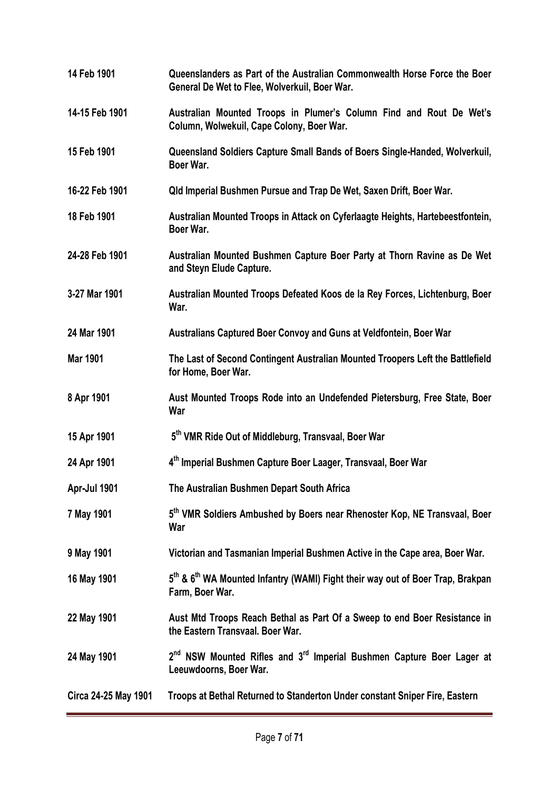| 14 Feb 1901          | Queenslanders as Part of the Australian Commonwealth Horse Force the Boer<br>General De Wet to Flee, Wolverkuil, Boer War. |
|----------------------|----------------------------------------------------------------------------------------------------------------------------|
| 14-15 Feb 1901       | Australian Mounted Troops in Plumer's Column Find and Rout De Wet's<br>Column, Wolwekuil, Cape Colony, Boer War.           |
| 15 Feb 1901          | Queensland Soldiers Capture Small Bands of Boers Single-Handed, Wolverkuil,<br>Boer War.                                   |
| 16-22 Feb 1901       | Qld Imperial Bushmen Pursue and Trap De Wet, Saxen Drift, Boer War.                                                        |
| 18 Feb 1901          | Australian Mounted Troops in Attack on Cyferlaagte Heights, Hartebeestfontein,<br>Boer War.                                |
| 24-28 Feb 1901       | Australian Mounted Bushmen Capture Boer Party at Thorn Ravine as De Wet<br>and Steyn Elude Capture.                        |
| 3-27 Mar 1901        | Australian Mounted Troops Defeated Koos de la Rey Forces, Lichtenburg, Boer<br>War.                                        |
| 24 Mar 1901          | Australians Captured Boer Convoy and Guns at Veldfontein, Boer War                                                         |
| <b>Mar 1901</b>      | The Last of Second Contingent Australian Mounted Troopers Left the Battlefield<br>for Home, Boer War.                      |
| 8 Apr 1901           | Aust Mounted Troops Rode into an Undefended Pietersburg, Free State, Boer<br>War                                           |
| 15 Apr 1901          | 5 <sup>th</sup> VMR Ride Out of Middleburg, Transvaal, Boer War                                                            |
| 24 Apr 1901          | 4th Imperial Bushmen Capture Boer Laager, Transvaal, Boer War                                                              |
| Apr-Jul 1901         | The Australian Bushmen Depart South Africa                                                                                 |
| 7 May 1901           | 5 <sup>th</sup> VMR Soldiers Ambushed by Boers near Rhenoster Kop, NE Transvaal, Boer<br>War                               |
| 9 May 1901           | Victorian and Tasmanian Imperial Bushmen Active in the Cape area, Boer War.                                                |
| 16 May 1901          | 5 <sup>th</sup> & 6 <sup>th</sup> WA Mounted Infantry (WAMI) Fight their way out of Boer Trap, Brakpan<br>Farm, Boer War.  |
| 22 May 1901          | Aust Mtd Troops Reach Bethal as Part Of a Sweep to end Boer Resistance in<br>the Eastern Transvaal. Boer War.              |
| 24 May 1901          | 2 <sup>nd</sup> NSW Mounted Rifles and 3 <sup>rd</sup> Imperial Bushmen Capture Boer Lager at<br>Leeuwdoorns, Boer War.    |
| Circa 24-25 May 1901 | Troops at Bethal Returned to Standerton Under constant Sniper Fire, Eastern                                                |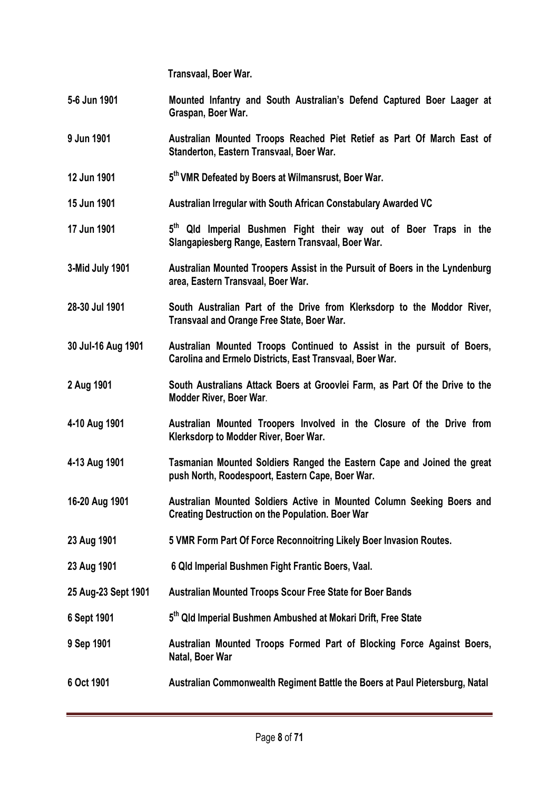**Transvaal, Boer War.**

- **5-6 Jun 1901 Mounted Infantry and South Australian's Defend Captured Boer Laager at Graspan, Boer War.**
- **9 Jun 1901 Australian Mounted Troops Reached Piet Retief as Part Of March East of Standerton, Eastern Transvaal, Boer War.**
- **12 Jun 1901 5th VMR Defeated by Boers at Wilmansrust, Boer War.**
- **15 Jun 1901 Australian Irregular with South African Constabulary Awarded VC**
- **17 Jun 1901 5th Qld Imperial Bushmen Fight their way out of Boer Traps in the Slangapiesberg Range, Eastern Transvaal, Boer War.**
- **3-Mid July 1901 Australian Mounted Troopers Assist in the Pursuit of Boers in the Lyndenburg area, Eastern Transvaal, Boer War.**
- **28-30 Jul 1901 South Australian Part of the Drive from Klerksdorp to the Moddor River, Transvaal and Orange Free State, Boer War.**
- **30 Jul-16 Aug 1901 Australian Mounted Troops Continued to Assist in the pursuit of Boers, Carolina and Ermelo Districts, East Transvaal, Boer War.**
- **2 Aug 1901 South Australians Attack Boers at Groovlei Farm, as Part Of the Drive to the Modder River, Boer War**.
- **4-10 Aug 1901 Australian Mounted Troopers Involved in the Closure of the Drive from Klerksdorp to Modder River, Boer War.**
- **4-13 Aug 1901 Tasmanian Mounted Soldiers Ranged the Eastern Cape and Joined the great push North, Roodespoort, Eastern Cape, Boer War.**
- **16-20 Aug 1901 Australian Mounted Soldiers Active in Mounted Column Seeking Boers and Creating Destruction on the Population. Boer War**
- **23 Aug 1901 5 VMR Form Part Of Force Reconnoitring Likely Boer Invasion Routes.**
- **23 Aug 1901 6 Qld Imperial Bushmen Fight Frantic Boers, Vaal.**
- **25 Aug-23 Sept 1901 Australian Mounted Troops Scour Free State for Boer Bands**
- **6 Sept 1901 5th Qld Imperial Bushmen Ambushed at Mokari Drift, Free State**
- **9 Sep 1901 Australian Mounted Troops Formed Part of Blocking Force Against Boers, Natal, Boer War**
- **6 Oct 1901 Australian Commonwealth Regiment Battle the Boers at Paul Pietersburg, Natal**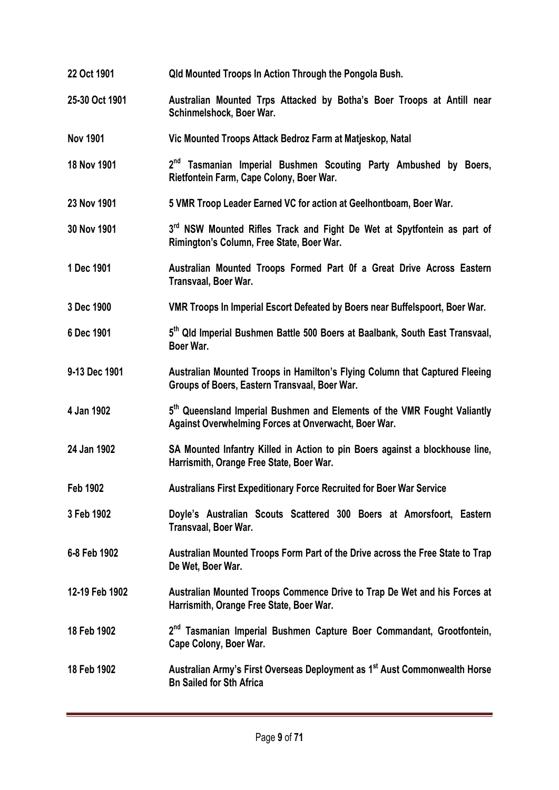**22 Oct 1901 Qld Mounted Troops In Action Through the Pongola Bush. 25-30 Oct 1901 Australian Mounted Trps Attacked by Botha's Boer Troops at Antill near Schinmelshock, Boer War. Nov 1901 Vic Mounted Troops Attack Bedroz Farm at Matjeskop, Natal 18 Nov 1901 2nd Tasmanian Imperial Bushmen Scouting Party Ambushed by Boers, Rietfontein Farm, Cape Colony, Boer War. 23 Nov 1901 5 VMR Troop Leader Earned VC for action at Geelhontboam, Boer War. 30 Nov 1901 3rd NSW Mounted Rifles Track and Fight De Wet at Spytfontein as part of Rimington's Column, Free State, Boer War. 1 Dec 1901 Australian Mounted Troops Formed Part 0f a Great Drive Across Eastern Transvaal, Boer War. 3 Dec 1900 VMR Troops In Imperial Escort Defeated by Boers near Buffelspoort, Boer War. 6 Dec 1901 5th Qld Imperial Bushmen Battle 500 Boers at Baalbank, South East Transvaal, Boer War. 9-13 Dec 1901 Australian Mounted Troops in Hamilton's Flying Column that Captured Fleeing Groups of Boers, Eastern Transvaal, Boer War. 4 Jan 1902 5th Queensland Imperial Bushmen and Elements of the VMR Fought Valiantly Against Overwhelming Forces at Onverwacht, Boer War. 24 Jan 1902 SA Mounted Infantry Killed in Action to pin Boers against a blockhouse line, Harrismith, Orange Free State, Boer War. Feb 1902 Australians First Expeditionary Force Recruited for Boer War Service 3 Feb 1902 Doyle's Australian Scouts Scattered 300 Boers at Amorsfoort, Eastern Transvaal, Boer War. 6-8 Feb 1902 Australian Mounted Troops Form Part of the Drive across the Free State to Trap De Wet, Boer War. 12-19 Feb 1902 Australian Mounted Troops Commence Drive to Trap De Wet and his Forces at Harrismith, Orange Free State, Boer War. 18 Feb 1902 2nd Tasmanian Imperial Bushmen Capture Boer Commandant, Grootfontein, Cape Colony, Boer War. 18 Feb 1902 Australian Army's First Overseas Deployment as 1st Aust Commonwealth Horse Bn Sailed for Sth Africa**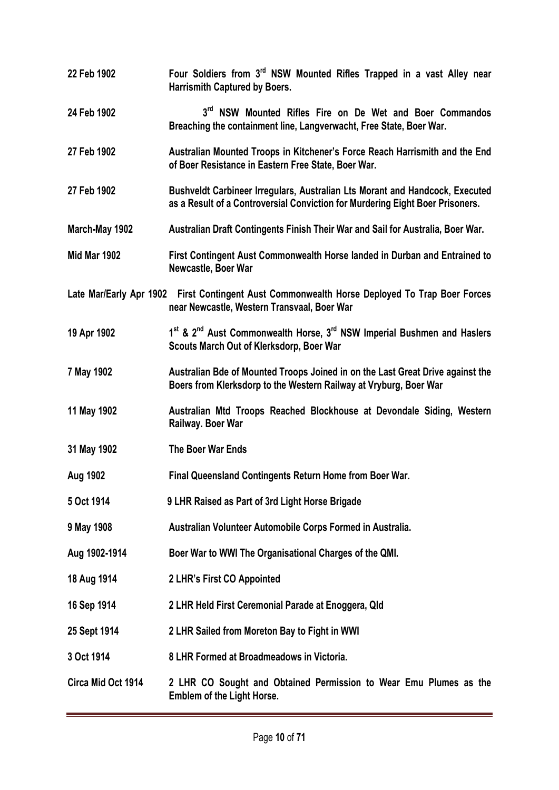**22 Feb 1902 Four Soldiers from 3rd NSW Mounted Rifles Trapped in a vast Alley near Harrismith Captured by Boers. 24 Feb 1902 3rd NSW Mounted Rifles Fire on De Wet and Boer Commandos Breaching the containment line, Langverwacht, Free State, Boer War. 27 Feb 1902 Australian Mounted Troops in Kitchener's Force Reach Harrismith and the End of Boer Resistance in Eastern Free State, Boer War. 27 Feb 1902 Bushveldt Carbineer Irregulars, Australian Lts Morant and Handcock, Executed as a Result of a Controversial Conviction for Murdering Eight Boer Prisoners. March-May 1902 Australian Draft Contingents Finish Their War and Sail for Australia, Boer War. Mid Mar 1902 First Contingent Aust Commonwealth Horse landed in Durban and Entrained to Newcastle, Boer War Late Mar/Early Apr 1902 First Contingent Aust Commonwealth Horse Deployed To Trap Boer Forces near Newcastle, Western Transvaal, Boer War 19 Apr 1902 1st & 2nd Aust Commonwealth Horse, 3rd NSW Imperial Bushmen and Haslers Scouts March Out of Klerksdorp, Boer War 7 May 1902 Australian Bde of Mounted Troops Joined in on the Last Great Drive against the Boers from Klerksdorp to the Western Railway at Vryburg, Boer War 11 May 1902 Australian Mtd Troops Reached Blockhouse at Devondale Siding, Western Railway. Boer War 31 May 1902 The Boer War Ends Aug 1902 Final Queensland Contingents Return Home from Boer War. 5 Oct 1914 9 LHR Raised as Part of 3rd Light Horse Brigade 9 May 1908 Australian Volunteer Automobile Corps Formed in Australia. Aug 1902-1914 Boer War to WWI The Organisational Charges of the QMI. 18 Aug 1914 2 LHR's First CO Appointed 16 Sep 1914 2 LHR Held First Ceremonial Parade at Enoggera, Qld 25 Sept 1914 2 LHR Sailed from Moreton Bay to Fight in WWI 3 Oct 1914 8 LHR Formed at Broadmeadows in Victoria. Circa Mid Oct 1914 2 LHR CO Sought and Obtained Permission to Wear Emu Plumes as the Emblem of the Light Horse.**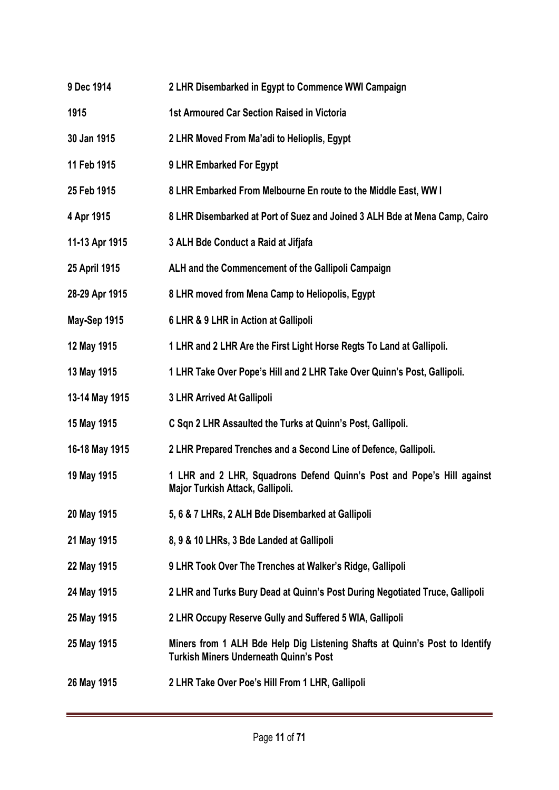- **9 Dec 1914 2 LHR Disembarked in Egypt to Commence WWI Campaign**
- **1915 1st Armoured Car Section Raised in Victoria**
- **30 Jan 1915 2 LHR Moved From Ma'adi to Helioplis, Egypt**
- **11 Feb 1915 9 LHR Embarked For Egypt**
- **25 Feb 1915 8 LHR Embarked From Melbourne En route to the Middle East, WW I**
- **4 Apr 1915 8 LHR Disembarked at Port of Suez and Joined 3 ALH Bde at Mena Camp, Cairo**
- **11-13 Apr 1915 3 ALH Bde Conduct a Raid at Jifjafa**
- **25 April 1915 ALH and the Commencement of the Gallipoli Campaign**
- **28-29 Apr 1915 8 LHR moved from Mena Camp to Heliopolis, Egypt**
- **May-Sep 1915 6 LHR & 9 LHR in Action at Gallipoli**
- **12 May 1915 1 LHR and 2 LHR Are the First Light Horse Regts To Land at Gallipoli.**
- **13 May 1915 1 LHR Take Over Pope's Hill and 2 LHR Take Over Quinn's Post, Gallipoli.**
- **13-14 May 1915 3 LHR Arrived At Gallipoli**
- **15 May 1915 C Sqn 2 LHR Assaulted the Turks at Quinn's Post, Gallipoli.**
- **16-18 May 1915 2 LHR Prepared Trenches and a Second Line of Defence, Gallipoli.**
- **19 May 1915 1 LHR and 2 LHR, Squadrons Defend Quinn's Post and Pope's Hill against Major Turkish Attack, Gallipoli.**
- **20 May 1915 5, 6 & 7 LHRs, 2 ALH Bde Disembarked at Gallipoli**
- **21 May 1915 8, 9 & 10 LHRs, 3 Bde Landed at Gallipoli**
- **22 May 1915 9 LHR Took Over The Trenches at Walker's Ridge, Gallipoli**
- **24 May 1915 2 LHR and Turks Bury Dead at Quinn's Post During Negotiated Truce, Gallipoli**
- **25 May 1915 2 LHR Occupy Reserve Gully and Suffered 5 WIA, Gallipoli**
- **25 May 1915 Miners from 1 ALH Bde Help Dig Listening Shafts at Quinn's Post to Identify Turkish Miners Underneath Quinn's Post**
- **26 May 1915 2 LHR Take Over Poe's Hill From 1 LHR, Gallipoli**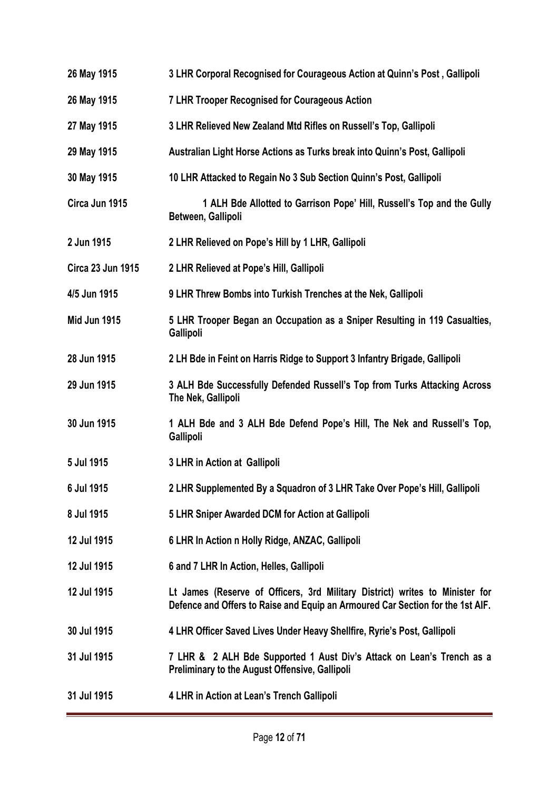**26 May 1915 3 LHR Corporal Recognised for Courageous Action at Quinn's Post , Gallipoli 26 May 1915 7 LHR Trooper Recognised for Courageous Action 27 May 1915 3 LHR Relieved New Zealand Mtd Rifles on Russell's Top, Gallipoli 29 May 1915 Australian Light Horse Actions as Turks break into Quinn's Post, Gallipoli 30 May 1915 10 LHR Attacked to Regain No 3 Sub Section Quinn's Post, Gallipoli Circa Jun 1915 1 ALH Bde Allotted to Garrison Pope' Hill, Russell's Top and the Gully Between, Gallipoli 2 Jun 1915 2 LHR Relieved on Pope's Hill by 1 LHR, Gallipoli Circa 23 Jun 1915 2 LHR Relieved at Pope's Hill, Gallipoli 4/5 Jun 1915 9 LHR Threw Bombs into Turkish Trenches at the Nek, Gallipoli Mid Jun 1915 5 LHR Trooper Began an Occupation as a Sniper Resulting in 119 Casualties, Gallipoli 28 Jun 1915 2 LH Bde in Feint on Harris Ridge to Support 3 Infantry Brigade, Gallipoli 29 Jun 1915 3 ALH Bde Successfully Defended Russell's Top from Turks Attacking Across The Nek, Gallipoli 30 Jun 1915 1 ALH Bde and 3 ALH Bde Defend Pope's Hill, The Nek and Russell's Top, Gallipoli 5 Jul 1915 3 LHR in Action at Gallipoli 6 Jul 1915 2 LHR Supplemented By a Squadron of 3 LHR Take Over Pope's Hill, Gallipoli 8 Jul 1915 5 LHR Sniper Awarded DCM for Action at Gallipoli 12 Jul 1915 6 LHR In Action n Holly Ridge, ANZAC, Gallipoli 12 Jul 1915 6 and 7 LHR In Action, Helles, Gallipoli 12 Jul 1915 Lt James (Reserve of Officers, 3rd Military District) writes to Minister for Defence and Offers to Raise and Equip an Armoured Car Section for the 1st AIF. 30 Jul 1915 4 LHR Officer Saved Lives Under Heavy Shellfire, Ryrie's Post, Gallipoli 31 Jul 1915 7 LHR & 2 ALH Bde Supported 1 Aust Div's Attack on Lean's Trench as a Preliminary to the August Offensive, Gallipoli 31 Jul 1915 4 LHR in Action at Lean's Trench Gallipoli**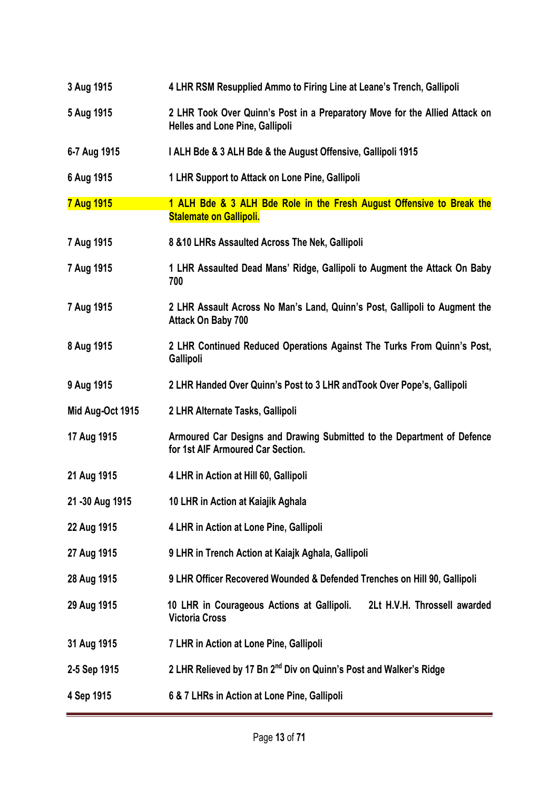| 3 Aug 1915        | 4 LHR RSM Resupplied Ammo to Firing Line at Leane's Trench, Gallipoli                                                 |
|-------------------|-----------------------------------------------------------------------------------------------------------------------|
| 5 Aug 1915        | 2 LHR Took Over Quinn's Post in a Preparatory Move for the Allied Attack on<br><b>Helles and Lone Pine, Gallipoli</b> |
| 6-7 Aug 1915      | I ALH Bde & 3 ALH Bde & the August Offensive, Gallipoli 1915                                                          |
| 6 Aug 1915        | 1 LHR Support to Attack on Lone Pine, Gallipoli                                                                       |
| <b>7 Aug 1915</b> | 1 ALH Bde & 3 ALH Bde Role in the Fresh August Offensive to Break the<br><b>Stalemate on Gallipoli.</b>               |
| 7 Aug 1915        | 8 & 10 LHRs Assaulted Across The Nek, Gallipoli                                                                       |
| 7 Aug 1915        | 1 LHR Assaulted Dead Mans' Ridge, Gallipoli to Augment the Attack On Baby<br>700                                      |
| 7 Aug 1915        | 2 LHR Assault Across No Man's Land, Quinn's Post, Gallipoli to Augment the<br><b>Attack On Baby 700</b>               |
| 8 Aug 1915        | 2 LHR Continued Reduced Operations Against The Turks From Quinn's Post,<br><b>Gallipoli</b>                           |
| 9 Aug 1915        | 2 LHR Handed Over Quinn's Post to 3 LHR and Took Over Pope's, Gallipoli                                               |
| Mid Aug-Oct 1915  | 2 LHR Alternate Tasks, Gallipoli                                                                                      |
| 17 Aug 1915       | Armoured Car Designs and Drawing Submitted to the Department of Defence<br>for 1st AIF Armoured Car Section.          |
| 21 Aug 1915       | 4 LHR in Action at Hill 60, Gallipoli                                                                                 |
| 21 - 30 Aug 1915  | 10 LHR in Action at Kaiajik Aghala                                                                                    |
| 22 Aug 1915       | 4 LHR in Action at Lone Pine, Gallipoli                                                                               |
| 27 Aug 1915       | 9 LHR in Trench Action at Kaiajk Aghala, Gallipoli                                                                    |
| 28 Aug 1915       | 9 LHR Officer Recovered Wounded & Defended Trenches on Hill 90, Gallipoli                                             |
| 29 Aug 1915       | 10 LHR in Courageous Actions at Gallipoli.<br>2Lt H.V.H. Throssell awarded<br><b>Victoria Cross</b>                   |
| 31 Aug 1915       | 7 LHR in Action at Lone Pine, Gallipoli                                                                               |
| 2-5 Sep 1915      | 2 LHR Relieved by 17 Bn 2 <sup>nd</sup> Div on Quinn's Post and Walker's Ridge                                        |
| 4 Sep 1915        | 6 & 7 LHRs in Action at Lone Pine, Gallipoli                                                                          |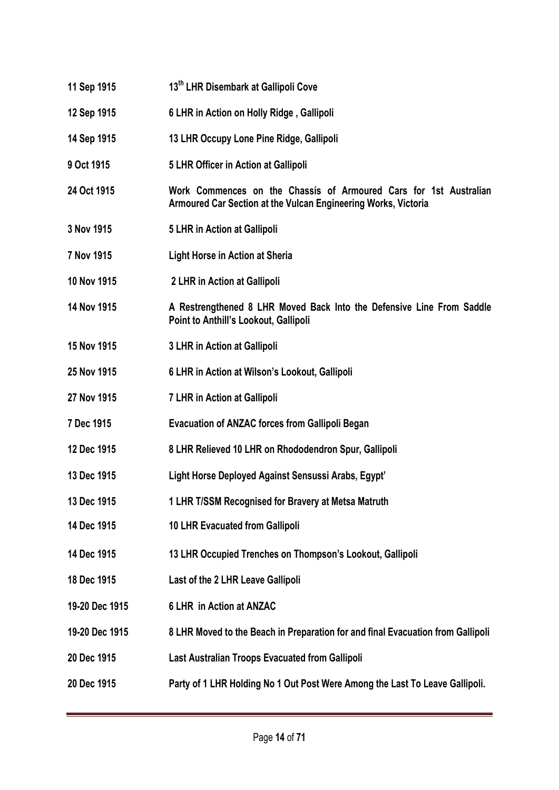- **11 Sep 1915 13th LHR Disembark at Gallipoli Cove**
- **12 Sep 1915 6 LHR in Action on Holly Ridge , Gallipoli**
- **14 Sep 1915 13 LHR Occupy Lone Pine Ridge, Gallipoli**
- **9 Oct 1915 5 LHR Officer in Action at Gallipoli**
- **24 Oct 1915 Work Commences on the Chassis of Armoured Cars for 1st Australian Armoured Car Section at the Vulcan Engineering Works, Victoria**
- **3 Nov 1915 5 LHR in Action at Gallipoli**
- **7 Nov 1915 Light Horse in Action at Sheria**
- **10 Nov 1915 2 LHR in Action at Gallipoli**
- **14 Nov 1915 A Restrengthened 8 LHR Moved Back Into the Defensive Line From Saddle Point to Anthill's Lookout, Gallipoli**
- **15 Nov 1915 3 LHR in Action at Gallipoli**
- **25 Nov 1915 6 LHR in Action at Wilson's Lookout, Gallipoli**
- **27 Nov 1915 7 LHR in Action at Gallipoli**
- **7 Dec 1915 Evacuation of ANZAC forces from Gallipoli Began**
- **12 Dec 1915 8 LHR Relieved 10 LHR on Rhododendron Spur, Gallipoli**
- **13 Dec 1915 Light Horse Deployed Against Sensussi Arabs, Egypt'**
- **13 Dec 1915 1 LHR T/SSM Recognised for Bravery at Metsa Matruth**
- **14 Dec 1915 10 LHR Evacuated from Gallipoli**
- **14 Dec 1915 13 LHR Occupied Trenches on Thompson's Lookout, Gallipoli**
- **18 Dec 1915 Last of the 2 LHR Leave Gallipoli**
- **19-20 Dec 1915 6 LHR in Action at ANZAC**
- **19-20 Dec 1915 8 LHR Moved to the Beach in Preparation for and final Evacuation from Gallipoli**
- **20 Dec 1915 Last Australian Troops Evacuated from Gallipoli**
- **20 Dec 1915 Party of 1 LHR Holding No 1 Out Post Were Among the Last To Leave Gallipoli.**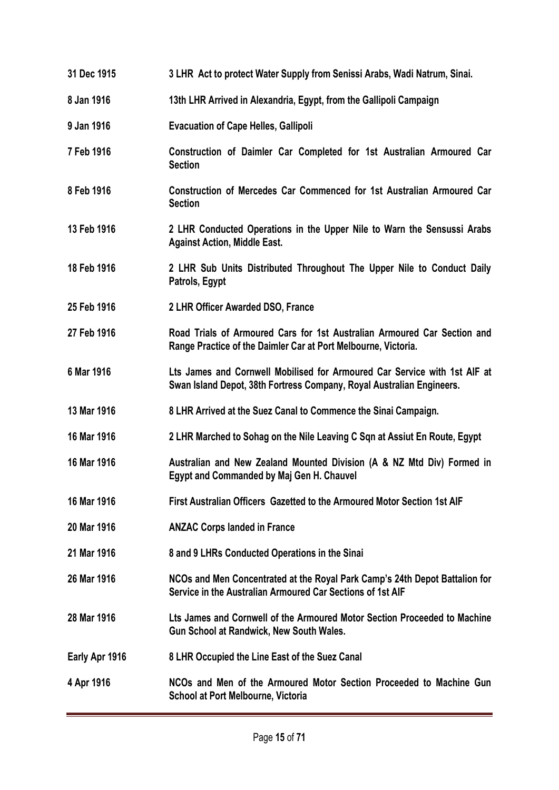| 31 Dec 1915    | 3 LHR Act to protect Water Supply from Senissi Arabs, Wadi Natrum, Sinai.                                                                          |
|----------------|----------------------------------------------------------------------------------------------------------------------------------------------------|
| 8 Jan 1916     | 13th LHR Arrived in Alexandria, Egypt, from the Gallipoli Campaign                                                                                 |
| 9 Jan 1916     | <b>Evacuation of Cape Helles, Gallipoli</b>                                                                                                        |
| 7 Feb 1916     | Construction of Daimler Car Completed for 1st Australian Armoured Car<br><b>Section</b>                                                            |
| 8 Feb 1916     | Construction of Mercedes Car Commenced for 1st Australian Armoured Car<br><b>Section</b>                                                           |
| 13 Feb 1916    | 2 LHR Conducted Operations in the Upper Nile to Warn the Sensussi Arabs<br><b>Against Action, Middle East.</b>                                     |
| 18 Feb 1916    | 2 LHR Sub Units Distributed Throughout The Upper Nile to Conduct Daily<br>Patrols, Egypt                                                           |
| 25 Feb 1916    | 2 LHR Officer Awarded DSO, France                                                                                                                  |
| 27 Feb 1916    | Road Trials of Armoured Cars for 1st Australian Armoured Car Section and<br>Range Practice of the Daimler Car at Port Melbourne, Victoria.         |
| 6 Mar 1916     | Lts James and Cornwell Mobilised for Armoured Car Service with 1st AIF at<br>Swan Island Depot, 38th Fortress Company, Royal Australian Engineers. |
| 13 Mar 1916    | 8 LHR Arrived at the Suez Canal to Commence the Sinai Campaign.                                                                                    |
| 16 Mar 1916    | 2 LHR Marched to Sohag on the Nile Leaving C Sqn at Assiut En Route, Egypt                                                                         |
| 16 Mar 1916    | Australian and New Zealand Mounted Division (A & NZ Mtd Div) Formed in<br>Egypt and Commanded by Maj Gen H. Chauvel                                |
| 16 Mar 1916    | First Australian Officers Gazetted to the Armoured Motor Section 1st AIF                                                                           |
| 20 Mar 1916    | <b>ANZAC Corps landed in France</b>                                                                                                                |
| 21 Mar 1916    | 8 and 9 LHRs Conducted Operations in the Sinai                                                                                                     |
| 26 Mar 1916    | NCOs and Men Concentrated at the Royal Park Camp's 24th Depot Battalion for<br>Service in the Australian Armoured Car Sections of 1st AIF          |
| 28 Mar 1916    | Lts James and Cornwell of the Armoured Motor Section Proceeded to Machine<br>Gun School at Randwick, New South Wales.                              |
| Early Apr 1916 | 8 LHR Occupied the Line East of the Suez Canal                                                                                                     |
| 4 Apr 1916     | NCOs and Men of the Armoured Motor Section Proceeded to Machine Gun<br>School at Port Melbourne, Victoria                                          |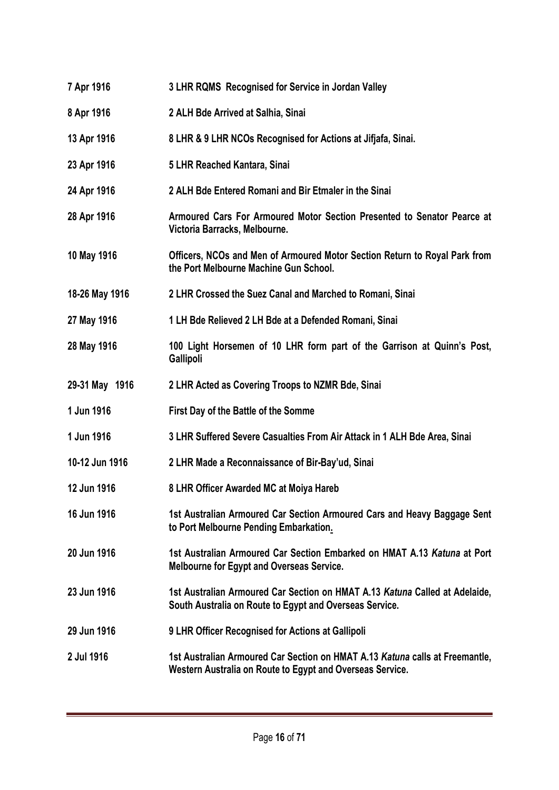**7 Apr 1916 3 LHR RQMS Recognised for Service in Jordan Valley 8 Apr 1916 2 ALH Bde Arrived at Salhia, Sinai 13 Apr 1916 8 LHR & 9 LHR NCOs Recognised for Actions at Jifjafa, Sinai. 23 Apr 1916 5 LHR Reached Kantara, Sinai 24 Apr 1916 2 ALH Bde Entered Romani and Bir Etmaler in the Sinai 28 Apr 1916 Armoured Cars For Armoured Motor Section Presented to Senator Pearce at Victoria Barracks, Melbourne. 10 May 1916 Officers, NCOs and Men of Armoured Motor Section Return to Royal Park from the Port Melbourne Machine Gun School. 18-26 May 1916 2 LHR Crossed the Suez Canal and Marched to Romani, Sinai 27 May 1916 1 LH Bde Relieved 2 LH Bde at a Defended Romani, Sinai 28 May 1916 100 Light Horsemen of 10 LHR form part of the Garrison at Quinn's Post, Gallipoli 29-31 May 1916 2 LHR Acted as Covering Troops to NZMR Bde, Sinai 1 Jun 1916 First Day of the Battle of the Somme 1 Jun 1916 3 LHR Suffered Severe Casualties From Air Attack in 1 ALH Bde Area, Sinai 10-12 Jun 1916 2 LHR Made a Reconnaissance of Bir-Bay'ud, Sinai 12 Jun 1916 8 LHR Officer Awarded MC at Moiya Hareb 16 Jun 1916 1st Australian Armoured Car Section Armoured Cars and Heavy Baggage Sent to Port Melbourne Pending Embarkation. 20 Jun 1916 1st Australian Armoured Car Section Embarked on HMAT A.13** *Katuna* **at Port Melbourne for Egypt and Overseas Service. 23 Jun 1916 1st Australian Armoured Car Section on HMAT A.13** *Katuna* **Called at Adelaide, South Australia on Route to Egypt and Overseas Service. 29 Jun 1916 9 LHR Officer Recognised for Actions at Gallipoli 2 Jul 1916 1st Australian Armoured Car Section on HMAT A.13** *Katuna* **calls at Freemantle, Western Australia on Route to Egypt and Overseas Service.**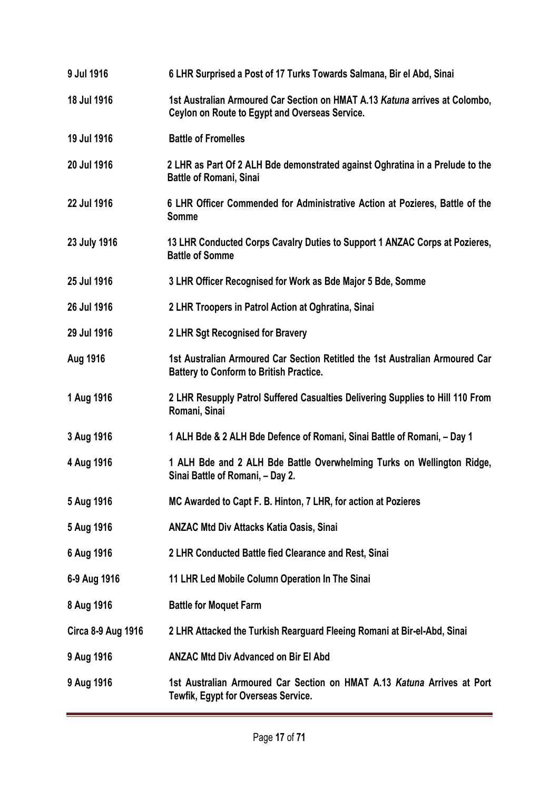**9 Jul 1916 6 LHR Surprised a Post of 17 Turks Towards Salmana, Bir el Abd, Sinai 18 Jul 1916 1st Australian Armoured Car Section on HMAT A.13** *Katuna* **arrives at Colombo, Ceylon on Route to Egypt and Overseas Service. 19 Jul 1916 Battle of Fromelles 20 Jul 1916 2 LHR as Part Of 2 ALH Bde demonstrated against Oghratina in a Prelude to the Battle of Romani, Sinai 22 Jul 1916 6 LHR Officer Commended for Administrative Action at Pozieres, Battle of the Somme 23 July 1916 13 LHR Conducted Corps Cavalry Duties to Support 1 ANZAC Corps at Pozieres, Battle of Somme 25 Jul 1916 3 LHR Officer Recognised for Work as Bde Major 5 Bde, Somme 26 Jul 1916 2 LHR Troopers in Patrol Action at Oghratina, Sinai 29 Jul 1916 2 LHR Sgt Recognised for Bravery Aug 1916 1st Australian Armoured Car Section Retitled the 1st Australian Armoured Car Battery to Conform to British Practice. 1 Aug 1916 2 LHR Resupply Patrol Suffered Casualties Delivering Supplies to Hill 110 From Romani, Sinai 3 Aug 1916 1 ALH Bde & 2 ALH Bde Defence of Romani, Sinai Battle of Romani, – Day 1 4 Aug 1916 1 ALH Bde and 2 ALH Bde Battle Overwhelming Turks on Wellington Ridge, Sinai Battle of Romani, – Day 2. 5 Aug 1916 MC Awarded to Capt F. B. Hinton, 7 LHR, for action at Pozieres 5 Aug 1916 ANZAC Mtd Div Attacks Katia Oasis, Sinai 6 Aug 1916 2 LHR Conducted Battle fied Clearance and Rest, Sinai 6-9 Aug 1916 11 LHR Led Mobile Column Operation In The Sinai 8 Aug 1916 Battle for Moquet Farm Circa 8-9 Aug 1916 2 LHR Attacked the Turkish Rearguard Fleeing Romani at Bir-el-Abd, Sinai 9 Aug 1916 ANZAC Mtd Div Advanced on Bir El Abd 9 Aug 1916 1st Australian Armoured Car Section on HMAT A.13** *Katuna* **Arrives at Port Tewfik, Egypt for Overseas Service.**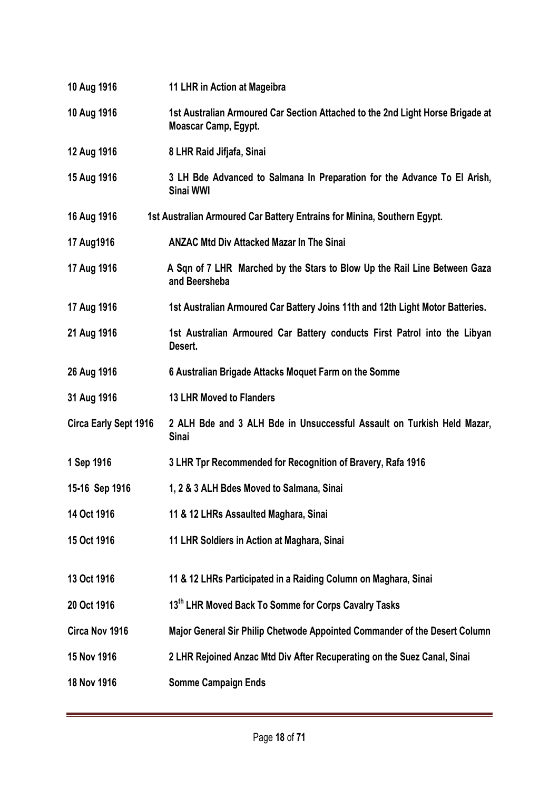| 10 Aug 1916                  | 11 LHR in Action at Mageibra                                                                           |
|------------------------------|--------------------------------------------------------------------------------------------------------|
| 10 Aug 1916                  | 1st Australian Armoured Car Section Attached to the 2nd Light Horse Brigade at<br>Moascar Camp, Egypt. |
| 12 Aug 1916                  | 8 LHR Raid Jifjafa, Sinai                                                                              |
| 15 Aug 1916                  | 3 LH Bde Advanced to Salmana In Preparation for the Advance To El Arish,<br>Sinai WWI                  |
| 16 Aug 1916                  | 1st Australian Armoured Car Battery Entrains for Minina, Southern Egypt.                               |
| 17 Aug1916                   | <b>ANZAC Mtd Div Attacked Mazar In The Sinai</b>                                                       |
| 17 Aug 1916                  | A Sqn of 7 LHR Marched by the Stars to Blow Up the Rail Line Between Gaza<br>and Beersheba             |
| 17 Aug 1916                  | 1st Australian Armoured Car Battery Joins 11th and 12th Light Motor Batteries.                         |
| 21 Aug 1916                  | 1st Australian Armoured Car Battery conducts First Patrol into the Libyan<br>Desert.                   |
| 26 Aug 1916                  | 6 Australian Brigade Attacks Moquet Farm on the Somme                                                  |
| 31 Aug 1916                  | <b>13 LHR Moved to Flanders</b>                                                                        |
| <b>Circa Early Sept 1916</b> | 2 ALH Bde and 3 ALH Bde in Unsuccessful Assault on Turkish Held Mazar,<br><b>Sinai</b>                 |
| 1 Sep 1916                   | 3 LHR Tpr Recommended for Recognition of Bravery, Rafa 1916                                            |
| 15-16 Sep 1916               | 1, 2 & 3 ALH Bdes Moved to Salmana, Sinai                                                              |
| 14 Oct 1916                  | 11 & 12 LHRs Assaulted Maghara, Sinai                                                                  |
| 15 Oct 1916                  | 11 LHR Soldiers in Action at Maghara, Sinai                                                            |
| 13 Oct 1916                  | 11 & 12 LHRs Participated in a Raiding Column on Maghara, Sinai                                        |
| 20 Oct 1916                  | 13th LHR Moved Back To Somme for Corps Cavalry Tasks                                                   |
| Circa Nov 1916               | Major General Sir Philip Chetwode Appointed Commander of the Desert Column                             |
| 15 Nov 1916                  | 2 LHR Rejoined Anzac Mtd Div After Recuperating on the Suez Canal, Sinai                               |
| 18 Nov 1916                  | <b>Somme Campaign Ends</b>                                                                             |
|                              |                                                                                                        |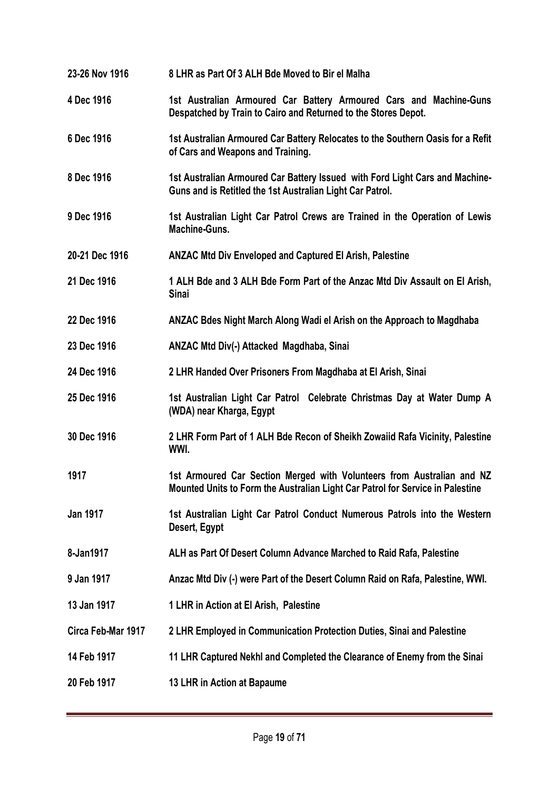| 23-26 Nov 1916     | 8 LHR as Part Of 3 ALH Bde Moved to Bir el Malha                                                                                                         |
|--------------------|----------------------------------------------------------------------------------------------------------------------------------------------------------|
| 4 Dec 1916         | 1st Australian Armoured Car Battery Armoured Cars and Machine-Guns<br>Despatched by Train to Cairo and Returned to the Stores Depot.                     |
| 6 Dec 1916         | 1st Australian Armoured Car Battery Relocates to the Southern Oasis for a Refit<br>of Cars and Weapons and Training.                                     |
| 8 Dec 1916         | 1st Australian Armoured Car Battery Issued with Ford Light Cars and Machine-<br>Guns and is Retitled the 1st Australian Light Car Patrol.                |
| 9 Dec 1916         | 1st Australian Light Car Patrol Crews are Trained in the Operation of Lewis<br><b>Machine-Guns.</b>                                                      |
| 20-21 Dec 1916     | <b>ANZAC Mtd Div Enveloped and Captured El Arish, Palestine</b>                                                                                          |
| 21 Dec 1916        | 1 ALH Bde and 3 ALH Bde Form Part of the Anzac Mtd Div Assault on El Arish,<br><b>Sinai</b>                                                              |
| 22 Dec 1916        | ANZAC Bdes Night March Along Wadi el Arish on the Approach to Magdhaba                                                                                   |
| 23 Dec 1916        | ANZAC Mtd Div(-) Attacked Magdhaba, Sinai                                                                                                                |
| 24 Dec 1916        | 2 LHR Handed Over Prisoners From Magdhaba at El Arish, Sinai                                                                                             |
| 25 Dec 1916        | 1st Australian Light Car Patrol Celebrate Christmas Day at Water Dump A<br>(WDA) near Kharga, Egypt                                                      |
| 30 Dec 1916        | 2 LHR Form Part of 1 ALH Bde Recon of Sheikh Zowaiid Rafa Vicinity, Palestine<br>WWI.                                                                    |
| 1917               | 1st Armoured Car Section Merged with Volunteers from Australian and NZ<br>Mounted Units to Form the Australian Light Car Patrol for Service in Palestine |
| <b>Jan 1917</b>    | 1st Australian Light Car Patrol Conduct Numerous Patrols into the Western<br>Desert, Egypt                                                               |
| 8-Jan1917          | ALH as Part Of Desert Column Advance Marched to Raid Rafa, Palestine                                                                                     |
| 9 Jan 1917         | Anzac Mtd Div (-) were Part of the Desert Column Raid on Rafa, Palestine, WWI.                                                                           |
| 13 Jan 1917        | 1 LHR in Action at El Arish, Palestine                                                                                                                   |
| Circa Feb-Mar 1917 | 2 LHR Employed in Communication Protection Duties, Sinai and Palestine                                                                                   |
| 14 Feb 1917        | 11 LHR Captured Nekhl and Completed the Clearance of Enemy from the Sinai                                                                                |
| 20 Feb 1917        | 13 LHR in Action at Bapaume                                                                                                                              |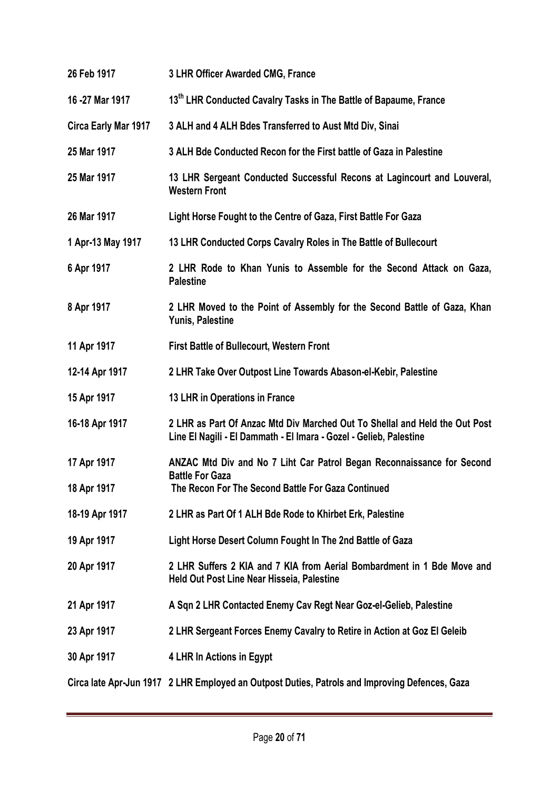| 26 Feb 1917          | 3 LHR Officer Awarded CMG, France                                                                                                                 |
|----------------------|---------------------------------------------------------------------------------------------------------------------------------------------------|
| 16 - 27 Mar 1917     | 13th LHR Conducted Cavalry Tasks in The Battle of Bapaume, France                                                                                 |
| Circa Early Mar 1917 | 3 ALH and 4 ALH Bdes Transferred to Aust Mtd Div, Sinai                                                                                           |
| 25 Mar 1917          | 3 ALH Bde Conducted Recon for the First battle of Gaza in Palestine                                                                               |
| 25 Mar 1917          | 13 LHR Sergeant Conducted Successful Recons at Lagincourt and Louveral,<br><b>Western Front</b>                                                   |
| 26 Mar 1917          | Light Horse Fought to the Centre of Gaza, First Battle For Gaza                                                                                   |
| 1 Apr-13 May 1917    | 13 LHR Conducted Corps Cavalry Roles in The Battle of Bullecourt                                                                                  |
| 6 Apr 1917           | 2 LHR Rode to Khan Yunis to Assemble for the Second Attack on Gaza,<br><b>Palestine</b>                                                           |
| 8 Apr 1917           | 2 LHR Moved to the Point of Assembly for the Second Battle of Gaza, Khan<br>Yunis, Palestine                                                      |
| 11 Apr 1917          | <b>First Battle of Bullecourt, Western Front</b>                                                                                                  |
| 12-14 Apr 1917       | 2 LHR Take Over Outpost Line Towards Abason-el-Kebir, Palestine                                                                                   |
| 15 Apr 1917          | 13 LHR in Operations in France                                                                                                                    |
| 16-18 Apr 1917       | 2 LHR as Part Of Anzac Mtd Div Marched Out To Shellal and Held the Out Post<br>Line El Nagili - El Dammath - El Imara - Gozel - Gelieb, Palestine |
| 17 Apr 1917          | ANZAC Mtd Div and No 7 Liht Car Patrol Began Reconnaissance for Second<br><b>Battle For Gaza</b>                                                  |
| 18 Apr 1917          | The Recon For The Second Battle For Gaza Continued                                                                                                |
| 18-19 Apr 1917       | 2 LHR as Part Of 1 ALH Bde Rode to Khirbet Erk, Palestine                                                                                         |
| 19 Apr 1917          | Light Horse Desert Column Fought In The 2nd Battle of Gaza                                                                                        |
| 20 Apr 1917          | 2 LHR Suffers 2 KIA and 7 KIA from Aerial Bombardment in 1 Bde Move and<br>Held Out Post Line Near Hisseia, Palestine                             |
| 21 Apr 1917          | A Sqn 2 LHR Contacted Enemy Cav Regt Near Goz-el-Gelieb, Palestine                                                                                |
| 23 Apr 1917          | 2 LHR Sergeant Forces Enemy Cavalry to Retire in Action at Goz El Geleib                                                                          |
| 30 Apr 1917          | 4 LHR In Actions in Egypt                                                                                                                         |
|                      | Circa late Apr-Jun 1917 2 LHR Employed an Outpost Duties, Patrols and Improving Defences, Gaza                                                    |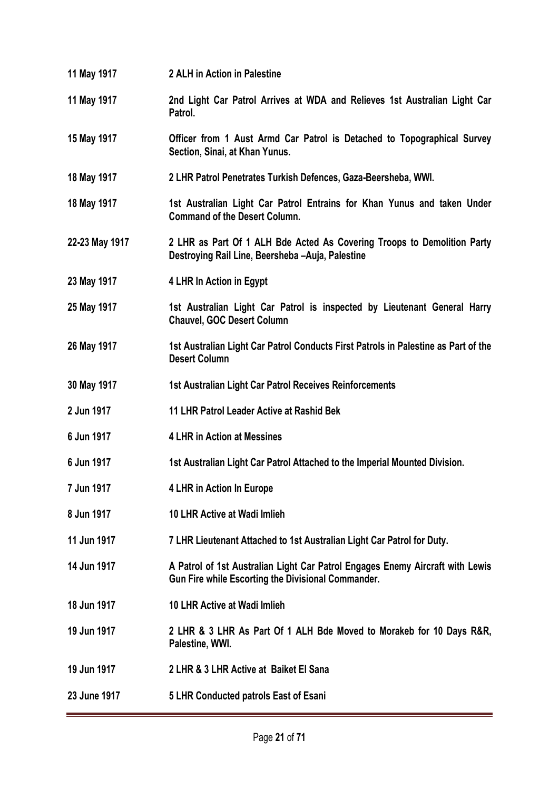- **11 May 1917 2 ALH in Action in Palestine**
- **11 May 1917 2nd Light Car Patrol Arrives at WDA and Relieves 1st Australian Light Car Patrol.**
- **15 May 1917 Officer from 1 Aust Armd Car Patrol is Detached to Topographical Survey Section, Sinai, at Khan Yunus.**
- **18 May 1917 2 LHR Patrol Penetrates Turkish Defences, Gaza-Beersheba, WWI.**
- **18 May 1917 1st Australian Light Car Patrol Entrains for Khan Yunus and taken Under Command of the Desert Column.**
- **22-23 May 1917 2 LHR as Part Of 1 ALH Bde Acted As Covering Troops to Demolition Party Destroying Rail Line, Beersheba –Auja, Palestine**
- **23 May 1917 4 LHR In Action in Egypt**
- **25 May 1917 1st Australian Light Car Patrol is inspected by Lieutenant General Harry Chauvel, GOC Desert Column**
- **26 May 1917 1st Australian Light Car Patrol Conducts First Patrols in Palestine as Part of the Desert Column**
- **30 May 1917 1st Australian Light Car Patrol Receives Reinforcements**
- **2 Jun 1917 11 LHR Patrol Leader Active at Rashid Bek**
- **6 Jun 1917 4 LHR in Action at Messines**
- **6 Jun 1917 1st Australian Light Car Patrol Attached to the Imperial Mounted Division.**
- **7 Jun 1917 4 LHR in Action In Europe**
- **8 Jun 1917 10 LHR Active at Wadi Imlieh**
- **11 Jun 1917 7 LHR Lieutenant Attached to 1st Australian Light Car Patrol for Duty.**
- **14 Jun 1917 A Patrol of 1st Australian Light Car Patrol Engages Enemy Aircraft with Lewis Gun Fire while Escorting the Divisional Commander.**
- **18 Jun 1917 10 LHR Active at Wadi Imlieh**
- **19 Jun 1917 2 LHR & 3 LHR As Part Of 1 ALH Bde Moved to Morakeb for 10 Days R&R, Palestine, WWI.**
- **19 Jun 1917 2 LHR & 3 LHR Active at Baiket El Sana**
- **23 June 1917 5 LHR Conducted patrols East of Esani**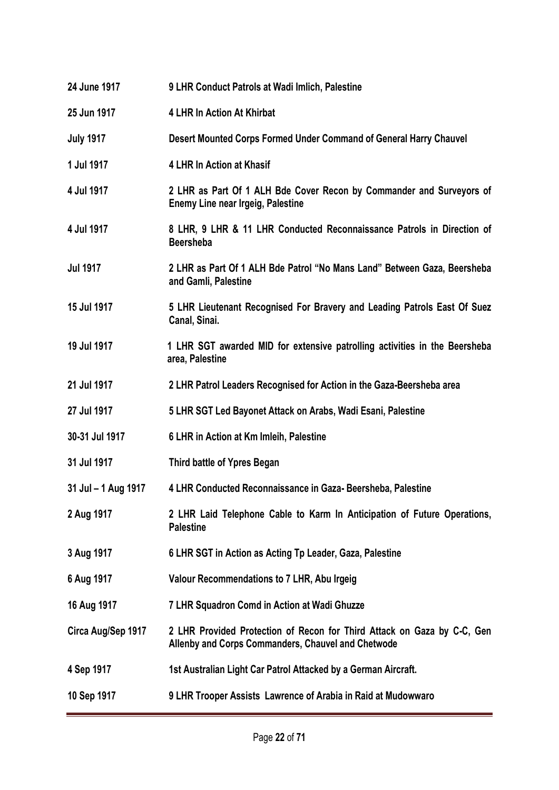| 24 June 1917        | 9 LHR Conduct Patrols at Wadi Imlich, Palestine                                                                               |
|---------------------|-------------------------------------------------------------------------------------------------------------------------------|
| 25 Jun 1917         | <b>4 LHR In Action At Khirbat</b>                                                                                             |
| <b>July 1917</b>    | Desert Mounted Corps Formed Under Command of General Harry Chauvel                                                            |
| 1 Jul 1917          | 4 LHR In Action at Khasif                                                                                                     |
| 4 Jul 1917          | 2 LHR as Part Of 1 ALH Bde Cover Recon by Commander and Surveyors of<br>Enemy Line near Irgeig, Palestine                     |
| 4 Jul 1917          | 8 LHR, 9 LHR & 11 LHR Conducted Reconnaissance Patrols in Direction of<br><b>Beersheba</b>                                    |
| <b>Jul 1917</b>     | 2 LHR as Part Of 1 ALH Bde Patrol "No Mans Land" Between Gaza, Beersheba<br>and Gamli, Palestine                              |
| 15 Jul 1917         | 5 LHR Lieutenant Recognised For Bravery and Leading Patrols East Of Suez<br>Canal, Sinai.                                     |
| 19 Jul 1917         | 1 LHR SGT awarded MID for extensive patrolling activities in the Beersheba<br>area, Palestine                                 |
| 21 Jul 1917         | 2 LHR Patrol Leaders Recognised for Action in the Gaza-Beersheba area                                                         |
| 27 Jul 1917         | 5 LHR SGT Led Bayonet Attack on Arabs, Wadi Esani, Palestine                                                                  |
| 30-31 Jul 1917      | 6 LHR in Action at Km Imleih, Palestine                                                                                       |
| 31 Jul 1917         | Third battle of Ypres Began                                                                                                   |
| 31 Jul - 1 Aug 1917 | 4 LHR Conducted Reconnaissance in Gaza-Beersheba, Palestine                                                                   |
| 2 Aug 1917          | 2 LHR Laid Telephone Cable to Karm In Anticipation of Future Operations,<br><b>Palestine</b>                                  |
| 3 Aug 1917          | 6 LHR SGT in Action as Acting Tp Leader, Gaza, Palestine                                                                      |
| 6 Aug 1917          | Valour Recommendations to 7 LHR, Abu Irgeig                                                                                   |
| 16 Aug 1917         | 7 LHR Squadron Comd in Action at Wadi Ghuzze                                                                                  |
| Circa Aug/Sep 1917  | 2 LHR Provided Protection of Recon for Third Attack on Gaza by C-C, Gen<br>Allenby and Corps Commanders, Chauvel and Chetwode |
| 4 Sep 1917          | 1st Australian Light Car Patrol Attacked by a German Aircraft.                                                                |
| 10 Sep 1917         | 9 LHR Trooper Assists Lawrence of Arabia in Raid at Mudowwaro                                                                 |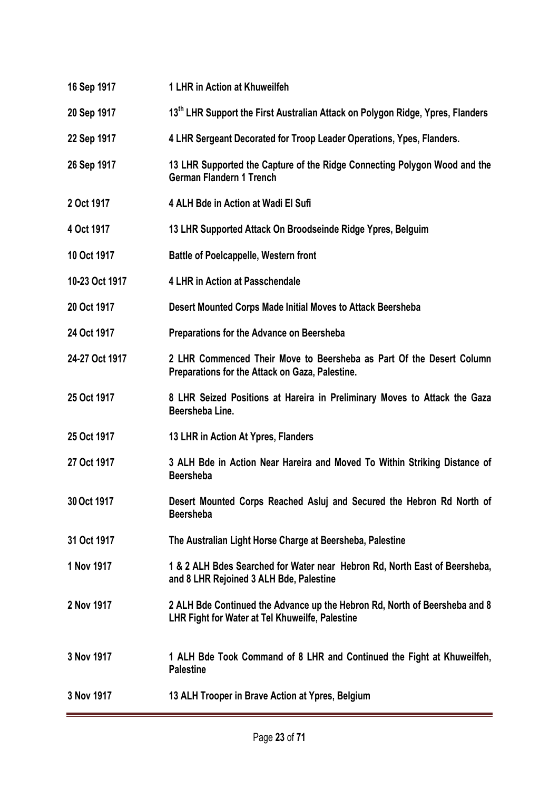- **16 Sep 1917 1 LHR in Action at Khuweilfeh**
- **20 Sep 1917 13th LHR Support the First Australian Attack on Polygon Ridge, Ypres, Flanders**
- **22 Sep 1917 4 LHR Sergeant Decorated for Troop Leader Operations, Ypes, Flanders.**
- **26 Sep 1917 13 LHR Supported the Capture of the Ridge Connecting Polygon Wood and the German Flandern 1 Trench**
- **2 Oct 1917 4 ALH Bde in Action at Wadi El Sufi**
- **4 Oct 1917 13 LHR Supported Attack On Broodseinde Ridge Ypres, Belguim**
- **10 Oct 1917 Battle of Poelcappelle, Western front**
- **10-23 Oct 1917 4 LHR in Action at Passchendale**
- **20 Oct 1917 Desert Mounted Corps Made Initial Moves to Attack Beersheba**
- **24 Oct 1917 Preparations for the Advance on Beersheba**
- **24-27 Oct 1917 2 LHR Commenced Their Move to Beersheba as Part Of the Desert Column Preparations for the Attack on Gaza, Palestine.**
- **25 Oct 1917 8 LHR Seized Positions at Hareira in Preliminary Moves to Attack the Gaza Beersheba Line.**
- **25 Oct 1917 13 LHR in Action At Ypres, Flanders**
- **27 Oct 1917 3 ALH Bde in Action Near Hareira and Moved To Within Striking Distance of Beersheba**
- **30 Oct 1917 Desert Mounted Corps Reached Asluj and Secured the Hebron Rd North of Beersheba**
- **31 Oct 1917 The Australian Light Horse Charge at Beersheba, Palestine**
- **1 Nov 1917 1 & 2 ALH Bdes Searched for Water near Hebron Rd, North East of Beersheba, and 8 LHR Rejoined 3 ALH Bde, Palestine**
- **2 Nov 1917 2 ALH Bde Continued the Advance up the Hebron Rd, North of Beersheba and 8 LHR Fight for Water at Tel Khuweilfe, Palestine**
- **3 Nov 1917 1 ALH Bde Took Command of 8 LHR and Continued the Fight at Khuweilfeh, Palestine**
- **3 Nov 1917 13 ALH Trooper in Brave Action at Ypres, Belgium**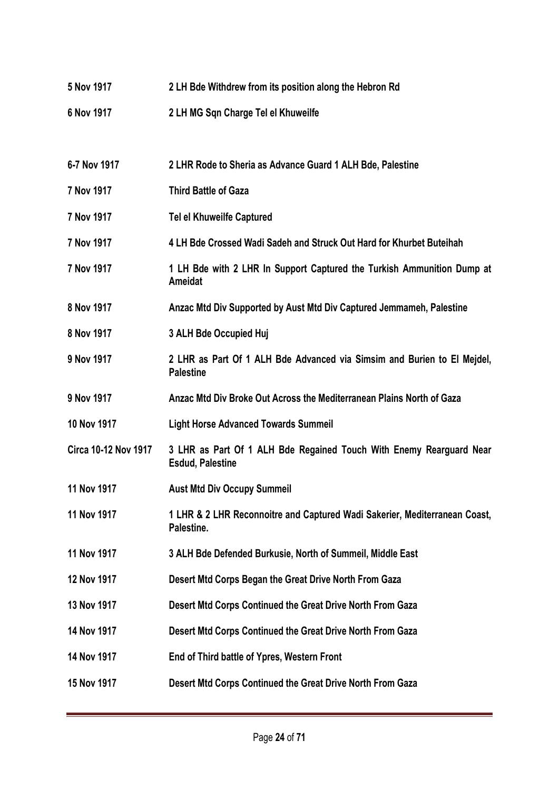**5 Nov 1917 2 LH Bde Withdrew from its position along the Hebron Rd 6 Nov 1917 2 LH MG Sqn Charge Tel el Khuweilfe 6-7 Nov 1917 2 LHR Rode to Sheria as Advance Guard 1 ALH Bde, Palestine 7 Nov 1917 Third Battle of Gaza 7 Nov 1917 Tel el Khuweilfe Captured 7 Nov 1917 4 LH Bde Crossed Wadi Sadeh and Struck Out Hard for Khurbet Buteihah 7 Nov 1917 1 LH Bde with 2 LHR In Support Captured the Turkish Ammunition Dump at Ameidat 8 Nov 1917 Anzac Mtd Div Supported by Aust Mtd Div Captured Jemmameh, Palestine 8 Nov 1917 3 ALH Bde Occupied Huj 9 Nov 1917 2 LHR as Part Of 1 ALH Bde Advanced via Simsim and Burien to El Mejdel, Palestine 9 Nov 1917 Anzac Mtd Div Broke Out Across the Mediterranean Plains North of Gaza 10 Nov 1917 Light Horse Advanced Towards Summeil Circa 10-12 Nov 1917 3 LHR as Part Of 1 ALH Bde Regained Touch With Enemy Rearguard Near Esdud, Palestine 11 Nov 1917 Aust Mtd Div Occupy Summeil 11 Nov 1917 1 LHR & 2 LHR Reconnoitre and Captured Wadi Sakerier, Mediterranean Coast, Palestine. 11 Nov 1917 3 ALH Bde Defended Burkusie, North of Summeil, Middle East 12 Nov 1917 Desert Mtd Corps Began the Great Drive North From Gaza 13 Nov 1917 Desert Mtd Corps Continued the Great Drive North From Gaza 14 Nov 1917 Desert Mtd Corps Continued the Great Drive North From Gaza 14 Nov 1917 End of Third battle of Ypres, Western Front 15 Nov 1917 Desert Mtd Corps Continued the Great Drive North From Gaza**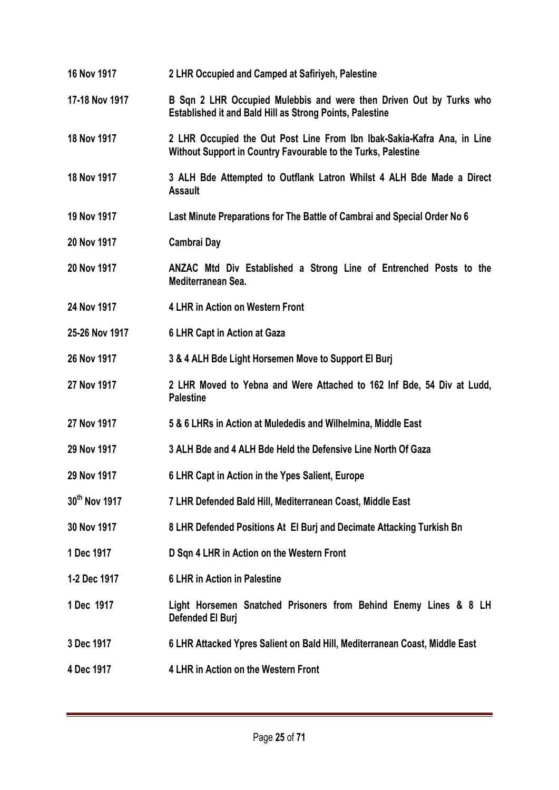**17-18 Nov 1917 B Sqn 2 LHR Occupied Mulebbis and were then Driven Out by Turks who Established it and Bald Hill as Strong Points, Palestine 18 Nov 1917 2 LHR Occupied the Out Post Line From Ibn Ibak-Sakia-Kafra Ana, in Line Without Support in Country Favourable to the Turks, Palestine 18 Nov 1917 3 ALH Bde Attempted to Outflank Latron Whilst 4 ALH Bde Made a Direct Assault 19 Nov 1917 Last Minute Preparations for The Battle of Cambrai and Special Order No 6 20 Nov 1917 Cambrai Day 20 Nov 1917 ANZAC Mtd Div Established a Strong Line of Entrenched Posts to the Mediterranean Sea. 24 Nov 1917 4 LHR in Action on Western Front 25-26 Nov 1917 6 LHR Capt in Action at Gaza 26 Nov 1917 3 & 4 ALH Bde Light Horsemen Move to Support El Burj**

**16 Nov 1917 2 LHR Occupied and Camped at Safiriyeh, Palestine**

- **27 Nov 1917 2 LHR Moved to Yebna and Were Attached to 162 Inf Bde, 54 Div at Ludd, Palestine**
- **27 Nov 1917 5 & 6 LHRs in Action at Mulededis and Wilhelmina, Middle East**
- **29 Nov 1917 3 ALH Bde and 4 ALH Bde Held the Defensive Line North Of Gaza**
- **29 Nov 1917 6 LHR Capt in Action in the Ypes Salient, Europe**
- **30th Nov 1917 7 LHR Defended Bald Hill, Mediterranean Coast, Middle East**
- **30 Nov 1917 8 LHR Defended Positions At El Burj and Decimate Attacking Turkish Bn**
- **1 Dec 1917 D Sqn 4 LHR in Action on the Western Front**
- **1-2 Dec 1917 6 LHR in Action in Palestine**
- **1 Dec 1917 Light Horsemen Snatched Prisoners from Behind Enemy Lines & 8 LH Defended El Burj**
- **3 Dec 1917 6 LHR Attacked Ypres Salient on Bald Hill, Mediterranean Coast, Middle East**
- **4 Dec 1917 4 LHR in Action on the Western Front**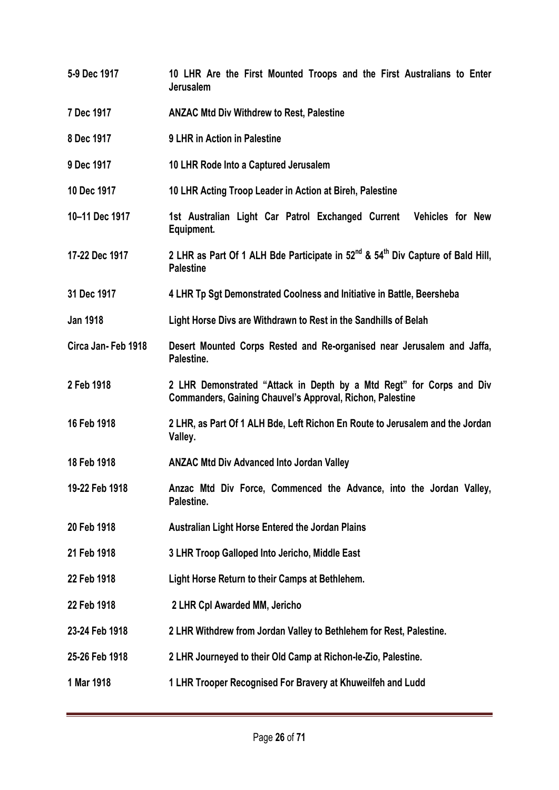- **5-9 Dec 1917 10 LHR Are the First Mounted Troops and the First Australians to Enter Jerusalem**
- **7 Dec 1917 ANZAC Mtd Div Withdrew to Rest, Palestine**
- **8 Dec 1917 9 LHR in Action in Palestine**
- **9 Dec 1917 10 LHR Rode Into a Captured Jerusalem**
- **10 Dec 1917 10 LHR Acting Troop Leader in Action at Bireh, Palestine**
- **10–11 Dec 1917 1st Australian Light Car Patrol Exchanged Current Vehicles for New Equipment.**
- **17-22 Dec 1917 2 LHR as Part Of 1 ALH Bde Participate in 52nd & 54th Div Capture of Bald Hill, Palestine**
- **31 Dec 1917 4 LHR Tp Sgt Demonstrated Coolness and Initiative in Battle, Beersheba**
- **Jan 1918 Light Horse Divs are Withdrawn to Rest in the Sandhills of Belah**
- **Circa Jan- Feb 1918 Desert Mounted Corps Rested and Re-organised near Jerusalem and Jaffa, Palestine.**
- **2 Feb 1918 2 LHR Demonstrated "Attack in Depth by a Mtd Regt" for Corps and Div Commanders, Gaining Chauvel's Approval, Richon, Palestine**
- **16 Feb 1918 2 LHR, as Part Of 1 ALH Bde, Left Richon En Route to Jerusalem and the Jordan Valley.**
- **18 Feb 1918 ANZAC Mtd Div Advanced Into Jordan Valley**
- **19-22 Feb 1918 Anzac Mtd Div Force, Commenced the Advance, into the Jordan Valley, Palestine.**
- **20 Feb 1918 Australian Light Horse Entered the Jordan Plains**
- **21 Feb 1918 3 LHR Troop Galloped Into Jericho, Middle East**
- **22 Feb 1918 Light Horse Return to their Camps at Bethlehem.**
- **22 Feb 1918 2 LHR Cpl Awarded MM, Jericho**
- **23-24 Feb 1918 2 LHR Withdrew from Jordan Valley to Bethlehem for Rest, Palestine.**
- **25-26 Feb 1918 2 LHR Journeyed to their Old Camp at Richon-le-Zio, Palestine.**
- **1 Mar 1918 1 LHR Trooper Recognised For Bravery at Khuweilfeh and Ludd**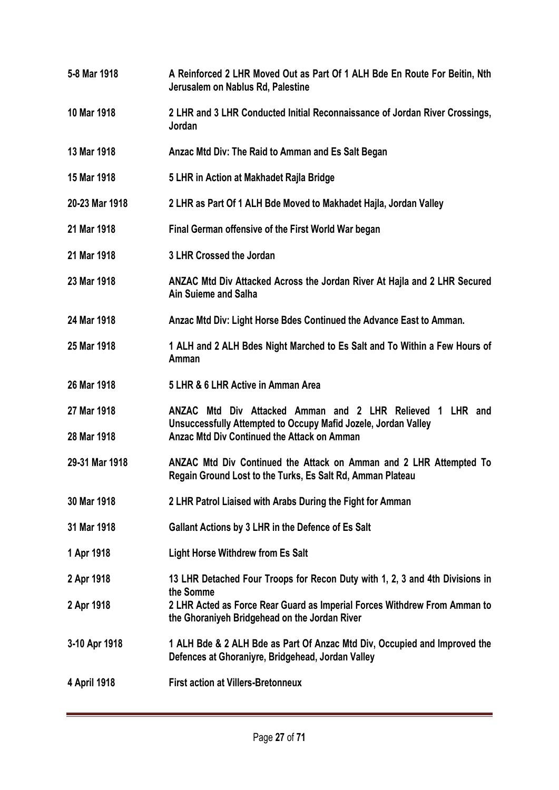**5-8 Mar 1918 A Reinforced 2 LHR Moved Out as Part Of 1 ALH Bde En Route For Beitin, Nth Jerusalem on Nablus Rd, Palestine 10 Mar 1918 2 LHR and 3 LHR Conducted Initial Reconnaissance of Jordan River Crossings, Jordan 13 Mar 1918 Anzac Mtd Div: The Raid to Amman and Es Salt Began 15 Mar 1918 5 LHR in Action at Makhadet Rajla Bridge 20-23 Mar 1918 2 LHR as Part Of 1 ALH Bde Moved to Makhadet Hajla, Jordan Valley 21 Mar 1918 Final German offensive of the First World War began 21 Mar 1918 3 LHR Crossed the Jordan 23 Mar 1918 ANZAC Mtd Div Attacked Across the Jordan River At Hajla and 2 LHR Secured Ain Suieme and Salha 24 Mar 1918 Anzac Mtd Div: Light Horse Bdes Continued the Advance East to Amman. 25 Mar 1918 1 ALH and 2 ALH Bdes Night Marched to Es Salt and To Within a Few Hours of Amman 26 Mar 1918 5 LHR & 6 LHR Active in Amman Area 27 Mar 1918 ANZAC Mtd Div Attacked Amman and 2 LHR Relieved 1 LHR and Unsuccessfully Attempted to Occupy Mafid Jozele, Jordan Valley 28 Mar 1918 Anzac Mtd Div Continued the Attack on Amman 29-31 Mar 1918 ANZAC Mtd Div Continued the Attack on Amman and 2 LHR Attempted To Regain Ground Lost to the Turks, Es Salt Rd, Amman Plateau 30 Mar 1918 2 LHR Patrol Liaised with Arabs During the Fight for Amman 31 Mar 1918 Gallant Actions by 3 LHR in the Defence of Es Salt 1 Apr 1918 Light Horse Withdrew from Es Salt 2 Apr 1918 13 LHR Detached Four Troops for Recon Duty with 1, 2, 3 and 4th Divisions in the Somme 2 Apr 1918 2 LHR Acted as Force Rear Guard as Imperial Forces Withdrew From Amman to the Ghoraniyeh Bridgehead on the Jordan River 3-10 Apr 1918 1 ALH Bde & 2 ALH Bde as Part Of Anzac Mtd Div, Occupied and Improved the Defences at Ghoraniyre, Bridgehead, Jordan Valley 4 April 1918 First action at Villers-Bretonneux**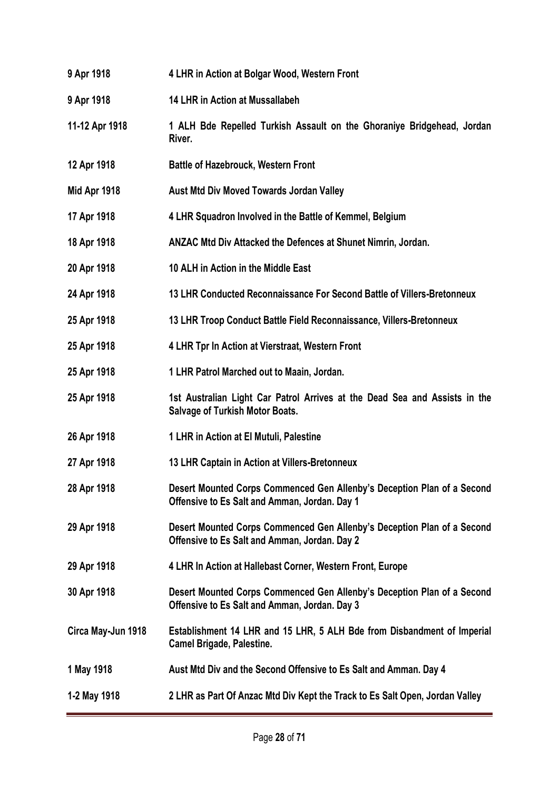| 9 Apr 1918         | 4 LHR in Action at Bolgar Wood, Western Front                                                                            |
|--------------------|--------------------------------------------------------------------------------------------------------------------------|
| 9 Apr 1918         | <b>14 LHR in Action at Mussallabeh</b>                                                                                   |
| 11-12 Apr 1918     | 1 ALH Bde Repelled Turkish Assault on the Ghoraniye Bridgehead, Jordan<br>River.                                         |
| 12 Apr 1918        | <b>Battle of Hazebrouck, Western Front</b>                                                                               |
| Mid Apr 1918       | <b>Aust Mtd Div Moved Towards Jordan Valley</b>                                                                          |
| 17 Apr 1918        | 4 LHR Squadron Involved in the Battle of Kemmel, Belgium                                                                 |
| 18 Apr 1918        | ANZAC Mtd Div Attacked the Defences at Shunet Nimrin, Jordan.                                                            |
| 20 Apr 1918        | 10 ALH in Action in the Middle East                                                                                      |
| 24 Apr 1918        | 13 LHR Conducted Reconnaissance For Second Battle of Villers-Bretonneux                                                  |
| 25 Apr 1918        | 13 LHR Troop Conduct Battle Field Reconnaissance, Villers-Bretonneux                                                     |
| 25 Apr 1918        | 4 LHR Tpr In Action at Vierstraat, Western Front                                                                         |
| 25 Apr 1918        | 1 LHR Patrol Marched out to Maain, Jordan.                                                                               |
| 25 Apr 1918        | 1st Australian Light Car Patrol Arrives at the Dead Sea and Assists in the<br><b>Salvage of Turkish Motor Boats.</b>     |
| 26 Apr 1918        | 1 LHR in Action at El Mutuli, Palestine                                                                                  |
| 27 Apr 1918        | 13 LHR Captain in Action at Villers-Bretonneux                                                                           |
| 28 Apr 1918        | Desert Mounted Corps Commenced Gen Allenby's Deception Plan of a Second<br>Offensive to Es Salt and Amman, Jordan. Day 1 |
| 29 Apr 1918        | Desert Mounted Corps Commenced Gen Allenby's Deception Plan of a Second<br>Offensive to Es Salt and Amman, Jordan. Day 2 |
| 29 Apr 1918        | 4 LHR In Action at Hallebast Corner, Western Front, Europe                                                               |
| 30 Apr 1918        | Desert Mounted Corps Commenced Gen Allenby's Deception Plan of a Second<br>Offensive to Es Salt and Amman, Jordan. Day 3 |
| Circa May-Jun 1918 | Establishment 14 LHR and 15 LHR, 5 ALH Bde from Disbandment of Imperial<br><b>Camel Brigade, Palestine.</b>              |
| 1 May 1918         | Aust Mtd Div and the Second Offensive to Es Salt and Amman. Day 4                                                        |
| 1-2 May 1918       | 2 LHR as Part Of Anzac Mtd Div Kept the Track to Es Salt Open, Jordan Valley                                             |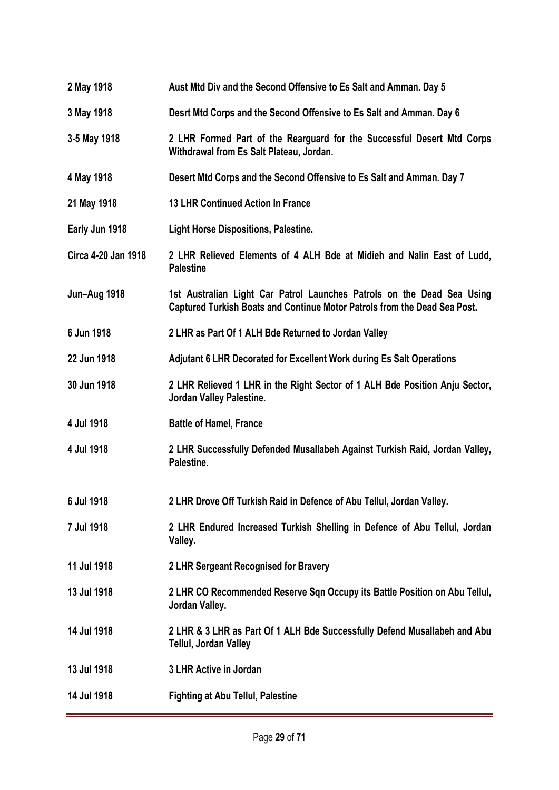- **2 May 1918 Aust Mtd Div and the Second Offensive to Es Salt and Amman. Day 5**
- **3 May 1918 Desrt Mtd Corps and the Second Offensive to Es Salt and Amman. Day 6**
- **3-5 May 1918 2 LHR Formed Part of the Rearguard for the Successful Desert Mtd Corps Withdrawal from Es Salt Plateau, Jordan.**
- **4 May 1918 Desert Mtd Corps and the Second Offensive to Es Salt and Amman. Day 7**
- **21 May 1918 13 LHR Continued Action In France**
- **Early Jun 1918 Light Horse Dispositions, Palestine.**
- **Circa 4-20 Jan 1918 2 LHR Relieved Elements of 4 ALH Bde at Midieh and Nalin East of Ludd, Palestine**
- **Jun–Aug 1918 1st Australian Light Car Patrol Launches Patrols on the Dead Sea Using Captured Turkish Boats and Continue Motor Patrols from the Dead Sea Post.**
- **6 Jun 1918 2 LHR as Part Of 1 ALH Bde Returned to Jordan Valley**
- **22 Jun 1918 Adjutant 6 LHR Decorated for Excellent Work during Es Salt Operations**
- **30 Jun 1918 2 LHR Relieved 1 LHR in the Right Sector of 1 ALH Bde Position Anju Sector, Jordan Valley Palestine.**
- **4 Jul 1918 Battle of Hamel, France**
- **4 Jul 1918 2 LHR Successfully Defended Musallabeh Against Turkish Raid, Jordan Valley, Palestine.**
- **6 Jul 1918 2 LHR Drove Off Turkish Raid in Defence of Abu Tellul, Jordan Valley.**
- **7 Jul 1918 2 LHR Endured Increased Turkish Shelling in Defence of Abu Tellul, Jordan Valley.**
- **11 Jul 1918 2 LHR Sergeant Recognised for Bravery**
- **13 Jul 1918 2 LHR CO Recommended Reserve Sqn Occupy its Battle Position on Abu Tellul, Jordan Valley.**
- **14 Jul 1918 2 LHR & 3 LHR as Part Of 1 ALH Bde Successfully Defend Musallabeh and Abu Tellul, Jordan Valley**
- **13 Jul 1918 3 LHR Active in Jordan**
- **14 Jul 1918 Fighting at Abu Tellul, Palestine**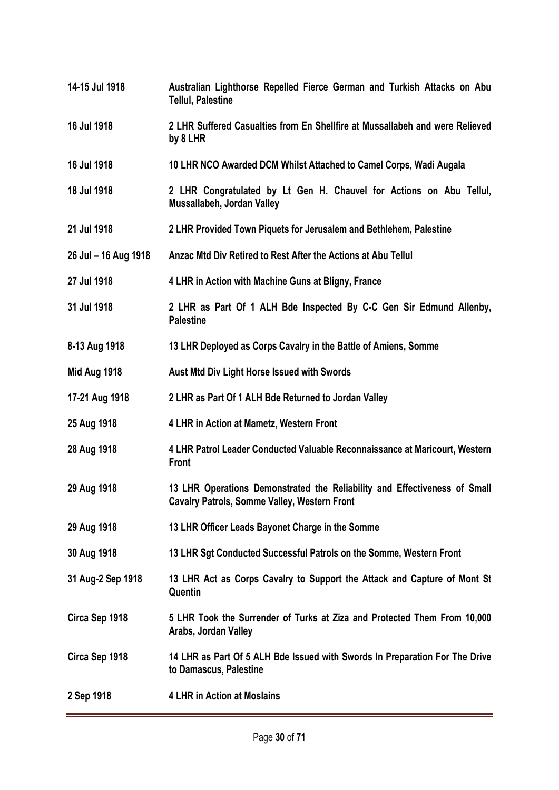**14-15 Jul 1918 Australian Lighthorse Repelled Fierce German and Turkish Attacks on Abu Tellul, Palestine 16 Jul 1918 2 LHR Suffered Casualties from En Shellfire at Mussallabeh and were Relieved by 8 LHR 16 Jul 1918 10 LHR NCO Awarded DCM Whilst Attached to Camel Corps, Wadi Augala 18 Jul 1918 2 LHR Congratulated by Lt Gen H. Chauvel for Actions on Abu Tellul, Mussallabeh, Jordan Valley 21 Jul 1918 2 LHR Provided Town Piquets for Jerusalem and Bethlehem, Palestine 26 Jul – 16 Aug 1918 Anzac Mtd Div Retired to Rest After the Actions at Abu Tellul 27 Jul 1918 4 LHR in Action with Machine Guns at Bligny, France 31 Jul 1918 2 LHR as Part Of 1 ALH Bde Inspected By C-C Gen Sir Edmund Allenby, Palestine 8-13 Aug 1918 13 LHR Deployed as Corps Cavalry in the Battle of Amiens, Somme Mid Aug 1918 Aust Mtd Div Light Horse Issued with Swords 17-21 Aug 1918 2 LHR as Part Of 1 ALH Bde Returned to Jordan Valley 25 Aug 1918 4 LHR in Action at Mametz, Western Front 28 Aug 1918 4 LHR Patrol Leader Conducted Valuable Reconnaissance at Maricourt, Western Front 29 Aug 1918 13 LHR Operations Demonstrated the Reliability and Effectiveness of Small Cavalry Patrols, Somme Valley, Western Front 29 Aug 1918 13 LHR Officer Leads Bayonet Charge in the Somme 30 Aug 1918 13 LHR Sgt Conducted Successful Patrols on the Somme, Western Front 31 Aug-2 Sep 1918 13 LHR Act as Corps Cavalry to Support the Attack and Capture of Mont St Quentin Circa Sep 1918 5 LHR Took the Surrender of Turks at Ziza and Protected Them From 10,000 Arabs, Jordan Valley Circa Sep 1918 14 LHR as Part Of 5 ALH Bde Issued with Swords In Preparation For The Drive to Damascus, Palestine 2 Sep 1918 4 LHR in Action at Moslains**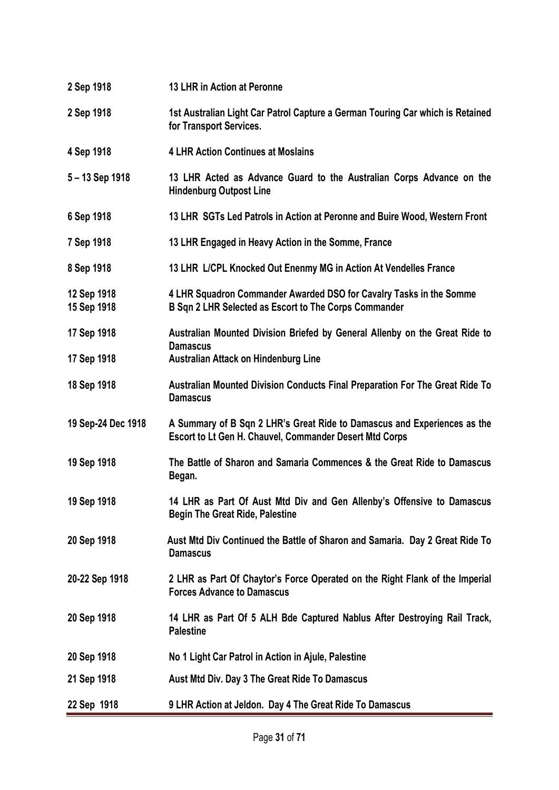| 2 Sep 1918                 | 13 LHR in Action at Peronne                                                                                                         |
|----------------------------|-------------------------------------------------------------------------------------------------------------------------------------|
| 2 Sep 1918                 | 1st Australian Light Car Patrol Capture a German Touring Car which is Retained<br>for Transport Services.                           |
| 4 Sep 1918                 | <b>4 LHR Action Continues at Moslains</b>                                                                                           |
| 5-13 Sep 1918              | 13 LHR Acted as Advance Guard to the Australian Corps Advance on the<br><b>Hindenburg Outpost Line</b>                              |
| 6 Sep 1918                 | 13 LHR SGTs Led Patrols in Action at Peronne and Buire Wood, Western Front                                                          |
| 7 Sep 1918                 | 13 LHR Engaged in Heavy Action in the Somme, France                                                                                 |
| 8 Sep 1918                 | 13 LHR L/CPL Knocked Out Enenmy MG in Action At Vendelles France                                                                    |
| 12 Sep 1918<br>15 Sep 1918 | 4 LHR Squadron Commander Awarded DSO for Cavalry Tasks in the Somme<br>B Sqn 2 LHR Selected as Escort to The Corps Commander        |
| 17 Sep 1918                | Australian Mounted Division Briefed by General Allenby on the Great Ride to                                                         |
| 17 Sep 1918                | <b>Damascus</b><br><b>Australian Attack on Hindenburg Line</b>                                                                      |
| 18 Sep 1918                | Australian Mounted Division Conducts Final Preparation For The Great Ride To<br><b>Damascus</b>                                     |
| 19 Sep-24 Dec 1918         | A Summary of B Sqn 2 LHR's Great Ride to Damascus and Experiences as the<br>Escort to Lt Gen H. Chauvel, Commander Desert Mtd Corps |
| 19 Sep 1918                | The Battle of Sharon and Samaria Commences & the Great Ride to Damascus<br>Began.                                                   |
| 19 Sep 1918                | 14 LHR as Part Of Aust Mtd Div and Gen Allenby's Offensive to Damascus<br><b>Begin The Great Ride, Palestine</b>                    |
| 20 Sep 1918                | Aust Mtd Div Continued the Battle of Sharon and Samaria. Day 2 Great Ride To<br><b>Damascus</b>                                     |
| 20-22 Sep 1918             | 2 LHR as Part Of Chaytor's Force Operated on the Right Flank of the Imperial<br><b>Forces Advance to Damascus</b>                   |
| 20 Sep 1918                | 14 LHR as Part Of 5 ALH Bde Captured Nablus After Destroying Rail Track,<br><b>Palestine</b>                                        |
| 20 Sep 1918                | No 1 Light Car Patrol in Action in Ajule, Palestine                                                                                 |
| 21 Sep 1918                | Aust Mtd Div. Day 3 The Great Ride To Damascus                                                                                      |
| 22 Sep 1918                | 9 LHR Action at Jeldon. Day 4 The Great Ride To Damascus                                                                            |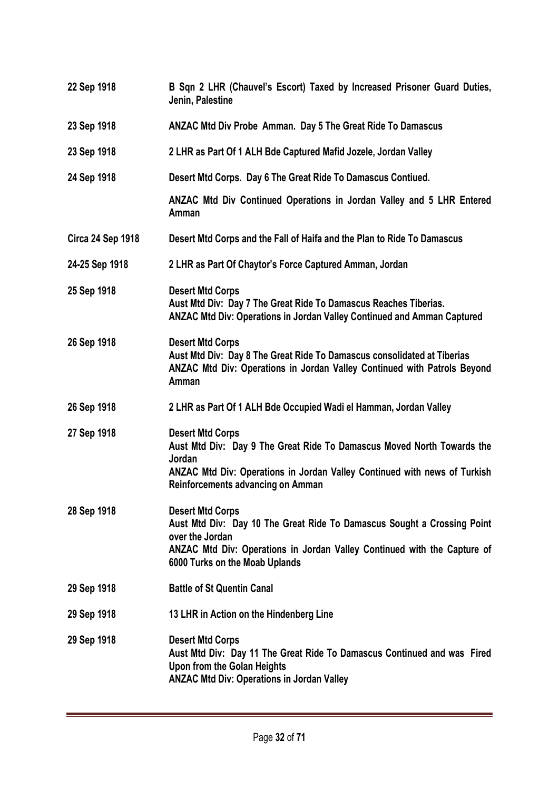**22 Sep 1918 B Sqn 2 LHR (Chauvel's Escort) Taxed by Increased Prisoner Guard Duties, Jenin, Palestine 23 Sep 1918 ANZAC Mtd Div Probe Amman. Day 5 The Great Ride To Damascus 23 Sep 1918 2 LHR as Part Of 1 ALH Bde Captured Mafid Jozele, Jordan Valley 24 Sep 1918 Desert Mtd Corps. Day 6 The Great Ride To Damascus Contiued. ANZAC Mtd Div Continued Operations in Jordan Valley and 5 LHR Entered Amman Circa 24 Sep 1918 Desert Mtd Corps and the Fall of Haifa and the Plan to Ride To Damascus 24-25 Sep 1918 2 LHR as Part Of Chaytor's Force Captured Amman, Jordan 25 Sep 1918 Desert Mtd Corps Aust Mtd Div: Day 7 The Great Ride To Damascus Reaches Tiberias. ANZAC Mtd Div: Operations in Jordan Valley Continued and Amman Captured 26 Sep 1918 Desert Mtd Corps Aust Mtd Div: Day 8 The Great Ride To Damascus consolidated at Tiberias ANZAC Mtd Div: Operations in Jordan Valley Continued with Patrols Beyond Amman 26 Sep 1918 2 LHR as Part Of 1 ALH Bde Occupied Wadi el Hamman, Jordan Valley 27 Sep 1918 Desert Mtd Corps Aust Mtd Div: Day 9 The Great Ride To Damascus Moved North Towards the Jordan ANZAC Mtd Div: Operations in Jordan Valley Continued with news of Turkish Reinforcements advancing on Amman 28 Sep 1918 Desert Mtd Corps Aust Mtd Div: Day 10 The Great Ride To Damascus Sought a Crossing Point over the Jordan ANZAC Mtd Div: Operations in Jordan Valley Continued with the Capture of 6000 Turks on the Moab Uplands 29 Sep 1918 Battle of St Quentin Canal 29 Sep 1918 13 LHR in Action on the Hindenberg Line 29 Sep 1918 Desert Mtd Corps Aust Mtd Div: Day 11 The Great Ride To Damascus Continued and was Fired Upon from the Golan Heights ANZAC Mtd Div: Operations in Jordan Valley**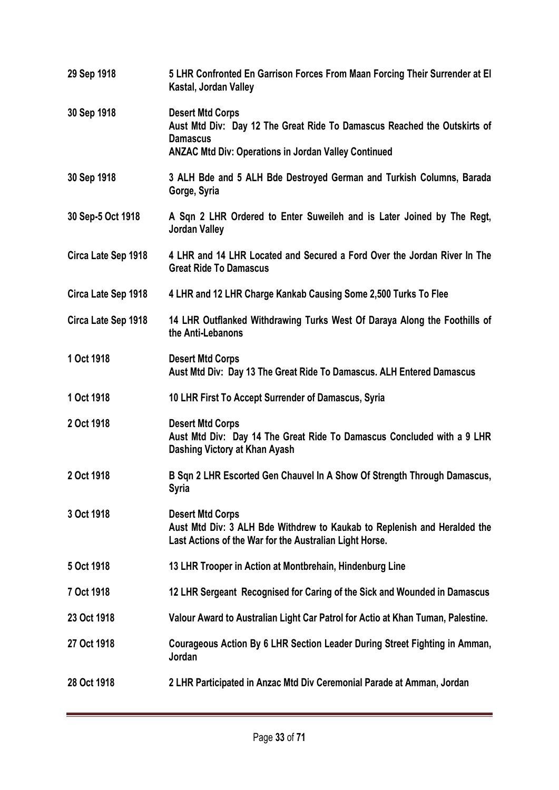| 29 Sep 1918         | 5 LHR Confronted En Garrison Forces From Maan Forcing Their Surrender at El<br>Kastal, Jordan Valley                                                                                  |
|---------------------|---------------------------------------------------------------------------------------------------------------------------------------------------------------------------------------|
| 30 Sep 1918         | <b>Desert Mtd Corps</b><br>Aust Mtd Div: Day 12 The Great Ride To Damascus Reached the Outskirts of<br><b>Damascus</b><br><b>ANZAC Mtd Div: Operations in Jordan Valley Continued</b> |
| 30 Sep 1918         | 3 ALH Bde and 5 ALH Bde Destroyed German and Turkish Columns, Barada<br>Gorge, Syria                                                                                                  |
| 30 Sep-5 Oct 1918   | A Sqn 2 LHR Ordered to Enter Suweileh and is Later Joined by The Regt,<br><b>Jordan Valley</b>                                                                                        |
| Circa Late Sep 1918 | 4 LHR and 14 LHR Located and Secured a Ford Over the Jordan River In The<br><b>Great Ride To Damascus</b>                                                                             |
| Circa Late Sep 1918 | 4 LHR and 12 LHR Charge Kankab Causing Some 2,500 Turks To Flee                                                                                                                       |
| Circa Late Sep 1918 | 14 LHR Outflanked Withdrawing Turks West Of Daraya Along the Foothills of<br>the Anti-Lebanons                                                                                        |
| 1 Oct 1918          | <b>Desert Mtd Corps</b><br>Aust Mtd Div: Day 13 The Great Ride To Damascus. ALH Entered Damascus                                                                                      |
| 1 Oct 1918          | 10 LHR First To Accept Surrender of Damascus, Syria                                                                                                                                   |
| 2 Oct 1918          | <b>Desert Mtd Corps</b><br>Aust Mtd Div: Day 14 The Great Ride To Damascus Concluded with a 9 LHR<br>Dashing Victory at Khan Ayash                                                    |
| 2 Oct 1918          | B Sqn 2 LHR Escorted Gen Chauvel In A Show Of Strength Through Damascus,<br>Syria                                                                                                     |
| 3 Oct 1918          | <b>Desert Mtd Corps</b><br>Aust Mtd Div: 3 ALH Bde Withdrew to Kaukab to Replenish and Heralded the<br>Last Actions of the War for the Australian Light Horse.                        |
| 5 Oct 1918          | 13 LHR Trooper in Action at Montbrehain, Hindenburg Line                                                                                                                              |
| 7 Oct 1918          | 12 LHR Sergeant Recognised for Caring of the Sick and Wounded in Damascus                                                                                                             |
| 23 Oct 1918         | Valour Award to Australian Light Car Patrol for Actio at Khan Tuman, Palestine.                                                                                                       |
| 27 Oct 1918         | Courageous Action By 6 LHR Section Leader During Street Fighting in Amman,<br>Jordan                                                                                                  |
| 28 Oct 1918         | 2 LHR Participated in Anzac Mtd Div Ceremonial Parade at Amman, Jordan                                                                                                                |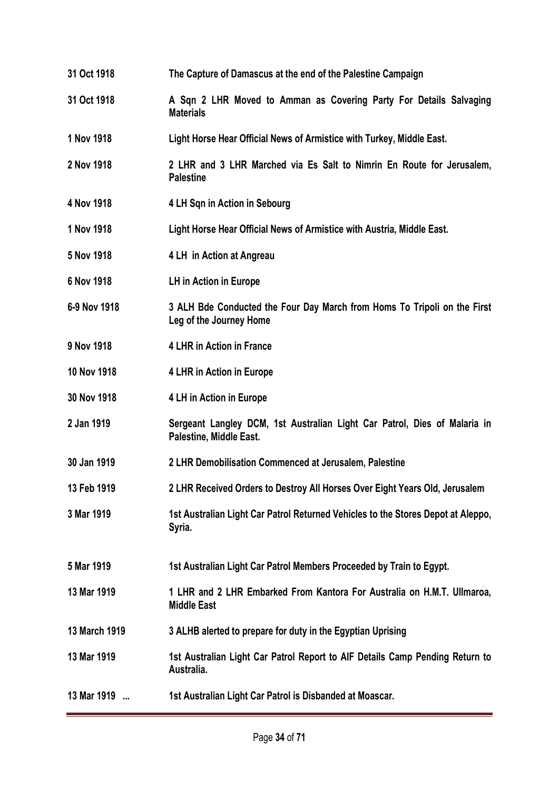- **31 Oct 1918 The Capture of Damascus at the end of the Palestine Campaign**
- **31 Oct 1918 A Sqn 2 LHR Moved to Amman as Covering Party For Details Salvaging Materials**
- **1 Nov 1918 Light Horse Hear Official News of Armistice with Turkey, Middle East.**
- **2 Nov 1918 2 LHR and 3 LHR Marched via Es Salt to Nimrin En Route for Jerusalem, Palestine**
- **4 Nov 1918 4 LH Sqn in Action in Sebourg**
- **1 Nov 1918 Light Horse Hear Official News of Armistice with Austria, Middle East.**
- **5 Nov 1918 4 LH in Action at Angreau**
- **6 Nov 1918 LH in Action in Europe**
- **6-9 Nov 1918 3 ALH Bde Conducted the Four Day March from Homs To Tripoli on the First Leg of the Journey Home**
- **9 Nov 1918 4 LHR in Action in France**
- **10 Nov 1918 4 LHR in Action in Europe**
- **30 Nov 1918 4 LH in Action in Europe**
- **2 Jan 1919 Sergeant Langley DCM, 1st Australian Light Car Patrol, Dies of Malaria in Palestine, Middle East.**
- **30 Jan 1919 2 LHR Demobilisation Commenced at Jerusalem, Palestine**
- **13 Feb 1919 2 LHR Received Orders to Destroy All Horses Over Eight Years Old, Jerusalem**
- **3 Mar 1919 1st Australian Light Car Patrol Returned Vehicles to the Stores Depot at Aleppo, Syria.**
- **5 Mar 1919 1st Australian Light Car Patrol Members Proceeded by Train to Egypt.**
- **13 Mar 1919 1 LHR and 2 LHR Embarked From Kantora For Australia on H.M.T. Ullmaroa, Middle East**
- **13 March 1919 3 ALHB alerted to prepare for duty in the Egyptian Uprising**
- **13 Mar 1919 1st Australian Light Car Patrol Report to AIF Details Camp Pending Return to Australia.**
- **13 Mar 1919 ... 1st Australian Light Car Patrol is Disbanded at Moascar.**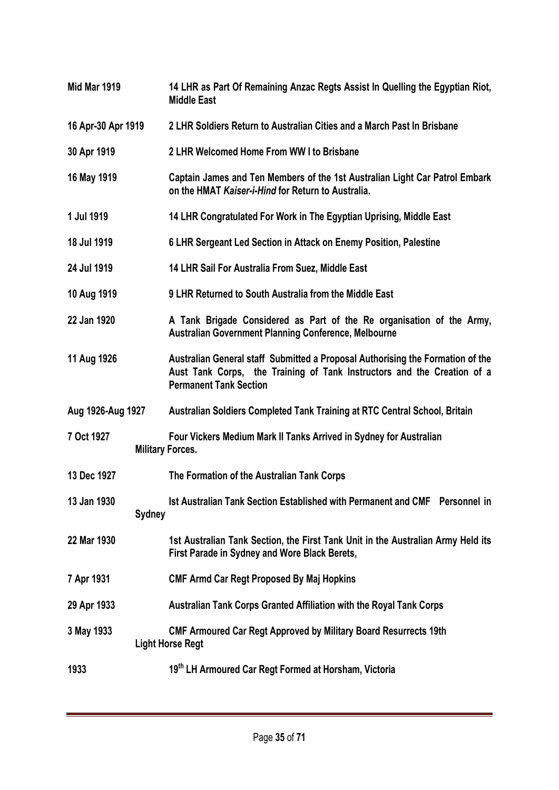**Mid Mar 1919 14 LHR as Part Of Remaining Anzac Regts Assist In Quelling the Egyptian Riot, Middle East 16 Apr-30 Apr 1919 2 LHR Soldiers Return to Australian Cities and a March Past In Brisbane 30 Apr 1919 2 LHR Welcomed Home From WW I to Brisbane 16 May 1919 Captain James and Ten Members of the 1st Australian Light Car Patrol Embark on the HMAT** *Kaiser-i-Hind* **for Return to Australia. 1 Jul 1919 14 LHR Congratulated For Work in The Egyptian Uprising, Middle East 18 Jul 1919 6 LHR Sergeant Led Section in Attack on Enemy Position, Palestine 24 Jul 1919 14 LHR Sail For Australia From Suez, Middle East 10 Aug 1919 9 LHR Returned to South Australia from the Middle East 22 Jan 1920 A Tank Brigade Considered as Part of the Re organisation of the Army, Australian Government Planning Conference, Melbourne 11 Aug 1926 Australian General staff Submitted a Proposal Authorising the Formation of the Aust Tank Corps, the Training of Tank Instructors and the Creation of a Permanent Tank Section Aug 1926-Aug 1927 Australian Soldiers Completed Tank Training at RTC Central School, Britain 7 Oct 1927 Four Vickers Medium Mark II Tanks Arrived in Sydney for Australian Military Forces. 13 Dec 1927 The Formation of the Australian Tank Corps 13 Jan 1930 Ist Australian Tank Section Established with Permanent and CMF Personnel in Sydney 22 Mar 1930 1st Australian Tank Section, the First Tank Unit in the Australian Army Held its First Parade in Sydney and Wore Black Berets, 7 Apr 1931 CMF Armd Car Regt Proposed By Maj Hopkins 29 Apr 1933 Australian Tank Corps Granted Affiliation with the Royal Tank Corps 3 May 1933 CMF Armoured Car Regt Approved by Military Board Resurrects 19th Light Horse Regt 1933 19th LH Armoured Car Regt Formed at Horsham, Victoria**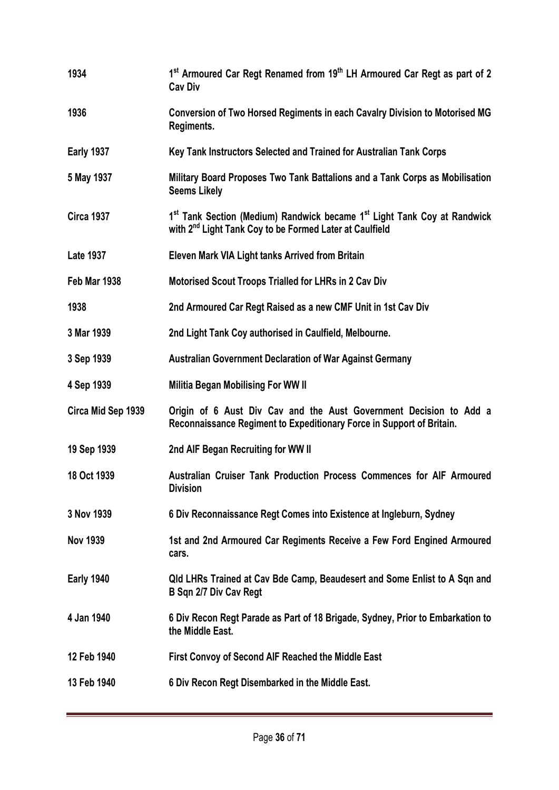| 1934               | 1 <sup>st</sup> Armoured Car Regt Renamed from 19 <sup>th</sup> LH Armoured Car Regt as part of 2<br><b>Cav Div</b>                                                     |
|--------------------|-------------------------------------------------------------------------------------------------------------------------------------------------------------------------|
| 1936               | Conversion of Two Horsed Regiments in each Cavalry Division to Motorised MG<br>Regiments.                                                                               |
| <b>Early 1937</b>  | Key Tank Instructors Selected and Trained for Australian Tank Corps                                                                                                     |
| 5 May 1937         | Military Board Proposes Two Tank Battalions and a Tank Corps as Mobilisation<br><b>Seems Likely</b>                                                                     |
| <b>Circa 1937</b>  | 1 <sup>st</sup> Tank Section (Medium) Randwick became 1 <sup>st</sup> Light Tank Coy at Randwick<br>with 2 <sup>nd</sup> Light Tank Coy to be Formed Later at Caulfield |
| <b>Late 1937</b>   | Eleven Mark VIA Light tanks Arrived from Britain                                                                                                                        |
| Feb Mar 1938       | <b>Motorised Scout Troops Trialled for LHRs in 2 Cav Div</b>                                                                                                            |
| 1938               | 2nd Armoured Car Regt Raised as a new CMF Unit in 1st Cav Div                                                                                                           |
| 3 Mar 1939         | 2nd Light Tank Coy authorised in Caulfield, Melbourne.                                                                                                                  |
| 3 Sep 1939         | <b>Australian Government Declaration of War Against Germany</b>                                                                                                         |
| 4 Sep 1939         | <b>Militia Began Mobilising For WW II</b>                                                                                                                               |
| Circa Mid Sep 1939 | Origin of 6 Aust Div Cav and the Aust Government Decision to Add a<br>Reconnaissance Regiment to Expeditionary Force in Support of Britain.                             |
| 19 Sep 1939        | 2nd AIF Began Recruiting for WW II                                                                                                                                      |
| 18 Oct 1939        | Australian Cruiser Tank Production Process Commences for AIF Armoured<br><b>Division</b>                                                                                |
| 3 Nov 1939         | 6 Div Reconnaissance Regt Comes into Existence at Ingleburn, Sydney                                                                                                     |
| <b>Nov 1939</b>    | 1st and 2nd Armoured Car Regiments Receive a Few Ford Engined Armoured<br>cars.                                                                                         |
| <b>Early 1940</b>  | Qld LHRs Trained at Cav Bde Camp, Beaudesert and Some Enlist to A Sqn and<br>B Sqn 2/7 Div Cav Regt                                                                     |
| 4 Jan 1940         | 6 Div Recon Regt Parade as Part of 18 Brigade, Sydney, Prior to Embarkation to<br>the Middle East.                                                                      |
| 12 Feb 1940        | First Convoy of Second AIF Reached the Middle East                                                                                                                      |
| 13 Feb 1940        | 6 Div Recon Regt Disembarked in the Middle East.                                                                                                                        |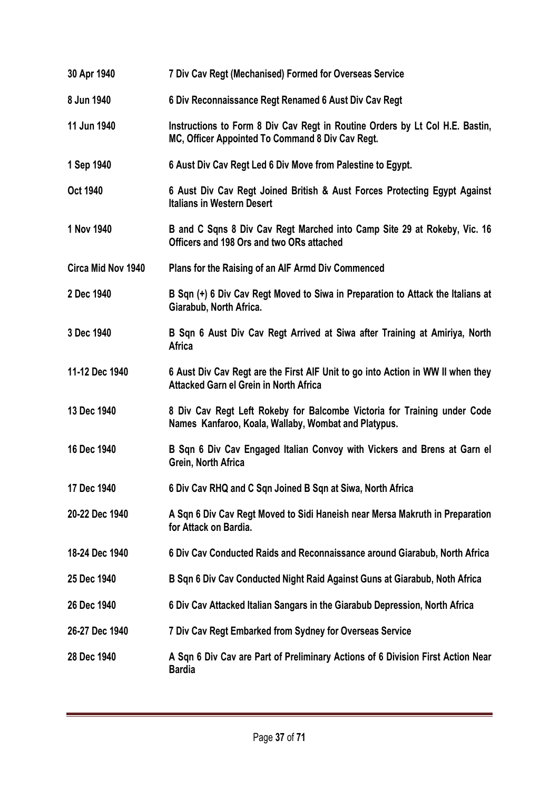| 30 Apr 1940        | 7 Div Cav Regt (Mechanised) Formed for Overseas Service                                                                          |
|--------------------|----------------------------------------------------------------------------------------------------------------------------------|
| 8 Jun 1940         | 6 Div Reconnaissance Regt Renamed 6 Aust Div Cav Regt                                                                            |
| 11 Jun 1940        | Instructions to Form 8 Div Cav Regt in Routine Orders by Lt Col H.E. Bastin,<br>MC, Officer Appointed To Command 8 Div Cav Regt. |
| 1 Sep 1940         | 6 Aust Div Cav Regt Led 6 Div Move from Palestine to Egypt.                                                                      |
| <b>Oct 1940</b>    | 6 Aust Div Cav Regt Joined British & Aust Forces Protecting Egypt Against<br><b>Italians in Western Desert</b>                   |
| 1 Nov 1940         | B and C Sqns 8 Div Cav Regt Marched into Camp Site 29 at Rokeby, Vic. 16<br>Officers and 198 Ors and two ORs attached            |
| Circa Mid Nov 1940 | Plans for the Raising of an AIF Armd Div Commenced                                                                               |
| 2 Dec 1940         | B Sqn (+) 6 Div Cav Regt Moved to Siwa in Preparation to Attack the Italians at<br>Giarabub, North Africa.                       |
| 3 Dec 1940         | B Sqn 6 Aust Div Cav Regt Arrived at Siwa after Training at Amiriya, North<br><b>Africa</b>                                      |
| 11-12 Dec 1940     | 6 Aust Div Cav Regt are the First AIF Unit to go into Action in WW II when they<br>Attacked Garn el Grein in North Africa        |
| 13 Dec 1940        | 8 Div Cav Regt Left Rokeby for Balcombe Victoria for Training under Code<br>Names Kanfaroo, Koala, Wallaby, Wombat and Platypus. |
| 16 Dec 1940        | B Sqn 6 Div Cav Engaged Italian Convoy with Vickers and Brens at Garn el<br>Grein, North Africa                                  |
| 17 Dec 1940        | 6 Div Cav RHQ and C Sqn Joined B Sqn at Siwa, North Africa                                                                       |
| 20-22 Dec 1940     | A Sqn 6 Div Cav Regt Moved to Sidi Haneish near Mersa Makruth in Preparation<br>for Attack on Bardia.                            |
| 18-24 Dec 1940     | 6 Div Cav Conducted Raids and Reconnaissance around Giarabub, North Africa                                                       |
| 25 Dec 1940        | B Sqn 6 Div Cav Conducted Night Raid Against Guns at Giarabub, Noth Africa                                                       |
| 26 Dec 1940        | 6 Div Cav Attacked Italian Sangars in the Giarabub Depression, North Africa                                                      |
| 26-27 Dec 1940     | 7 Div Cav Regt Embarked from Sydney for Overseas Service                                                                         |
| 28 Dec 1940        | A Sqn 6 Div Cav are Part of Preliminary Actions of 6 Division First Action Near<br><b>Bardia</b>                                 |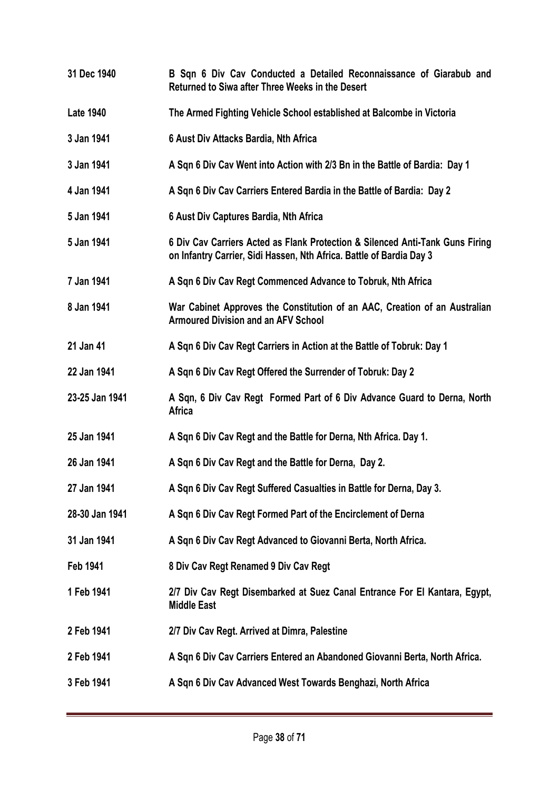**31 Dec 1940 B Sqn 6 Div Cav Conducted a Detailed Reconnaissance of Giarabub and Returned to Siwa after Three Weeks in the Desert Late 1940 The Armed Fighting Vehicle School established at Balcombe in Victoria 3 Jan 1941 6 Aust Div Attacks Bardia, Nth Africa 3 Jan 1941 A Sqn 6 Div Cav Went into Action with 2/3 Bn in the Battle of Bardia: Day 1 4 Jan 1941 A Sqn 6 Div Cav Carriers Entered Bardia in the Battle of Bardia: Day 2 5 Jan 1941 6 Aust Div Captures Bardia, Nth Africa 5 Jan 1941 6 Div Cav Carriers Acted as Flank Protection & Silenced Anti-Tank Guns Firing on Infantry Carrier, Sidi Hassen, Nth Africa. Battle of Bardia Day 3 7 Jan 1941 A Sqn 6 Div Cav Regt Commenced Advance to Tobruk, Nth Africa 8 Jan 1941 War Cabinet Approves the Constitution of an AAC, Creation of an Australian Armoured Division and an AFV School 21 Jan 41 A Sqn 6 Div Cav Regt Carriers in Action at the Battle of Tobruk: Day 1 22 Jan 1941 A Sqn 6 Div Cav Regt Offered the Surrender of Tobruk: Day 2 23-25 Jan 1941 A Sqn, 6 Div Cav Regt Formed Part of 6 Div Advance Guard to Derna, North Africa 25 Jan 1941 A Sqn 6 Div Cav Regt and the Battle for Derna, Nth Africa. Day 1. 26 Jan 1941 A Sqn 6 Div Cav Regt and the Battle for Derna, Day 2. 27 Jan 1941 A Sqn 6 Div Cav Regt Suffered Casualties in Battle for Derna, Day 3. 28-30 Jan 1941 A Sqn 6 Div Cav Regt Formed Part of the Encirclement of Derna 31 Jan 1941 A Sqn 6 Div Cav Regt Advanced to Giovanni Berta, North Africa. Feb 1941 8 Div Cav Regt Renamed 9 Div Cav Regt 1 Feb 1941 2/7 Div Cav Regt Disembarked at Suez Canal Entrance For El Kantara, Egypt, Middle East 2 Feb 1941 2/7 Div Cav Regt. Arrived at Dimra, Palestine 2 Feb 1941 A Sqn 6 Div Cav Carriers Entered an Abandoned Giovanni Berta, North Africa. 3 Feb 1941 A Sqn 6 Div Cav Advanced West Towards Benghazi, North Africa**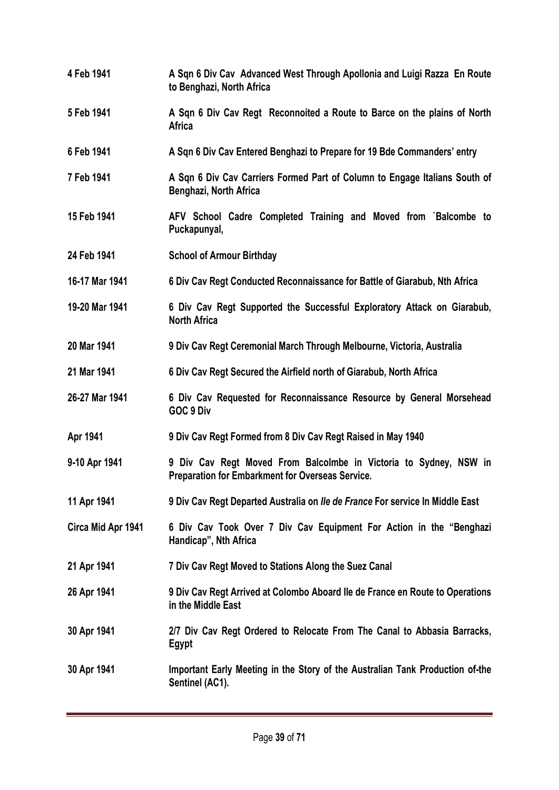**4 Feb 1941 A Sqn 6 Div Cav Advanced West Through Apollonia and Luigi Razza En Route to Benghazi, North Africa 5 Feb 1941 A Sqn 6 Div Cav Regt Reconnoited a Route to Barce on the plains of North Africa 6 Feb 1941 A Sqn 6 Div Cav Entered Benghazi to Prepare for 19 Bde Commanders' entry 7 Feb 1941 A Sqn 6 Div Cav Carriers Formed Part of Column to Engage Italians South of Benghazi, North Africa 15 Feb 1941 AFV School Cadre Completed Training and Moved from `Balcombe to Puckapunyal, 24 Feb 1941 School of Armour Birthday 16-17 Mar 1941 6 Div Cav Regt Conducted Reconnaissance for Battle of Giarabub, Nth Africa 19-20 Mar 1941 6 Div Cav Regt Supported the Successful Exploratory Attack on Giarabub, North Africa 20 Mar 1941 9 Div Cav Regt Ceremonial March Through Melbourne, Victoria, Australia 21 Mar 1941 6 Div Cav Regt Secured the Airfield north of Giarabub, North Africa 26-27 Mar 1941 6 Div Cav Requested for Reconnaissance Resource by General Morsehead GOC 9 Div Apr 1941 9 Div Cav Regt Formed from 8 Div Cav Regt Raised in May 1940 9-10 Apr 1941 9 Div Cav Regt Moved From Balcolmbe in Victoria to Sydney, NSW in Preparation for Embarkment for Overseas Service. 11 Apr 1941 9 Div Cav Regt Departed Australia on** *Ile de France* **For service In Middle East Circa Mid Apr 1941 6 Div Cav Took Over 7 Div Cav Equipment For Action in the "Benghazi Handicap", Nth Africa 21 Apr 1941 7 Div Cav Regt Moved to Stations Along the Suez Canal 26 Apr 1941 9 Div Cav Regt Arrived at Colombo Aboard Ile de France en Route to Operations in the Middle East 30 Apr 1941 2/7 Div Cav Regt Ordered to Relocate From The Canal to Abbasia Barracks, Egypt 30 Apr 1941 Important Early Meeting in the Story of the Australian Tank Production of-the Sentinel (AC1).**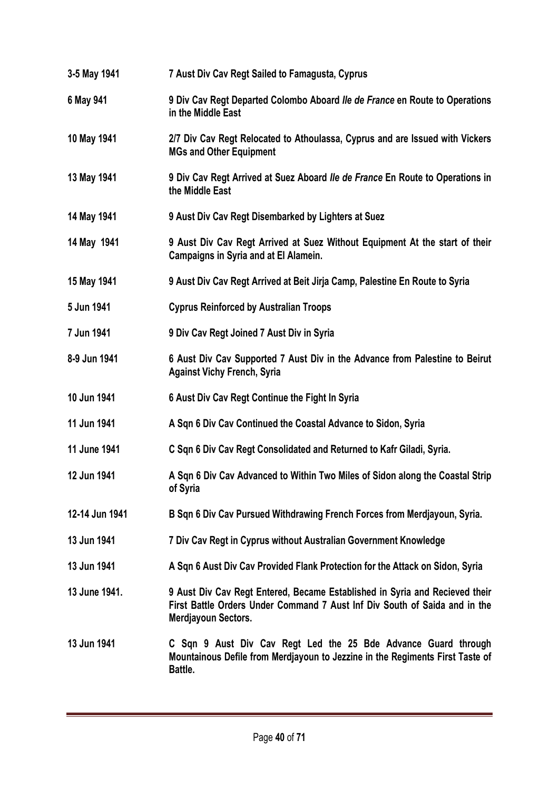| 3-5 May 1941   | 7 Aust Div Cav Regt Sailed to Famagusta, Cyprus                                                                                                                                  |
|----------------|----------------------------------------------------------------------------------------------------------------------------------------------------------------------------------|
| 6 May 941      | 9 Div Cav Regt Departed Colombo Aboard Ile de France en Route to Operations<br>in the Middle East                                                                                |
| 10 May 1941    | 2/7 Div Cav Regt Relocated to Athoulassa, Cyprus and are Issued with Vickers<br><b>MGs and Other Equipment</b>                                                                   |
| 13 May 1941    | 9 Div Cav Regt Arrived at Suez Aboard Ile de France En Route to Operations in<br>the Middle East                                                                                 |
| 14 May 1941    | 9 Aust Div Cav Regt Disembarked by Lighters at Suez                                                                                                                              |
| 14 May 1941    | 9 Aust Div Cav Regt Arrived at Suez Without Equipment At the start of their<br><b>Campaigns in Syria and at El Alamein.</b>                                                      |
| 15 May 1941    | 9 Aust Div Cav Regt Arrived at Beit Jirja Camp, Palestine En Route to Syria                                                                                                      |
| 5 Jun 1941     | <b>Cyprus Reinforced by Australian Troops</b>                                                                                                                                    |
| 7 Jun 1941     | 9 Div Cav Regt Joined 7 Aust Div in Syria                                                                                                                                        |
| 8-9 Jun 1941   | 6 Aust Div Cav Supported 7 Aust Div in the Advance from Palestine to Beirut<br><b>Against Vichy French, Syria</b>                                                                |
| 10 Jun 1941    | 6 Aust Div Cav Regt Continue the Fight In Syria                                                                                                                                  |
| 11 Jun 1941    | A Sqn 6 Div Cav Continued the Coastal Advance to Sidon, Syria                                                                                                                    |
| 11 June 1941   | C Sqn 6 Div Cav Regt Consolidated and Returned to Kafr Giladi, Syria.                                                                                                            |
| 12 Jun 1941    | A Sqn 6 Div Cav Advanced to Within Two Miles of Sidon along the Coastal Strip<br>of Syria                                                                                        |
| 12-14 Jun 1941 | B Sqn 6 Div Cav Pursued Withdrawing French Forces from Merdjayoun, Syria.                                                                                                        |
| 13 Jun 1941    | 7 Div Cav Regt in Cyprus without Australian Government Knowledge                                                                                                                 |
| 13 Jun 1941    | A Sqn 6 Aust Div Cav Provided Flank Protection for the Attack on Sidon, Syria                                                                                                    |
| 13 June 1941.  | 9 Aust Div Cav Regt Entered, Became Established in Syria and Recieved their<br>First Battle Orders Under Command 7 Aust Inf Div South of Saida and in the<br>Merdjayoun Sectors. |
| 13 Jun 1941    | C Sqn 9 Aust Div Cav Regt Led the 25 Bde Advance Guard through<br>Mountainous Defile from Merdjayoun to Jezzine in the Regiments First Taste of<br>Battle.                       |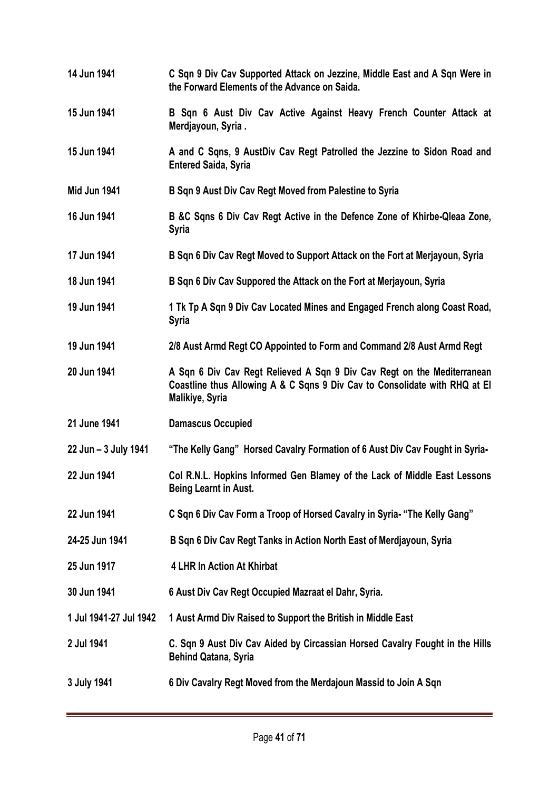**14 Jun 1941 C Sqn 9 Div Cav Supported Attack on Jezzine, Middle East and A Sqn Were in the Forward Elements of the Advance on Saida. 15 Jun 1941 B Sqn 6 Aust Div Cav Active Against Heavy French Counter Attack at Merdjayoun, Syria . 15 Jun 1941 A and C Sqns, 9 AustDiv Cav Regt Patrolled the Jezzine to Sidon Road and Entered Saida, Syria Mid Jun 1941 B Sqn 9 Aust Div Cav Regt Moved from Palestine to Syria 16 Jun 1941 B &C Sqns 6 Div Cav Regt Active in the Defence Zone of Khirbe-Qleaa Zone, Syria 17 Jun 1941 B Sqn 6 Div Cav Regt Moved to Support Attack on the Fort at Merjayoun, Syria 18 Jun 1941 B Sqn 6 Div Cav Suppored the Attack on the Fort at Merjayoun, Syria 19 Jun 1941 1 Tk Tp A Sqn 9 Div Cav Located Mines and Engaged French along Coast Road, Syria 19 Jun 1941 2/8 Aust Armd Regt CO Appointed to Form and Command 2/8 Aust Armd Regt 20 Jun 1941 A Sqn 6 Div Cav Regt Relieved A Sqn 9 Div Cav Regt on the Mediterranean Coastline thus Allowing A & C Sqns 9 Div Cav to Consolidate with RHQ at El Malikiye, Syria 21 June 1941 Damascus Occupied 22 Jun – 3 July 1941 "The Kelly Gang" Horsed Cavalry Formation of 6 Aust Div Cav Fought in Syria-22 Jun 1941 Col R.N.L. Hopkins Informed Gen Blamey of the Lack of Middle East Lessons Being Learnt in Aust. 22 Jun 1941 C Sqn 6 Div Cav Form a Troop of Horsed Cavalry in Syria- "The Kelly Gang" 24-25 Jun 1941 B Sqn 6 Div Cav Regt Tanks in Action North East of Merdjayoun, Syria 25 Jun 1917 4 LHR In Action At Khirbat 30 Jun 1941 6 Aust Div Cav Regt Occupied Mazraat el Dahr, Syria. 1 Jul 1941-27 Jul 1942 1 Aust Armd Div Raised to Support the British in Middle East 2 Jul 1941 C. Sqn 9 Aust Div Cav Aided by Circassian Horsed Cavalry Fought in the Hills Behind Qatana, Syria 3 July 1941 6 Div Cavalry Regt Moved from the Merdajoun Massid to Join A Sqn**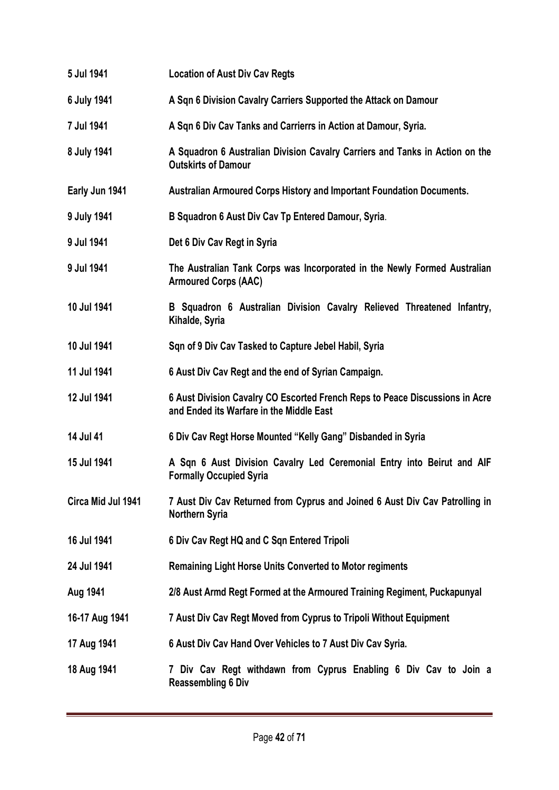| 5 Jul 1941         | <b>Location of Aust Div Cav Regts</b>                                                                                    |
|--------------------|--------------------------------------------------------------------------------------------------------------------------|
| 6 July 1941        | A Sqn 6 Division Cavalry Carriers Supported the Attack on Damour                                                         |
| 7 Jul 1941         | A Sqn 6 Div Cav Tanks and Carrierrs in Action at Damour, Syria.                                                          |
| 8 July 1941        | A Squadron 6 Australian Division Cavalry Carriers and Tanks in Action on the<br><b>Outskirts of Damour</b>               |
| Early Jun 1941     | <b>Australian Armoured Corps History and Important Foundation Documents.</b>                                             |
| 9 July 1941        | B Squadron 6 Aust Div Cav Tp Entered Damour, Syria.                                                                      |
| 9 Jul 1941         | Det 6 Div Cav Regt in Syria                                                                                              |
| 9 Jul 1941         | The Australian Tank Corps was Incorporated in the Newly Formed Australian<br><b>Armoured Corps (AAC)</b>                 |
| 10 Jul 1941        | B Squadron 6 Australian Division Cavalry Relieved Threatened Infantry,<br>Kihalde, Syria                                 |
| 10 Jul 1941        | Sqn of 9 Div Cav Tasked to Capture Jebel Habil, Syria                                                                    |
| 11 Jul 1941        | 6 Aust Div Cav Regt and the end of Syrian Campaign.                                                                      |
| 12 Jul 1941        | 6 Aust Division Cavalry CO Escorted French Reps to Peace Discussions in Acre<br>and Ended its Warfare in the Middle East |
| 14 Jul 41          | 6 Div Cav Regt Horse Mounted "Kelly Gang" Disbanded in Syria                                                             |
| 15 Jul 1941        | A Sqn 6 Aust Division Cavalry Led Ceremonial Entry into Beirut and AIF<br><b>Formally Occupied Syria</b>                 |
| Circa Mid Jul 1941 | 7 Aust Div Cav Returned from Cyprus and Joined 6 Aust Div Cav Patrolling in<br>Northern Syria                            |
| 16 Jul 1941        | 6 Div Cav Regt HQ and C Sqn Entered Tripoli                                                                              |
| 24 Jul 1941        | <b>Remaining Light Horse Units Converted to Motor regiments</b>                                                          |
| Aug 1941           | 2/8 Aust Armd Regt Formed at the Armoured Training Regiment, Puckapunyal                                                 |
| 16-17 Aug 1941     | 7 Aust Div Cav Regt Moved from Cyprus to Tripoli Without Equipment                                                       |
| 17 Aug 1941        | 6 Aust Div Cav Hand Over Vehicles to 7 Aust Div Cav Syria.                                                               |
| 18 Aug 1941        | 7 Div Cav Regt withdawn from Cyprus Enabling 6 Div Cav to Join a<br><b>Reassembling 6 Div</b>                            |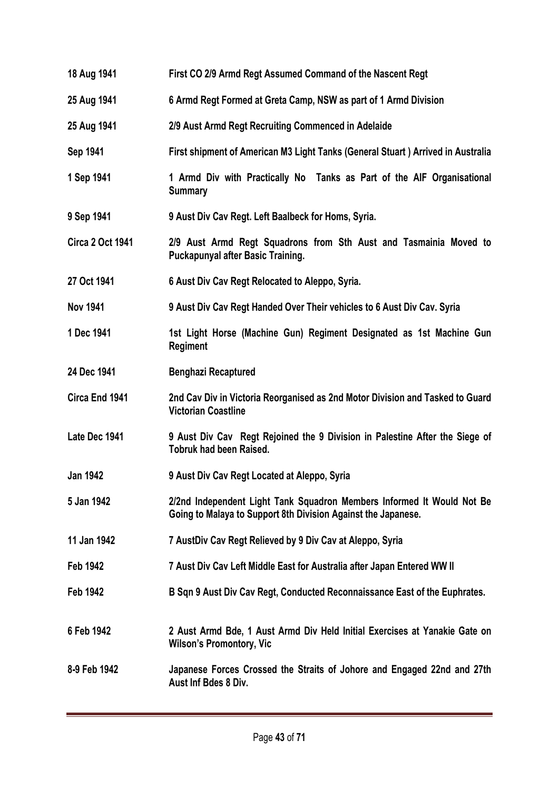- **18 Aug 1941 First CO 2/9 Armd Regt Assumed Command of the Nascent Regt**
- **25 Aug 1941 6 Armd Regt Formed at Greta Camp, NSW as part of 1 Armd Division**
- **25 Aug 1941 2/9 Aust Armd Regt Recruiting Commenced in Adelaide**
- **Sep 1941 First shipment of American M3 Light Tanks (General Stuart ) Arrived in Australia**
- **1 Sep 1941 1 Armd Div with Practically No Tanks as Part of the AIF Organisational Summary**
- **9 Sep 1941 9 Aust Div Cav Regt. Left Baalbeck for Homs, Syria.**
- **Circa 2 Oct 1941 2/9 Aust Armd Regt Squadrons from Sth Aust and Tasmainia Moved to Puckapunyal after Basic Training.**
- **27 Oct 1941 6 Aust Div Cav Regt Relocated to Aleppo, Syria.**
- **Nov 1941 9 Aust Div Cav Regt Handed Over Their vehicles to 6 Aust Div Cav. Syria**
- **1 Dec 1941 1st Light Horse (Machine Gun) Regiment Designated as 1st Machine Gun Regiment**
- **24 Dec 1941 Benghazi Recaptured**
- **Circa End 1941 2nd Cav Div in Victoria Reorganised as 2nd Motor Division and Tasked to Guard Victorian Coastline**
- Late Dec 1941 9 Aust Div Cav Regt Rejoined the 9 Division in Palestine After the Siege of **Tobruk had been Raised.**
- **Jan 1942 9 Aust Div Cav Regt Located at Aleppo, Syria**
- **5 Jan 1942 2/2nd Independent Light Tank Squadron Members Informed It Would Not Be Going to Malaya to Support 8th Division Against the Japanese.**
- **11 Jan 1942 7 AustDiv Cav Regt Relieved by 9 Div Cav at Aleppo, Syria**
- **Feb 1942 7 Aust Div Cav Left Middle East for Australia after Japan Entered WW II**
- **Feb 1942 B Sqn 9 Aust Div Cav Regt, Conducted Reconnaissance East of the Euphrates.**
- **6 Feb 1942 2 Aust Armd Bde, 1 Aust Armd Div Held Initial Exercises at Yanakie Gate on Wilson's Promontory, Vic**
- **8-9 Feb 1942 Japanese Forces Crossed the Straits of Johore and Engaged 22nd and 27th Aust Inf Bdes 8 Div.**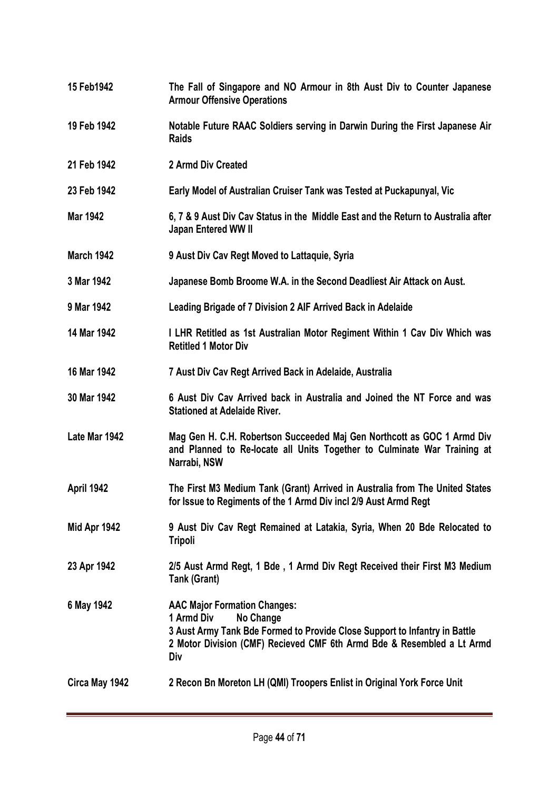- **15 Feb1942 The Fall of Singapore and NO Armour in 8th Aust Div to Counter Japanese Armour Offensive Operations**
- **19 Feb 1942 Notable Future RAAC Soldiers serving in Darwin During the First Japanese Air Raids**
- **21 Feb 1942 2 Armd Div Created**
- **23 Feb 1942 Early Model of Australian Cruiser Tank was Tested at Puckapunyal, Vic**
- **Mar 1942 6, 7 & 9 Aust Div Cav Status in the Middle East and the Return to Australia after Japan Entered WW II**
- **March 1942 9 Aust Div Cav Regt Moved to Lattaquie, Syria**
- **3 Mar 1942 Japanese Bomb Broome W.A. in the Second Deadliest Air Attack on Aust.**
- **9 Mar 1942 Leading Brigade of 7 Division 2 AIF Arrived Back in Adelaide**
- **14 Mar 1942 I LHR Retitled as 1st Australian Motor Regiment Within 1 Cav Div Which was Retitled 1 Motor Div**
- **16 Mar 1942 7 Aust Div Cav Regt Arrived Back in Adelaide, Australia**
- **30 Mar 1942 6 Aust Div Cav Arrived back in Australia and Joined the NT Force and was Stationed at Adelaide River.**
- **Late Mar 1942 Mag Gen H. C.H. Robertson Succeeded Maj Gen Northcott as GOC 1 Armd Div and Planned to Re-locate all Units Together to Culminate War Training at Narrabi, NSW**
- **April 1942 The First M3 Medium Tank (Grant) Arrived in Australia from The United States for Issue to Regiments of the 1 Armd Div incl 2/9 Aust Armd Regt**
- **Mid Apr 1942 9 Aust Div Cav Regt Remained at Latakia, Syria, When 20 Bde Relocated to Tripoli**
- **23 Apr 1942 2/5 Aust Armd Regt, 1 Bde , 1 Armd Div Regt Received their First M3 Medium Tank (Grant)**

**6 May 1942 AAC Major Formation Changes: 1 Armd Div No Change 3 Aust Army Tank Bde Formed to Provide Close Support to Infantry in Battle 2 Motor Division (CMF) Recieved CMF 6th Armd Bde & Resembled a Lt Armd Div**

**Circa May 1942 2 Recon Bn Moreton LH (QMI) Troopers Enlist in Original York Force Unit**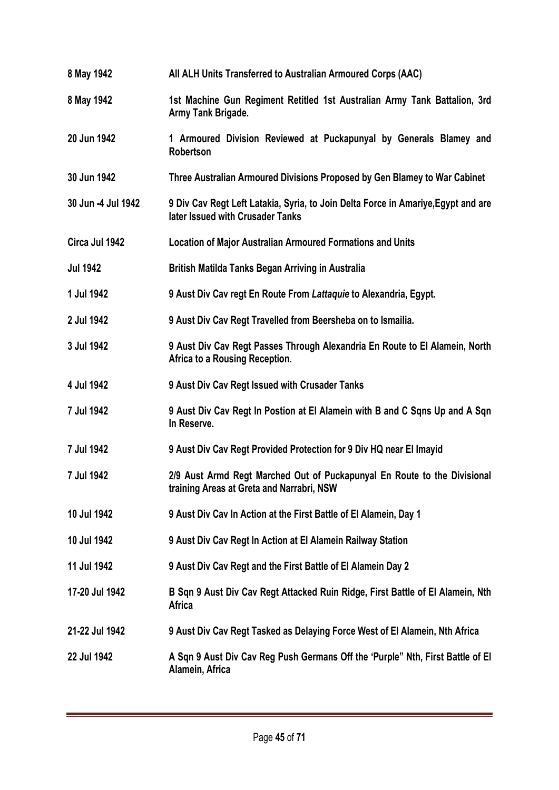| 8 May 1942         | All ALH Units Transferred to Australian Armoured Corps (AAC)                                                          |
|--------------------|-----------------------------------------------------------------------------------------------------------------------|
| 8 May 1942         | 1st Machine Gun Regiment Retitled 1st Australian Army Tank Battalion, 3rd<br>Army Tank Brigade.                       |
| 20 Jun 1942        | 1 Armoured Division Reviewed at Puckapunyal by Generals Blamey and<br><b>Robertson</b>                                |
| 30 Jun 1942        | Three Australian Armoured Divisions Proposed by Gen Blamey to War Cabinet                                             |
| 30 Jun -4 Jul 1942 | 9 Div Cav Regt Left Latakia, Syria, to Join Delta Force in Amariye, Egypt and are<br>later Issued with Crusader Tanks |
| Circa Jul 1942     | <b>Location of Major Australian Armoured Formations and Units</b>                                                     |
| <b>Jul 1942</b>    | British Matilda Tanks Began Arriving in Australia                                                                     |
| 1 Jul 1942         | 9 Aust Div Cav regt En Route From Lattaquie to Alexandria, Egypt.                                                     |
| 2 Jul 1942         | 9 Aust Div Cav Regt Travelled from Beersheba on to Ismailia.                                                          |
| 3 Jul 1942         | 9 Aust Div Cav Regt Passes Through Alexandria En Route to El Alamein, North<br>Africa to a Rousing Reception.         |
|                    |                                                                                                                       |
| 4 Jul 1942         | 9 Aust Div Cav Regt Issued with Crusader Tanks                                                                        |
| 7 Jul 1942         | 9 Aust Div Cav Regt In Postion at El Alamein with B and C Sqns Up and A Sqn<br>In Reserve.                            |
| 7 Jul 1942         | 9 Aust Div Cav Regt Provided Protection for 9 Div HQ near El Imayid                                                   |
| 7 Jul 1942         | 2/9 Aust Armd Regt Marched Out of Puckapunyal En Route to the Divisional<br>training Areas at Greta and Narrabri, NSW |
| 10 Jul 1942        | 9 Aust Div Cav In Action at the First Battle of El Alamein, Day 1                                                     |
| 10 Jul 1942        | 9 Aust Div Cav Regt In Action at El Alamein Railway Station                                                           |
| 11 Jul 1942        | 9 Aust Div Cav Regt and the First Battle of El Alamein Day 2                                                          |
| 17-20 Jul 1942     | B Sqn 9 Aust Div Cav Regt Attacked Ruin Ridge, First Battle of El Alamein, Nth<br><b>Africa</b>                       |
| 21-22 Jul 1942     | 9 Aust Div Cav Regt Tasked as Delaying Force West of El Alamein, Nth Africa                                           |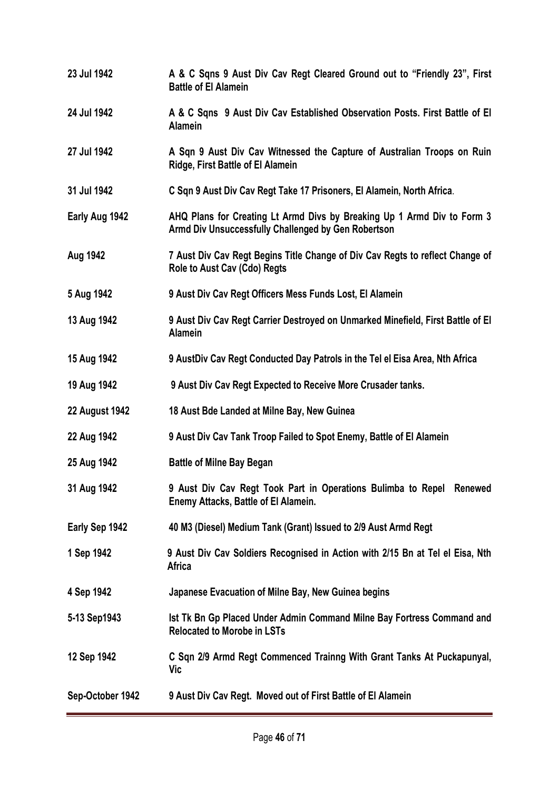**23 Jul 1942 A & C Sqns 9 Aust Div Cav Regt Cleared Ground out to "Friendly 23", First Battle of El Alamein 24 Jul 1942 A & C Sqns 9 Aust Div Cav Established Observation Posts. First Battle of El Alamein 27 Jul 1942 A Sqn 9 Aust Div Cav Witnessed the Capture of Australian Troops on Ruin Ridge, First Battle of El Alamein 31 Jul 1942 C Sqn 9 Aust Div Cav Regt Take 17 Prisoners, El Alamein, North Africa**. **Early Aug 1942 AHQ Plans for Creating Lt Armd Divs by Breaking Up 1 Armd Div to Form 3 Armd Div Unsuccessfully Challenged by Gen Robertson Aug 1942 7 Aust Div Cav Regt Begins Title Change of Div Cav Regts to reflect Change of Role to Aust Cav (Cdo) Regts 5 Aug 1942 9 Aust Div Cav Regt Officers Mess Funds Lost, El Alamein 13 Aug 1942 9 Aust Div Cav Regt Carrier Destroyed on Unmarked Minefield, First Battle of El Alamein 15 Aug 1942 9 AustDiv Cav Regt Conducted Day Patrols in the Tel el Eisa Area, Nth Africa 19 Aug 1942 9 Aust Div Cav Regt Expected to Receive More Crusader tanks. 22 August 1942 18 Aust Bde Landed at Milne Bay, New Guinea 22 Aug 1942 9 Aust Div Cav Tank Troop Failed to Spot Enemy, Battle of El Alamein 25 Aug 1942 Battle of Milne Bay Began 31 Aug 1942 9 Aust Div Cav Regt Took Part in Operations Bulimba to Repel Renewed Enemy Attacks, Battle of El Alamein. Early Sep 1942 40 M3 (Diesel) Medium Tank (Grant) Issued to 2/9 Aust Armd Regt 1 Sep 1942 9 Aust Div Cav Soldiers Recognised in Action with 2/15 Bn at Tel el Eisa, Nth Africa 4 Sep 1942 Japanese Evacuation of Milne Bay, New Guinea begins 5-13 Sep1943 Ist Tk Bn Gp Placed Under Admin Command Milne Bay Fortress Command and Relocated to Morobe in LSTs 12 Sep 1942 C Sqn 2/9 Armd Regt Commenced Trainng With Grant Tanks At Puckapunyal, Vic Sep-October 1942 9 Aust Div Cav Regt. Moved out of First Battle of El Alamein**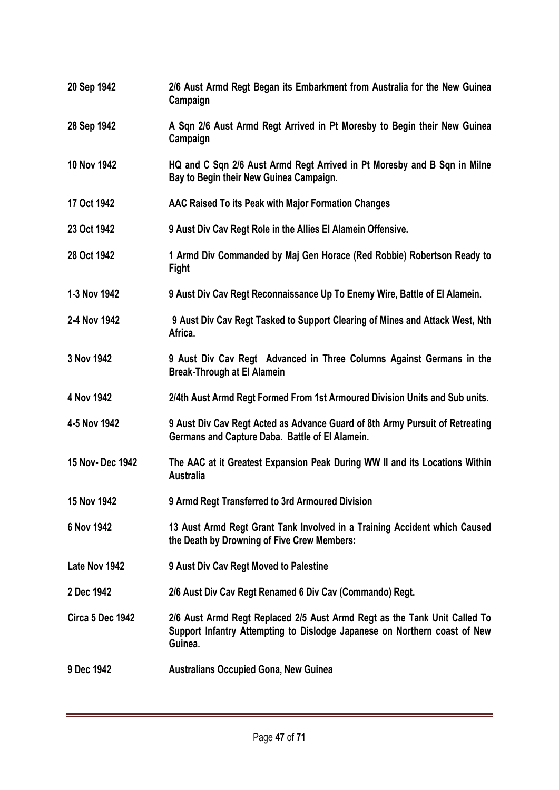- **20 Sep 1942 2/6 Aust Armd Regt Began its Embarkment from Australia for the New Guinea Campaign**
- **28 Sep 1942 A Sqn 2/6 Aust Armd Regt Arrived in Pt Moresby to Begin their New Guinea Campaign**
- **10 Nov 1942 HQ and C Sqn 2/6 Aust Armd Regt Arrived in Pt Moresby and B Sqn in Milne Bay to Begin their New Guinea Campaign.**
- **17 Oct 1942 AAC Raised To its Peak with Major Formation Changes**
- **23 Oct 1942 9 Aust Div Cav Regt Role in the Allies El Alamein Offensive.**
- **28 Oct 1942 1 Armd Div Commanded by Maj Gen Horace (Red Robbie) Robertson Ready to Fight**
- **1-3 Nov 1942 9 Aust Div Cav Regt Reconnaissance Up To Enemy Wire, Battle of El Alamein.**
- **2-4 Nov 1942 9 Aust Div Cav Regt Tasked to Support Clearing of Mines and Attack West, Nth Africa.**
- **3 Nov 1942 9 Aust Div Cav Regt Advanced in Three Columns Against Germans in the Break-Through at El Alamein**
- **4 Nov 1942 2/4th Aust Armd Regt Formed From 1st Armoured Division Units and Sub units.**
- **4-5 Nov 1942 9 Aust Div Cav Regt Acted as Advance Guard of 8th Army Pursuit of Retreating Germans and Capture Daba. Battle of El Alamein.**
- **15 Nov- Dec 1942 The AAC at it Greatest Expansion Peak During WW II and its Locations Within Australia**
- **15 Nov 1942 9 Armd Regt Transferred to 3rd Armoured Division**
- **6 Nov 1942 13 Aust Armd Regt Grant Tank Involved in a Training Accident which Caused the Death by Drowning of Five Crew Members:**
- **Late Nov 1942 9 Aust Div Cav Regt Moved to Palestine**
- **2 Dec 1942 2/6 Aust Div Cav Regt Renamed 6 Div Cav (Commando) Regt.**
- **Circa 5 Dec 1942 2/6 Aust Armd Regt Replaced 2/5 Aust Armd Regt as the Tank Unit Called To Support Infantry Attempting to Dislodge Japanese on Northern coast of New Guinea.**
- **9 Dec 1942 Australians Occupied Gona, New Guinea**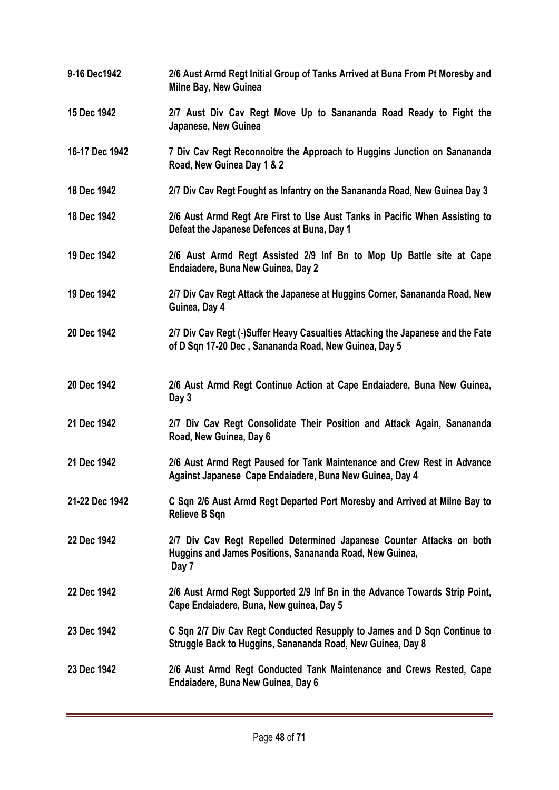- **9-16 Dec1942 2/6 Aust Armd Regt Initial Group of Tanks Arrived at Buna From Pt Moresby and Milne Bay, New Guinea**
- **15 Dec 1942 2/7 Aust Div Cav Regt Move Up to Sanananda Road Ready to Fight the Japanese, New Guinea**
- **16-17 Dec 1942 7 Div Cav Regt Reconnoitre the Approach to Huggins Junction on Sanananda Road, New Guinea Day 1 & 2**
- **18 Dec 1942 2/7 Div Cav Regt Fought as Infantry on the Sanananda Road, New Guinea Day 3**
- **18 Dec 1942 2/6 Aust Armd Regt Are First to Use Aust Tanks in Pacific When Assisting to Defeat the Japanese Defences at Buna, Day 1**
- **19 Dec 1942 2/6 Aust Armd Regt Assisted 2/9 Inf Bn to Mop Up Battle site at Cape Endaiadere, Buna New Guinea, Day 2**
- **19 Dec 1942 2/7 Div Cav Regt Attack the Japanese at Huggins Corner, Sanananda Road, New Guinea, Day 4**
- **20 Dec 1942 2/7 Div Cav Regt (-)Suffer Heavy Casualties Attacking the Japanese and the Fate of D Sqn 17-20 Dec , Sanananda Road, New Guinea, Day 5**
- **20 Dec 1942 2/6 Aust Armd Regt Continue Action at Cape Endaiadere, Buna New Guinea, Day 3**
- **21 Dec 1942 2/7 Div Cav Regt Consolidate Their Position and Attack Again, Sanananda Road, New Guinea, Day 6**
- **21 Dec 1942 2/6 Aust Armd Regt Paused for Tank Maintenance and Crew Rest in Advance Against Japanese Cape Endaiadere, Buna New Guinea, Day 4**
- **21-22 Dec 1942 C Sqn 2/6 Aust Armd Regt Departed Port Moresby and Arrived at Milne Bay to Relieve B Sqn**
- **22 Dec 1942 2/7 Div Cav Regt Repelled Determined Japanese Counter Attacks on both Huggins and James Positions, Sanananda Road, New Guinea, Day 7**
- **22 Dec 1942 2/6 Aust Armd Regt Supported 2/9 Inf Bn in the Advance Towards Strip Point, Cape Endaiadere, Buna, New guinea, Day 5**
- **23 Dec 1942 C Sqn 2/7 Div Cav Regt Conducted Resupply to James and D Sqn Continue to Struggle Back to Huggins, Sanananda Road, New Guinea, Day 8**
- **23 Dec 1942 2/6 Aust Armd Regt Conducted Tank Maintenance and Crews Rested, Cape Endaiadere, Buna New Guinea, Day 6**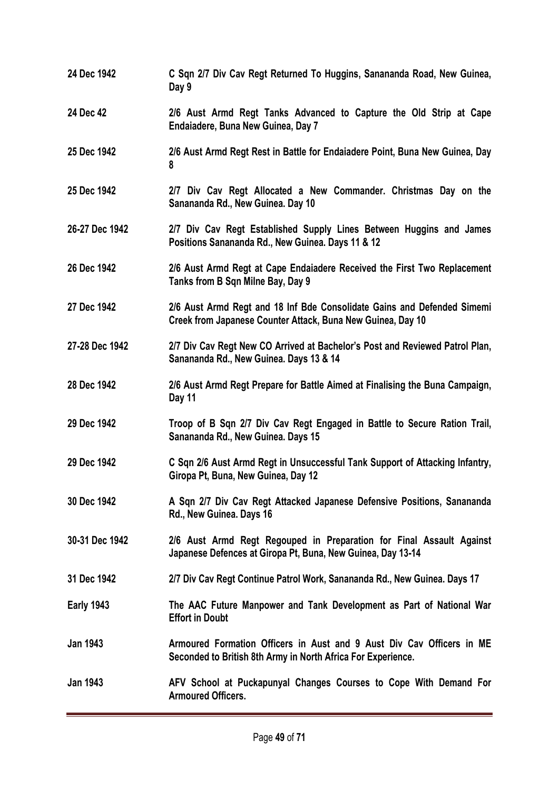**24 Dec 1942 C Sqn 2/7 Div Cav Regt Returned To Huggins, Sanananda Road, New Guinea, Day 9 24 Dec 42 2/6 Aust Armd Regt Tanks Advanced to Capture the Old Strip at Cape Endaiadere, Buna New Guinea, Day 7 25 Dec 1942 2/6 Aust Armd Regt Rest in Battle for Endaiadere Point, Buna New Guinea, Day 8 25 Dec 1942 2/7 Div Cav Regt Allocated a New Commander. Christmas Day on the Sanananda Rd., New Guinea. Day 10 26-27 Dec 1942 2/7 Div Cav Regt Established Supply Lines Between Huggins and James Positions Sanananda Rd., New Guinea. Days 11 & 12 26 Dec 1942 2/6 Aust Armd Regt at Cape Endaiadere Received the First Two Replacement Tanks from B Sqn Milne Bay, Day 9 27 Dec 1942 2/6 Aust Armd Regt and 18 Inf Bde Consolidate Gains and Defended Simemi Creek from Japanese Counter Attack, Buna New Guinea, Day 10 27-28 Dec 1942 2/7 Div Cav Regt New CO Arrived at Bachelor's Post and Reviewed Patrol Plan, Sanananda Rd., New Guinea. Days 13 & 14 28 Dec 1942 2/6 Aust Armd Regt Prepare for Battle Aimed at Finalising the Buna Campaign, Day 11 29 Dec 1942 Troop of B Sqn 2/7 Div Cav Regt Engaged in Battle to Secure Ration Trail, Sanananda Rd., New Guinea. Days 15 29 Dec 1942 C Sqn 2/6 Aust Armd Regt in Unsuccessful Tank Support of Attacking Infantry, Giropa Pt, Buna, New Guinea, Day 12 30 Dec 1942 A Sqn 2/7 Div Cav Regt Attacked Japanese Defensive Positions, Sanananda Rd., New Guinea. Days 16 30-31 Dec 1942 2/6 Aust Armd Regt Regouped in Preparation for Final Assault Against Japanese Defences at Giropa Pt, Buna, New Guinea, Day 13-14 31 Dec 1942 2/7 Div Cav Regt Continue Patrol Work, Sanananda Rd., New Guinea. Days 17 Early 1943 The AAC Future Manpower and Tank Development as Part of National War Effort in Doubt Jan 1943 Armoured Formation Officers in Aust and 9 Aust Div Cav Officers in ME Seconded to British 8th Army in North Africa For Experience. Jan 1943 AFV School at Puckapunyal Changes Courses to Cope With Demand For Armoured Officers.**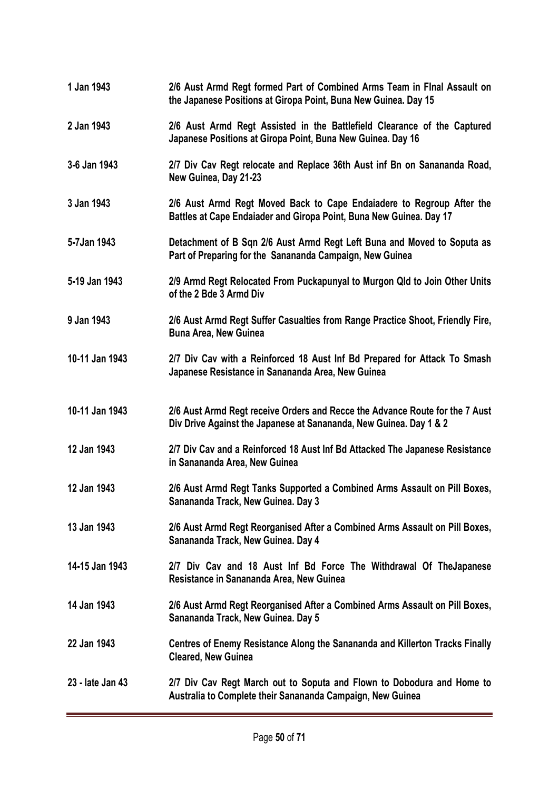| 1 Jan 1943       | 2/6 Aust Armd Regt formed Part of Combined Arms Team in Flnal Assault on<br>the Japanese Positions at Giropa Point, Buna New Guinea. Day 15        |
|------------------|----------------------------------------------------------------------------------------------------------------------------------------------------|
| 2 Jan 1943       | 2/6 Aust Armd Regt Assisted in the Battlefield Clearance of the Captured<br>Japanese Positions at Giropa Point, Buna New Guinea. Day 16            |
| 3-6 Jan 1943     | 2/7 Div Cav Regt relocate and Replace 36th Aust inf Bn on Sanananda Road,<br>New Guinea, Day 21-23                                                 |
| 3 Jan 1943       | 2/6 Aust Armd Regt Moved Back to Cape Endaiadere to Regroup After the<br>Battles at Cape Endaiader and Giropa Point, Buna New Guinea. Day 17       |
| 5-7Jan 1943      | Detachment of B Sqn 2/6 Aust Armd Regt Left Buna and Moved to Soputa as<br>Part of Preparing for the Sanananda Campaign, New Guinea                |
| 5-19 Jan 1943    | 2/9 Armd Regt Relocated From Puckapunyal to Murgon Qld to Join Other Units<br>of the 2 Bde 3 Armd Div                                              |
| 9 Jan 1943       | 2/6 Aust Armd Regt Suffer Casualties from Range Practice Shoot, Friendly Fire,<br><b>Buna Area, New Guinea</b>                                     |
| 10-11 Jan 1943   | 2/7 Div Cav with a Reinforced 18 Aust Inf Bd Prepared for Attack To Smash<br>Japanese Resistance in Sanananda Area, New Guinea                     |
| 10-11 Jan 1943   | 2/6 Aust Armd Regt receive Orders and Recce the Advance Route for the 7 Aust<br>Div Drive Against the Japanese at Sanananda, New Guinea. Day 1 & 2 |
| 12 Jan 1943      | 2/7 Div Cav and a Reinforced 18 Aust Inf Bd Attacked The Japanese Resistance<br>in Sanananda Area, New Guinea                                      |
| 12 Jan 1943      | 2/6 Aust Armd Regt Tanks Supported a Combined Arms Assault on Pill Boxes,<br>Sanananda Track, New Guinea. Day 3                                    |
| 13 Jan 1943      | 2/6 Aust Armd Regt Reorganised After a Combined Arms Assault on Pill Boxes,<br>Sanananda Track, New Guinea. Day 4                                  |
| 14-15 Jan 1943   | 2/7 Div Cav and 18 Aust Inf Bd Force The Withdrawal Of TheJapanese<br>Resistance in Sanananda Area, New Guinea                                     |
| 14 Jan 1943      | 2/6 Aust Armd Regt Reorganised After a Combined Arms Assault on Pill Boxes,<br>Sanananda Track, New Guinea. Day 5                                  |
| 22 Jan 1943      | Centres of Enemy Resistance Along the Sanananda and Killerton Tracks Finally<br><b>Cleared, New Guinea</b>                                         |
| 23 - late Jan 43 | 2/7 Div Cav Regt March out to Soputa and Flown to Dobodura and Home to<br>Australia to Complete their Sanananda Campaign, New Guinea               |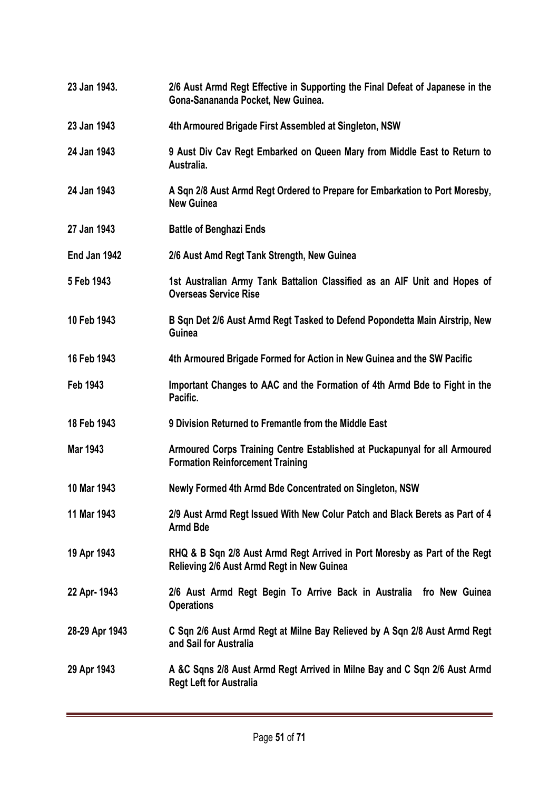**23 Jan 1943. 2/6 Aust Armd Regt Effective in Supporting the Final Defeat of Japanese in the Gona-Sanananda Pocket, New Guinea. 23 Jan 1943 4th Armoured Brigade First Assembled at Singleton, NSW 24 Jan 1943 9 Aust Div Cav Regt Embarked on Queen Mary from Middle East to Return to Australia. 24 Jan 1943 A Sqn 2/8 Aust Armd Regt Ordered to Prepare for Embarkation to Port Moresby, New Guinea 27 Jan 1943 Battle of Benghazi Ends End Jan 1942 2/6 Aust Amd Regt Tank Strength, New Guinea 5 Feb 1943 1st Australian Army Tank Battalion Classified as an AIF Unit and Hopes of Overseas Service Rise 10 Feb 1943 B Sqn Det 2/6 Aust Armd Regt Tasked to Defend Popondetta Main Airstrip, New Guinea 16 Feb 1943 4th Armoured Brigade Formed for Action in New Guinea and the SW Pacific Feb 1943 Important Changes to AAC and the Formation of 4th Armd Bde to Fight in the Pacific. 18 Feb 1943 9 Division Returned to Fremantle from the Middle East Mar 1943 Armoured Corps Training Centre Established at Puckapunyal for all Armoured Formation Reinforcement Training 10 Mar 1943 Newly Formed 4th Armd Bde Concentrated on Singleton, NSW 11 Mar 1943 2/9 Aust Armd Regt Issued With New Colur Patch and Black Berets as Part of 4 Armd Bde 19 Apr 1943 RHQ & B Sqn 2/8 Aust Armd Regt Arrived in Port Moresby as Part of the Regt Relieving 2/6 Aust Armd Regt in New Guinea 22 Apr- 1943 2/6 Aust Armd Regt Begin To Arrive Back in Australia fro New Guinea Operations 28-29 Apr 1943 C Sqn 2/6 Aust Armd Regt at Milne Bay Relieved by A Sqn 2/8 Aust Armd Regt and Sail for Australia 29 Apr 1943 A &C Sqns 2/8 Aust Armd Regt Arrived in Milne Bay and C Sqn 2/6 Aust Armd Regt Left for Australia**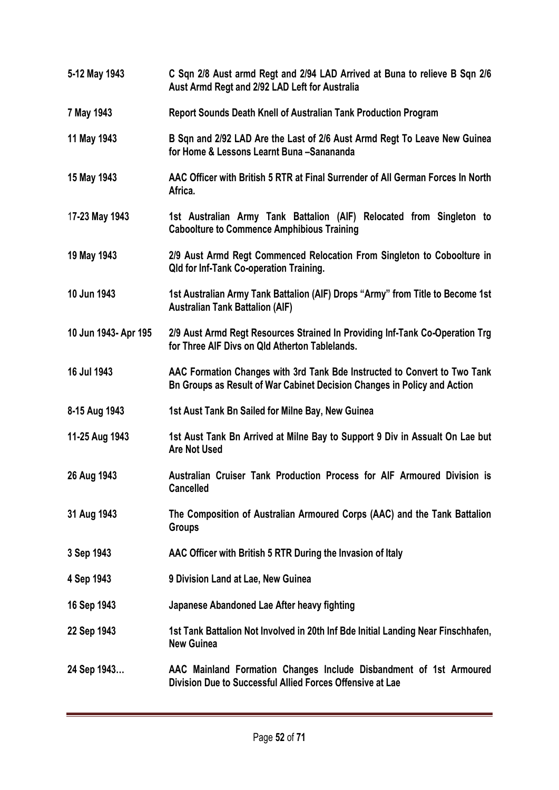| 5-12 May 1943        | C Sqn 2/8 Aust armd Regt and 2/94 LAD Arrived at Buna to relieve B Sqn 2/6<br>Aust Armd Regt and 2/92 LAD Left for Australia                          |
|----------------------|-------------------------------------------------------------------------------------------------------------------------------------------------------|
| 7 May 1943           | <b>Report Sounds Death Knell of Australian Tank Production Program</b>                                                                                |
| 11 May 1943          | B Sqn and 2/92 LAD Are the Last of 2/6 Aust Armd Regt To Leave New Guinea<br>for Home & Lessons Learnt Buna -Sanananda                                |
| 15 May 1943          | AAC Officer with British 5 RTR at Final Surrender of All German Forces In North<br>Africa.                                                            |
| 17-23 May 1943       | 1st Australian Army Tank Battalion (AIF) Relocated from Singleton to<br><b>Caboolture to Commence Amphibious Training</b>                             |
| 19 May 1943          | 2/9 Aust Armd Regt Commenced Relocation From Singleton to Coboolture in<br><b>Qld for Inf-Tank Co-operation Training.</b>                             |
| 10 Jun 1943          | 1st Australian Army Tank Battalion (AIF) Drops "Army" from Title to Become 1st<br><b>Australian Tank Battalion (AIF)</b>                              |
| 10 Jun 1943- Apr 195 | 2/9 Aust Armd Regt Resources Strained In Providing Inf-Tank Co-Operation Trg<br>for Three AIF Divs on QId Atherton Tablelands.                        |
| 16 Jul 1943          | AAC Formation Changes with 3rd Tank Bde Instructed to Convert to Two Tank<br>Bn Groups as Result of War Cabinet Decision Changes in Policy and Action |
| 8-15 Aug 1943        | 1st Aust Tank Bn Sailed for Milne Bay, New Guinea                                                                                                     |
| 11-25 Aug 1943       | 1st Aust Tank Bn Arrived at Milne Bay to Support 9 Div in Assualt On Lae but<br><b>Are Not Used</b>                                                   |
| 26 Aug 1943          | Australian Cruiser Tank Production Process for AIF Armoured Division is<br><b>Cancelled</b>                                                           |
| 31 Aug 1943          | The Composition of Australian Armoured Corps (AAC) and the Tank Battalion<br><b>Groups</b>                                                            |
| 3 Sep 1943           | AAC Officer with British 5 RTR During the Invasion of Italy                                                                                           |
| 4 Sep 1943           | 9 Division Land at Lae, New Guinea                                                                                                                    |
| 16 Sep 1943          | Japanese Abandoned Lae After heavy fighting                                                                                                           |
| 22 Sep 1943          | 1st Tank Battalion Not Involved in 20th Inf Bde Initial Landing Near Finschhafen,<br><b>New Guinea</b>                                                |
| 24 Sep 1943          | AAC Mainland Formation Changes Include Disbandment of 1st Armoured<br>Division Due to Successful Allied Forces Offensive at Lae                       |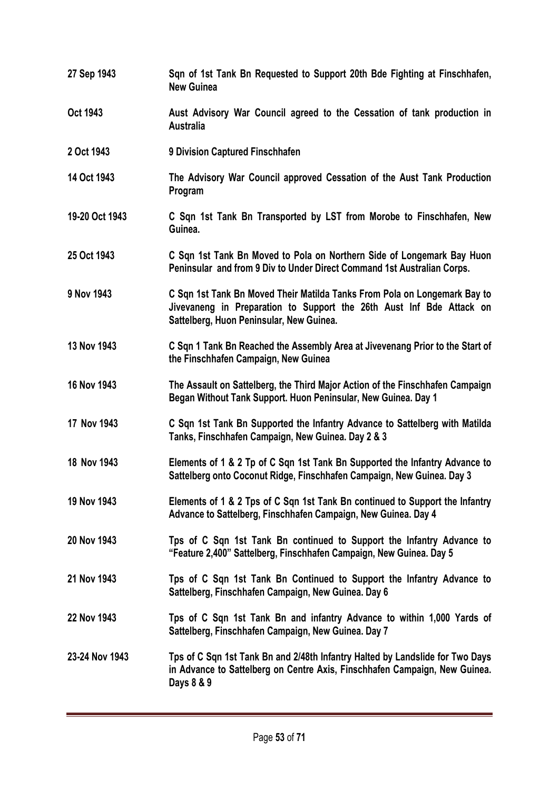- **27 Sep 1943 Sqn of 1st Tank Bn Requested to Support 20th Bde Fighting at Finschhafen, New Guinea**
- **Oct 1943** Aust Advisory War Council agreed to the Cessation of tank production in **Australia**
- **2 Oct 1943 9 Division Captured Finschhafen**
- **14 Oct 1943 The Advisory War Council approved Cessation of the Aust Tank Production Program**
- **19-20 Oct 1943 C Sqn 1st Tank Bn Transported by LST from Morobe to Finschhafen, New Guinea.**
- **25 Oct 1943 C Sqn 1st Tank Bn Moved to Pola on Northern Side of Longemark Bay Huon Peninsular and from 9 Div to Under Direct Command 1st Australian Corps.**
- **9 Nov 1943 C Sqn 1st Tank Bn Moved Their Matilda Tanks From Pola on Longemark Bay to Jivevaneng in Preparation to Support the 26th Aust Inf Bde Attack on Sattelberg, Huon Peninsular, New Guinea.**
- **13 Nov 1943 C Sqn 1 Tank Bn Reached the Assembly Area at Jivevenang Prior to the Start of the Finschhafen Campaign, New Guinea**
- **16 Nov 1943 The Assault on Sattelberg, the Third Major Action of the Finschhafen Campaign Began Without Tank Support. Huon Peninsular, New Guinea. Day 1**
- **17 Nov 1943 C Sqn 1st Tank Bn Supported the Infantry Advance to Sattelberg with Matilda Tanks, Finschhafen Campaign, New Guinea. Day 2 & 3**
- **18 Nov 1943 Elements of 1 & 2 Tp of C Sqn 1st Tank Bn Supported the Infantry Advance to Sattelberg onto Coconut Ridge, Finschhafen Campaign, New Guinea. Day 3**
- **19 Nov 1943 Elements of 1 & 2 Tps of C Sqn 1st Tank Bn continued to Support the Infantry Advance to Sattelberg, Finschhafen Campaign, New Guinea. Day 4**
- **20 Nov 1943 Tps of C Sqn 1st Tank Bn continued to Support the Infantry Advance to "Feature 2,400" Sattelberg, Finschhafen Campaign, New Guinea. Day 5**
- **21 Nov 1943 Tps of C Sqn 1st Tank Bn Continued to Support the Infantry Advance to Sattelberg, Finschhafen Campaign, New Guinea. Day 6**
- **22 Nov 1943 Tps of C Sqn 1st Tank Bn and infantry Advance to within 1,000 Yards of Sattelberg, Finschhafen Campaign, New Guinea. Day 7**
- **23-24 Nov 1943 Tps of C Sqn 1st Tank Bn and 2/48th Infantry Halted by Landslide for Two Days in Advance to Sattelberg on Centre Axis, Finschhafen Campaign, New Guinea. Days 8 & 9**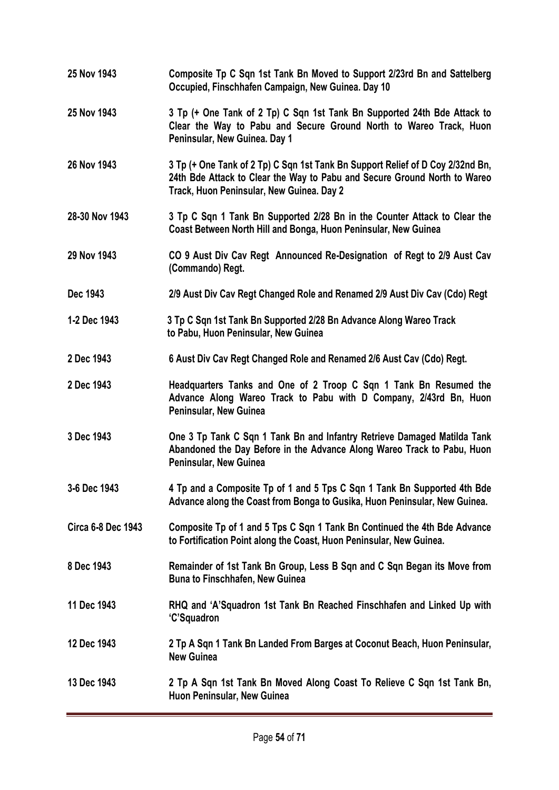**25 Nov 1943 Composite Tp C Sqn 1st Tank Bn Moved to Support 2/23rd Bn and Sattelberg Occupied, Finschhafen Campaign, New Guinea. Day 10 25 Nov 1943 3 Tp (+ One Tank of 2 Tp) C Sqn 1st Tank Bn Supported 24th Bde Attack to Clear the Way to Pabu and Secure Ground North to Wareo Track, Huon Peninsular, New Guinea. Day 1 26 Nov 1943 3 Tp (+ One Tank of 2 Tp) C Sqn 1st Tank Bn Support Relief of D Coy 2/32nd Bn, 24th Bde Attack to Clear the Way to Pabu and Secure Ground North to Wareo Track, Huon Peninsular, New Guinea. Day 2 28-30 Nov 1943 3 Tp C Sqn 1 Tank Bn Supported 2/28 Bn in the Counter Attack to Clear the Coast Between North Hill and Bonga, Huon Peninsular, New Guinea 29 Nov 1943 CO 9 Aust Div Cav Regt Announced Re-Designation of Regt to 2/9 Aust Cav (Commando) Regt. Dec 1943 2/9 Aust Div Cav Regt Changed Role and Renamed 2/9 Aust Div Cav (Cdo) Regt 1-2 Dec 1943 3 Tp C Sqn 1st Tank Bn Supported 2/28 Bn Advance Along Wareo Track to Pabu, Huon Peninsular, New Guinea 2 Dec 1943 6 Aust Div Cav Regt Changed Role and Renamed 2/6 Aust Cav (Cdo) Regt. 2 Dec 1943 Headquarters Tanks and One of 2 Troop C Sqn 1 Tank Bn Resumed the Advance Along Wareo Track to Pabu with D Company, 2/43rd Bn, Huon Peninsular, New Guinea 3 Dec 1943 One 3 Tp Tank C Sqn 1 Tank Bn and Infantry Retrieve Damaged Matilda Tank Abandoned the Day Before in the Advance Along Wareo Track to Pabu, Huon Peninsular, New Guinea 3-6 Dec 1943 4 Tp and a Composite Tp of 1 and 5 Tps C Sqn 1 Tank Bn Supported 4th Bde Advance along the Coast from Bonga to Gusika, Huon Peninsular, New Guinea. Circa 6-8 Dec 1943 Composite Tp of 1 and 5 Tps C Sqn 1 Tank Bn Continued the 4th Bde Advance to Fortification Point along the Coast, Huon Peninsular, New Guinea. 8 Dec 1943 Remainder of 1st Tank Bn Group, Less B Sqn and C Sqn Began its Move from Buna to Finschhafen, New Guinea 11 Dec 1943 RHQ and 'A'Squadron 1st Tank Bn Reached Finschhafen and Linked Up with 'C'Squadron 12 Dec 1943 2 Tp A Sqn 1 Tank Bn Landed From Barges at Coconut Beach, Huon Peninsular, New Guinea 13 Dec 1943 2 Tp A Sqn 1st Tank Bn Moved Along Coast To Relieve C Sqn 1st Tank Bn, Huon Peninsular, New Guinea**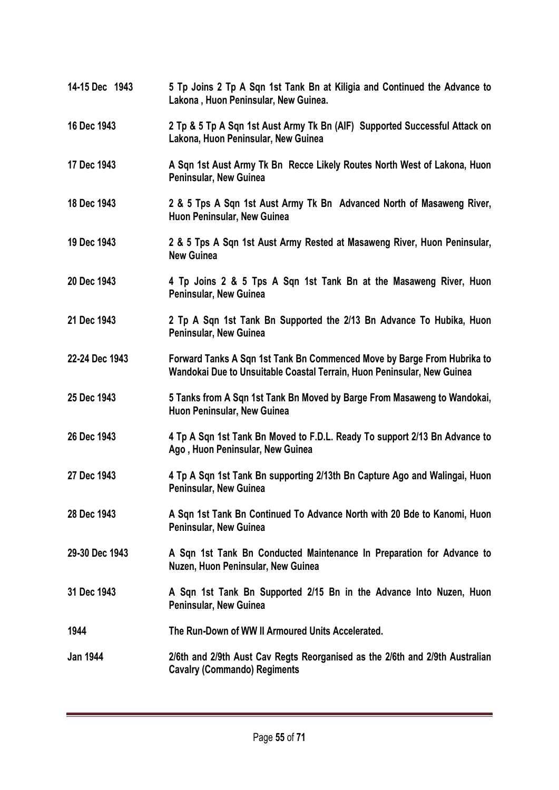**14-15 Dec 1943 5 Tp Joins 2 Tp A Sqn 1st Tank Bn at Kiligia and Continued the Advance to Lakona , Huon Peninsular, New Guinea. 16 Dec 1943 2 Tp & 5 Tp A Sqn 1st Aust Army Tk Bn (AIF) Supported Successful Attack on Lakona, Huon Peninsular, New Guinea 17 Dec 1943 A Sqn 1st Aust Army Tk Bn Recce Likely Routes North West of Lakona, Huon Peninsular, New Guinea 18 Dec 1943 2 & 5 Tps A Sqn 1st Aust Army Tk Bn Advanced North of Masaweng River, Huon Peninsular, New Guinea 19 Dec 1943 2 & 5 Tps A Sqn 1st Aust Army Rested at Masaweng River, Huon Peninsular, New Guinea 20 Dec 1943 4 Tp Joins 2 & 5 Tps A Sqn 1st Tank Bn at the Masaweng River, Huon Peninsular, New Guinea 21 Dec 1943 2 Tp A Sqn 1st Tank Bn Supported the 2/13 Bn Advance To Hubika, Huon Peninsular, New Guinea 22-24 Dec 1943 Forward Tanks A Sqn 1st Tank Bn Commenced Move by Barge From Hubrika to Wandokai Due to Unsuitable Coastal Terrain, Huon Peninsular, New Guinea 25 Dec 1943 5 Tanks from A Sqn 1st Tank Bn Moved by Barge From Masaweng to Wandokai, Huon Peninsular, New Guinea 26 Dec 1943 4 Tp A Sqn 1st Tank Bn Moved to F.D.L. Ready To support 2/13 Bn Advance to Ago , Huon Peninsular, New Guinea 27 Dec 1943 4 Tp A Sqn 1st Tank Bn supporting 2/13th Bn Capture Ago and Walingai, Huon Peninsular, New Guinea 28 Dec 1943 A Sqn 1st Tank Bn Continued To Advance North with 20 Bde to Kanomi, Huon Peninsular, New Guinea 29-30 Dec 1943 A Sqn 1st Tank Bn Conducted Maintenance In Preparation for Advance to Nuzen, Huon Peninsular, New Guinea 31 Dec 1943 A Sqn 1st Tank Bn Supported 2/15 Bn in the Advance Into Nuzen, Huon Peninsular, New Guinea 1944 The Run-Down of WW II Armoured Units Accelerated. Jan 1944 2/6th and 2/9th Aust Cav Regts Reorganised as the 2/6th and 2/9th Australian Cavalry (Commando) Regiments**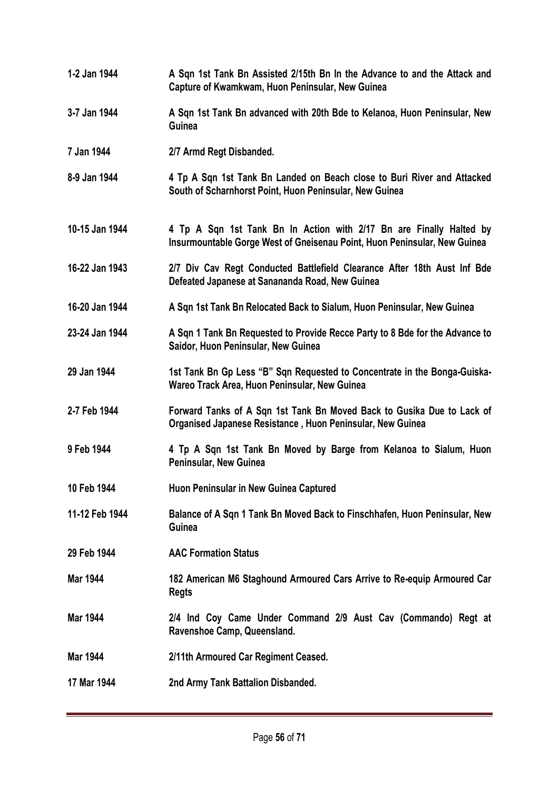- **1-2 Jan 1944 A Sqn 1st Tank Bn Assisted 2/15th Bn In the Advance to and the Attack and Capture of Kwamkwam, Huon Peninsular, New Guinea**
- **3-7 Jan 1944 A Sqn 1st Tank Bn advanced with 20th Bde to Kelanoa, Huon Peninsular, New Guinea**
- **7 Jan 1944 2/7 Armd Regt Disbanded.**
- **8-9 Jan 1944 4 Tp A Sqn 1st Tank Bn Landed on Beach close to Buri River and Attacked South of Scharnhorst Point, Huon Peninsular, New Guinea**
- **10-15 Jan 1944 4 Tp A Sqn 1st Tank Bn In Action with 2/17 Bn are Finally Halted by Insurmountable Gorge West of Gneisenau Point, Huon Peninsular, New Guinea**
- **16-22 Jan 1943 2/7 Div Cav Regt Conducted Battlefield Clearance After 18th Aust Inf Bde Defeated Japanese at Sanananda Road, New Guinea**
- **16-20 Jan 1944 A Sqn 1st Tank Bn Relocated Back to Sialum, Huon Peninsular, New Guinea**
- **23-24 Jan 1944 A Sqn 1 Tank Bn Requested to Provide Recce Party to 8 Bde for the Advance to Saidor, Huon Peninsular, New Guinea**
- 29 Jan 1944 1st Tank Bn Gp Less "B" Sqn Requested to Concentrate in the Bonga-Guiska-**Wareo Track Area, Huon Peninsular, New Guinea**
- **2-7 Feb 1944 Forward Tanks of A Sqn 1st Tank Bn Moved Back to Gusika Due to Lack of Organised Japanese Resistance , Huon Peninsular, New Guinea**
- **9 Feb 1944 4 Tp A Sqn 1st Tank Bn Moved by Barge from Kelanoa to Sialum, Huon Peninsular, New Guinea**
- **10 Feb 1944 Huon Peninsular in New Guinea Captured**
- **11-12 Feb 1944 Balance of A Sqn 1 Tank Bn Moved Back to Finschhafen, Huon Peninsular, New Guinea**
- **29 Feb 1944 AAC Formation Status**
- **Mar 1944 182 American M6 Staghound Armoured Cars Arrive to Re-equip Armoured Car Regts**
- **Mar 1944 2/4 Ind Coy Came Under Command 2/9 Aust Cav (Commando) Regt at Ravenshoe Camp, Queensland.**
- **Mar 1944 2/11th Armoured Car Regiment Ceased.**
- **17 Mar 1944 2nd Army Tank Battalion Disbanded.**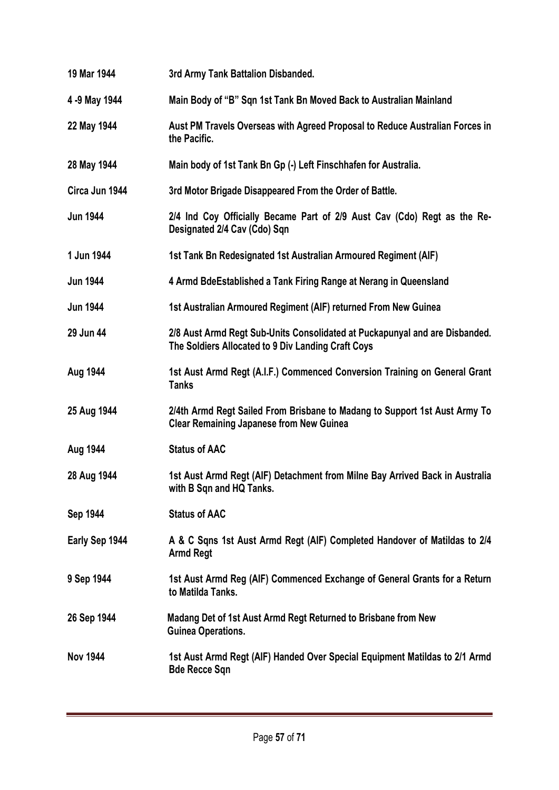| 19 Mar 1944     | 3rd Army Tank Battalion Disbanded.                                                                                                |
|-----------------|-----------------------------------------------------------------------------------------------------------------------------------|
| 4 -9 May 1944   | Main Body of "B" Sqn 1st Tank Bn Moved Back to Australian Mainland                                                                |
| 22 May 1944     | Aust PM Travels Overseas with Agreed Proposal to Reduce Australian Forces in<br>the Pacific.                                      |
| 28 May 1944     | Main body of 1st Tank Bn Gp (-) Left Finschhafen for Australia.                                                                   |
| Circa Jun 1944  | 3rd Motor Brigade Disappeared From the Order of Battle.                                                                           |
| <b>Jun 1944</b> | 2/4 Ind Coy Officially Became Part of 2/9 Aust Cav (Cdo) Regt as the Re-<br>Designated 2/4 Cav (Cdo) Sqn                          |
| 1 Jun 1944      | 1st Tank Bn Redesignated 1st Australian Armoured Regiment (AIF)                                                                   |
| <b>Jun 1944</b> | 4 Armd BdeEstablished a Tank Firing Range at Nerang in Queensland                                                                 |
| <b>Jun 1944</b> | 1st Australian Armoured Regiment (AIF) returned From New Guinea                                                                   |
| 29 Jun 44       | 2/8 Aust Armd Regt Sub-Units Consolidated at Puckapunyal and are Disbanded.<br>The Soldiers Allocated to 9 Div Landing Craft Coys |
| Aug 1944        | 1st Aust Armd Regt (A.I.F.) Commenced Conversion Training on General Grant<br><b>Tanks</b>                                        |
| 25 Aug 1944     | 2/4th Armd Regt Sailed From Brisbane to Madang to Support 1st Aust Army To<br><b>Clear Remaining Japanese from New Guinea</b>     |
| Aug 1944        | <b>Status of AAC</b>                                                                                                              |
| 28 Aug 1944     | 1st Aust Armd Regt (AIF) Detachment from Milne Bay Arrived Back in Australia<br>with B Sqn and HQ Tanks.                          |
| Sep 1944        | <b>Status of AAC</b>                                                                                                              |
| Early Sep 1944  | A & C Sqns 1st Aust Armd Regt (AIF) Completed Handover of Matildas to 2/4<br><b>Armd Regt</b>                                     |
| 9 Sep 1944      | 1st Aust Armd Reg (AIF) Commenced Exchange of General Grants for a Return<br>to Matilda Tanks.                                    |
| 26 Sep 1944     | Madang Det of 1st Aust Armd Regt Returned to Brisbane from New<br><b>Guinea Operations.</b>                                       |
| <b>Nov 1944</b> | 1st Aust Armd Regt (AIF) Handed Over Special Equipment Matildas to 2/1 Armd<br><b>Bde Recce Sqn</b>                               |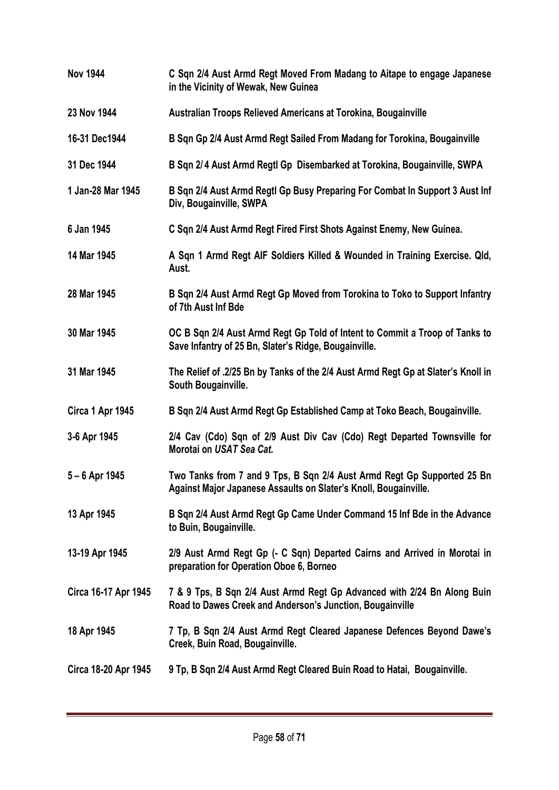| <b>Nov 1944</b>      | C Sqn 2/4 Aust Armd Regt Moved From Madang to Aitape to engage Japanese<br>in the Vicinity of Wewak, New Guinea                             |
|----------------------|---------------------------------------------------------------------------------------------------------------------------------------------|
| 23 Nov 1944          | Australian Troops Relieved Americans at Torokina, Bougainville                                                                              |
| 16-31 Dec1944        | B Sqn Gp 2/4 Aust Armd Regt Sailed From Madang for Torokina, Bougainville                                                                   |
| 31 Dec 1944          | B Sqn 2/4 Aust Armd Regtl Gp Disembarked at Torokina, Bougainville, SWPA                                                                    |
| 1 Jan-28 Mar 1945    | B Sqn 2/4 Aust Armd Regtl Gp Busy Preparing For Combat In Support 3 Aust Inf<br>Div, Bougainville, SWPA                                     |
| 6 Jan 1945           | C Sqn 2/4 Aust Armd Regt Fired First Shots Against Enemy, New Guinea.                                                                       |
| 14 Mar 1945          | A Sqn 1 Armd Regt AIF Soldiers Killed & Wounded in Training Exercise. Qld,<br>Aust.                                                         |
| 28 Mar 1945          | B Sqn 2/4 Aust Armd Regt Gp Moved from Torokina to Toko to Support Infantry<br>of 7th Aust Inf Bde                                          |
| 30 Mar 1945          | OC B Sqn 2/4 Aust Armd Regt Gp Told of Intent to Commit a Troop of Tanks to<br>Save Infantry of 25 Bn, Slater's Ridge, Bougainville.        |
| 31 Mar 1945          | The Relief of .2/25 Bn by Tanks of the 2/4 Aust Armd Regt Gp at Slater's Knoll in<br>South Bougainville.                                    |
| Circa 1 Apr 1945     | B Sqn 2/4 Aust Armd Regt Gp Established Camp at Toko Beach, Bougainville.                                                                   |
| 3-6 Apr 1945         | 2/4 Cav (Cdo) Sqn of 2/9 Aust Div Cav (Cdo) Regt Departed Townsville for<br>Morotai on USAT Sea Cat.                                        |
| $5 - 6$ Apr 1945     | Two Tanks from 7 and 9 Tps, B Sqn 2/4 Aust Armd Regt Gp Supported 25 Bn<br>Against Major Japanese Assaults on Slater's Knoll, Bougainville. |
| 13 Apr 1945          | B Sqn 2/4 Aust Armd Regt Gp Came Under Command 15 Inf Bde in the Advance<br>to Buin, Bougainville.                                          |
| 13-19 Apr 1945       | 2/9 Aust Armd Regt Gp (- C Sqn) Departed Cairns and Arrived in Morotai in<br>preparation for Operation Oboe 6, Borneo                       |
| Circa 16-17 Apr 1945 | 7 & 9 Tps, B Sqn 2/4 Aust Armd Regt Gp Advanced with 2/24 Bn Along Buin<br>Road to Dawes Creek and Anderson's Junction, Bougainville        |
| 18 Apr 1945          | 7 Tp, B Sqn 2/4 Aust Armd Regt Cleared Japanese Defences Beyond Dawe's<br>Creek, Buin Road, Bougainville.                                   |
| Circa 18-20 Apr 1945 | 9 Tp, B Sqn 2/4 Aust Armd Regt Cleared Buin Road to Hatai, Bougainville.                                                                    |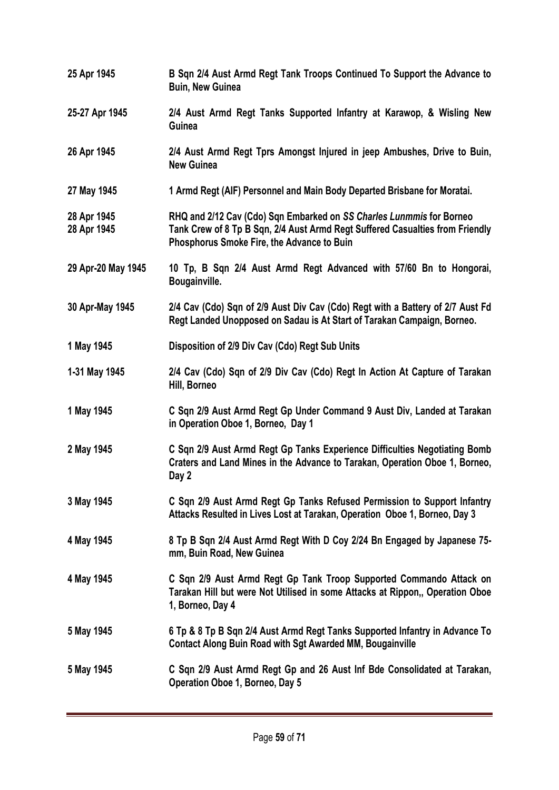| 25 Apr 1945                | B Sqn 2/4 Aust Armd Regt Tank Troops Continued To Support the Advance to<br><b>Buin, New Guinea</b>                                                                                                 |
|----------------------------|-----------------------------------------------------------------------------------------------------------------------------------------------------------------------------------------------------|
| 25-27 Apr 1945             | 2/4 Aust Armd Regt Tanks Supported Infantry at Karawop, & Wisling New<br>Guinea                                                                                                                     |
| 26 Apr 1945                | 2/4 Aust Armd Regt Tprs Amongst Injured in jeep Ambushes, Drive to Buin,<br><b>New Guinea</b>                                                                                                       |
| 27 May 1945                | 1 Armd Regt (AIF) Personnel and Main Body Departed Brisbane for Moratai.                                                                                                                            |
| 28 Apr 1945<br>28 Apr 1945 | RHQ and 2/12 Cav (Cdo) Sqn Embarked on SS Charles Lunmmis for Borneo<br>Tank Crew of 8 Tp B Sqn, 2/4 Aust Armd Regt Suffered Casualties from Friendly<br>Phosphorus Smoke Fire, the Advance to Buin |
| 29 Apr-20 May 1945         | 10 Tp, B Sqn 2/4 Aust Armd Regt Advanced with 57/60 Bn to Hongorai,<br>Bougainville.                                                                                                                |
| 30 Apr-May 1945            | 2/4 Cav (Cdo) Sqn of 2/9 Aust Div Cav (Cdo) Regt with a Battery of 2/7 Aust Fd<br>Regt Landed Unopposed on Sadau is At Start of Tarakan Campaign, Borneo.                                           |
| 1 May 1945                 | Disposition of 2/9 Div Cav (Cdo) Regt Sub Units                                                                                                                                                     |
| 1-31 May 1945              | 2/4 Cav (Cdo) Sqn of 2/9 Div Cav (Cdo) Regt In Action At Capture of Tarakan<br>Hill, Borneo                                                                                                         |
| 1 May 1945                 | C Sqn 2/9 Aust Armd Regt Gp Under Command 9 Aust Div, Landed at Tarakan<br>in Operation Oboe 1, Borneo, Day 1                                                                                       |
| 2 May 1945                 | C Sqn 2/9 Aust Armd Regt Gp Tanks Experience Difficulties Negotiating Bomb<br>Craters and Land Mines in the Advance to Tarakan, Operation Oboe 1, Borneo,<br>Day 2                                  |
| 3 May 1945                 | C Sqn 2/9 Aust Armd Regt Gp Tanks Refused Permission to Support Infantry<br>Attacks Resulted in Lives Lost at Tarakan, Operation Oboe 1, Borneo, Day 3                                              |
| 4 May 1945                 | 8 Tp B Sqn 2/4 Aust Armd Regt With D Coy 2/24 Bn Engaged by Japanese 75-<br>mm, Buin Road, New Guinea                                                                                               |
| 4 May 1945                 | C Sqn 2/9 Aust Armd Regt Gp Tank Troop Supported Commando Attack on<br>Tarakan Hill but were Not Utilised in some Attacks at Rippon,, Operation Oboe<br>1, Borneo, Day 4                            |
| 5 May 1945                 | 6 Tp & 8 Tp B Sqn 2/4 Aust Armd Regt Tanks Supported Infantry in Advance To<br><b>Contact Along Buin Road with Sgt Awarded MM, Bougainville</b>                                                     |
| 5 May 1945                 | C Sqn 2/9 Aust Armd Regt Gp and 26 Aust Inf Bde Consolidated at Tarakan,<br>Operation Oboe 1, Borneo, Day 5                                                                                         |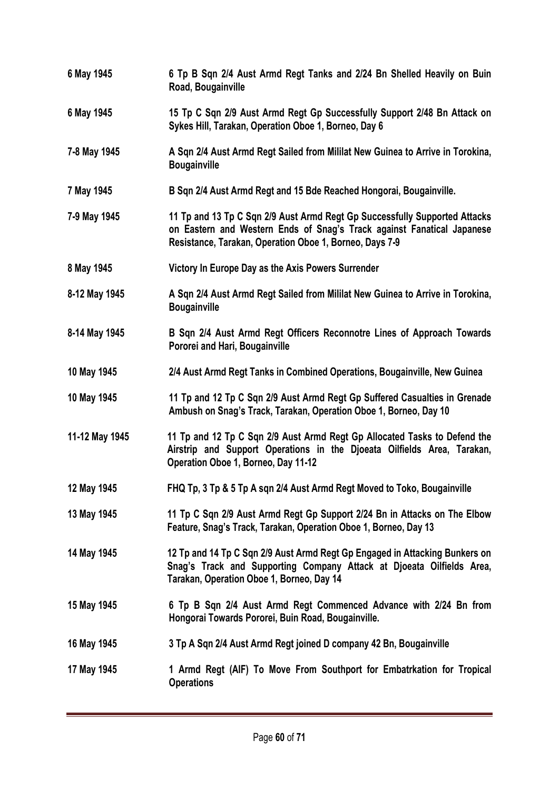| 6 May 1945     | 6 Tp B Sqn 2/4 Aust Armd Regt Tanks and 2/24 Bn Shelled Heavily on Buin<br>Road, Bougainville                                                                                                                   |
|----------------|-----------------------------------------------------------------------------------------------------------------------------------------------------------------------------------------------------------------|
| 6 May 1945     | 15 Tp C Sqn 2/9 Aust Armd Regt Gp Successfully Support 2/48 Bn Attack on<br>Sykes Hill, Tarakan, Operation Oboe 1, Borneo, Day 6                                                                                |
| 7-8 May 1945   | A Sqn 2/4 Aust Armd Regt Sailed from Mililat New Guinea to Arrive in Torokina,<br><b>Bougainville</b>                                                                                                           |
| 7 May 1945     | B Sqn 2/4 Aust Armd Regt and 15 Bde Reached Hongorai, Bougainville.                                                                                                                                             |
| 7-9 May 1945   | 11 Tp and 13 Tp C Sqn 2/9 Aust Armd Regt Gp Successfully Supported Attacks<br>on Eastern and Western Ends of Snag's Track against Fanatical Japanese<br>Resistance, Tarakan, Operation Oboe 1, Borneo, Days 7-9 |
| 8 May 1945     | Victory In Europe Day as the Axis Powers Surrender                                                                                                                                                              |
| 8-12 May 1945  | A Sqn 2/4 Aust Armd Regt Sailed from Mililat New Guinea to Arrive in Torokina,<br><b>Bougainville</b>                                                                                                           |
| 8-14 May 1945  | B Sqn 2/4 Aust Armd Regt Officers Reconnotre Lines of Approach Towards<br>Pororei and Hari, Bougainville                                                                                                        |
| 10 May 1945    | 2/4 Aust Armd Regt Tanks in Combined Operations, Bougainville, New Guinea                                                                                                                                       |
| 10 May 1945    | 11 Tp and 12 Tp C Sqn 2/9 Aust Armd Regt Gp Suffered Casualties in Grenade<br>Ambush on Snag's Track, Tarakan, Operation Oboe 1, Borneo, Day 10                                                                 |
| 11-12 May 1945 | 11 Tp and 12 Tp C Sqn 2/9 Aust Armd Regt Gp Allocated Tasks to Defend the<br>Airstrip and Support Operations in the Djoeata Oilfields Area, Tarakan,<br>Operation Oboe 1, Borneo, Day 11-12                     |
| 12 May 1945    | FHQ Tp, 3 Tp & 5 Tp A sqn 2/4 Aust Armd Regt Moved to Toko, Bougainville                                                                                                                                        |
| 13 May 1945    | 11 Tp C Sqn 2/9 Aust Armd Regt Gp Support 2/24 Bn in Attacks on The Elbow<br>Feature, Snag's Track, Tarakan, Operation Oboe 1, Borneo, Day 13                                                                   |
| 14 May 1945    | 12 Tp and 14 Tp C Sqn 2/9 Aust Armd Regt Gp Engaged in Attacking Bunkers on<br>Snag's Track and Supporting Company Attack at Djoeata Oilfields Area,<br>Tarakan, Operation Oboe 1, Borneo, Day 14               |
| 15 May 1945    | 6 Tp B Sqn 2/4 Aust Armd Regt Commenced Advance with 2/24 Bn from<br>Hongorai Towards Pororei, Buin Road, Bougainville.                                                                                         |
| 16 May 1945    | 3 Tp A Sqn 2/4 Aust Armd Regt joined D company 42 Bn, Bougainville                                                                                                                                              |
| 17 May 1945    | 1 Armd Regt (AIF) To Move From Southport for Embatrkation for Tropical<br><b>Operations</b>                                                                                                                     |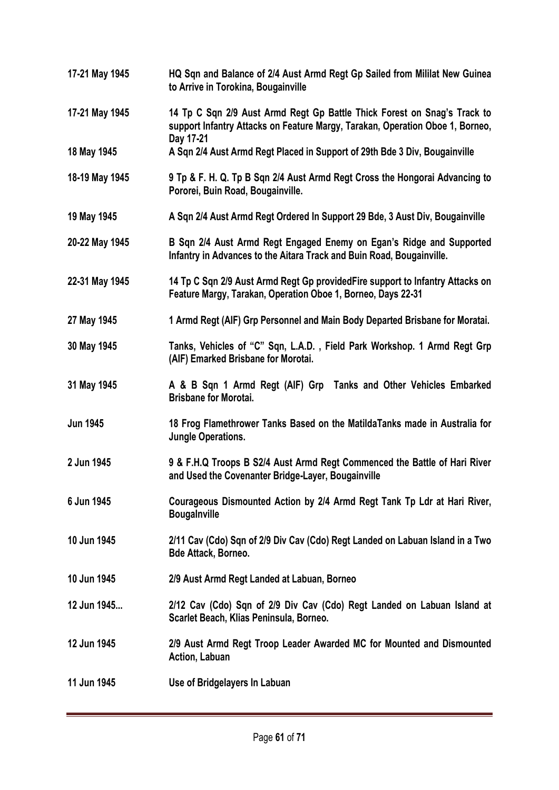| 17-21 May 1945  | HQ Sqn and Balance of 2/4 Aust Armd Regt Gp Sailed from Mililat New Guinea<br>to Arrive in Torokina, Bougainville                                         |
|-----------------|-----------------------------------------------------------------------------------------------------------------------------------------------------------|
| 17-21 May 1945  | 14 Tp C Sqn 2/9 Aust Armd Regt Gp Battle Thick Forest on Snag's Track to<br>support Infantry Attacks on Feature Margy, Tarakan, Operation Oboe 1, Borneo, |
| 18 May 1945     | Day 17-21<br>A Sqn 2/4 Aust Armd Regt Placed in Support of 29th Bde 3 Div, Bougainville                                                                   |
| 18-19 May 1945  | 9 Tp & F. H. Q. Tp B Sqn 2/4 Aust Armd Regt Cross the Hongorai Advancing to<br>Pororei, Buin Road, Bougainville.                                          |
| 19 May 1945     | A Sqn 2/4 Aust Armd Regt Ordered In Support 29 Bde, 3 Aust Div, Bougainville                                                                              |
| 20-22 May 1945  | B Sqn 2/4 Aust Armd Regt Engaged Enemy on Egan's Ridge and Supported<br>Infantry in Advances to the Aitara Track and Buin Road, Bougainville.             |
| 22-31 May 1945  | 14 Tp C Sqn 2/9 Aust Armd Regt Gp providedFire support to Infantry Attacks on<br>Feature Margy, Tarakan, Operation Oboe 1, Borneo, Days 22-31             |
| 27 May 1945     | 1 Armd Regt (AIF) Grp Personnel and Main Body Departed Brisbane for Moratai.                                                                              |
| 30 May 1945     | Tanks, Vehicles of "C" Sqn, L.A.D., Field Park Workshop. 1 Armd Regt Grp<br>(AIF) Emarked Brisbane for Morotai.                                           |
| 31 May 1945     | A & B Sqn 1 Armd Regt (AIF) Grp Tanks and Other Vehicles Embarked<br><b>Brisbane for Morotai.</b>                                                         |
| <b>Jun 1945</b> | 18 Frog Flamethrower Tanks Based on the MatildaTanks made in Australia for<br>Jungle Operations.                                                          |
| 2 Jun 1945      | 9 & F.H.Q Troops B S2/4 Aust Armd Regt Commenced the Battle of Hari River<br>and Used the Covenanter Bridge-Layer, Bougainville                           |
| 6 Jun 1945      | Courageous Dismounted Action by 2/4 Armd Regt Tank Tp Ldr at Hari River,<br><b>Bougalnville</b>                                                           |
| 10 Jun 1945     | 2/11 Cav (Cdo) Sqn of 2/9 Div Cav (Cdo) Regt Landed on Labuan Island in a Two<br>Bde Attack, Borneo.                                                      |
| 10 Jun 1945     | 2/9 Aust Armd Regt Landed at Labuan, Borneo                                                                                                               |
| 12 Jun 1945     | 2/12 Cav (Cdo) Sqn of 2/9 Div Cav (Cdo) Regt Landed on Labuan Island at<br>Scarlet Beach, Klias Peninsula, Borneo.                                        |
| 12 Jun 1945     | 2/9 Aust Armd Regt Troop Leader Awarded MC for Mounted and Dismounted<br>Action, Labuan                                                                   |
| 11 Jun 1945     | Use of Bridgelayers In Labuan                                                                                                                             |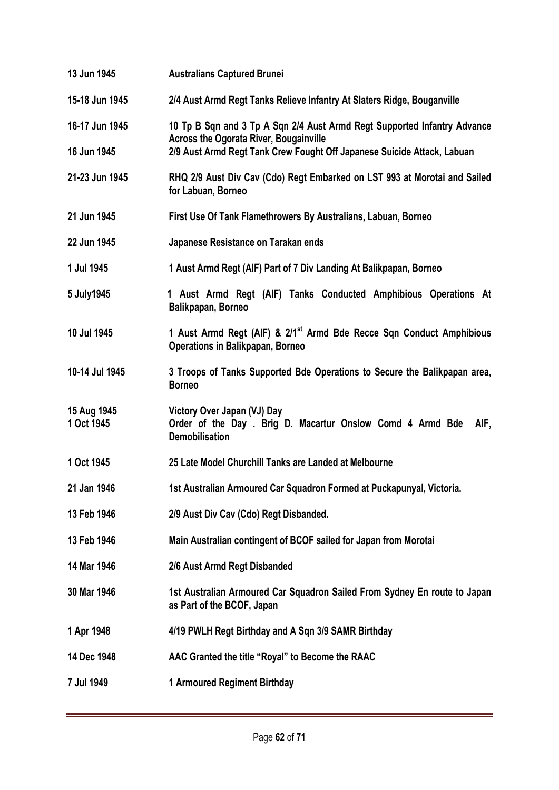| 13 Jun 1945               | <b>Australians Captured Brunei</b>                                                                                          |
|---------------------------|-----------------------------------------------------------------------------------------------------------------------------|
| 15-18 Jun 1945            | 2/4 Aust Armd Regt Tanks Relieve Infantry At Slaters Ridge, Bouganville                                                     |
| 16-17 Jun 1945            | 10 Tp B Sqn and 3 Tp A Sqn 2/4 Aust Armd Regt Supported Infantry Advance<br><b>Across the Ogorata River, Bougainville</b>   |
| 16 Jun 1945               | 2/9 Aust Armd Regt Tank Crew Fought Off Japanese Suicide Attack, Labuan                                                     |
| 21-23 Jun 1945            | RHQ 2/9 Aust Div Cav (Cdo) Regt Embarked on LST 993 at Morotai and Sailed<br>for Labuan, Borneo                             |
| 21 Jun 1945               | First Use Of Tank Flamethrowers By Australians, Labuan, Borneo                                                              |
| 22 Jun 1945               | Japanese Resistance on Tarakan ends                                                                                         |
| 1 Jul 1945                | 1 Aust Armd Regt (AIF) Part of 7 Div Landing At Balikpapan, Borneo                                                          |
| 5 July1945                | 1 Aust Armd Regt (AIF) Tanks Conducted Amphibious Operations At<br>Balikpapan, Borneo                                       |
| 10 Jul 1945               | 1 Aust Armd Regt (AIF) & 2/1 <sup>st</sup> Armd Bde Recce Sqn Conduct Amphibious<br><b>Operations in Balikpapan, Borneo</b> |
| 10-14 Jul 1945            | 3 Troops of Tanks Supported Bde Operations to Secure the Balikpapan area,<br><b>Borneo</b>                                  |
| 15 Aug 1945<br>1 Oct 1945 | Victory Over Japan (VJ) Day<br>Order of the Day . Brig D. Macartur Onslow Comd 4 Armd Bde<br>AIF,<br><b>Demobilisation</b>  |
| 1 Oct 1945                | 25 Late Model Churchill Tanks are Landed at Melbourne                                                                       |
| 21 Jan 1946               | 1st Australian Armoured Car Squadron Formed at Puckapunyal, Victoria.                                                       |
| 13 Feb 1946               | 2/9 Aust Div Cav (Cdo) Regt Disbanded.                                                                                      |
| 13 Feb 1946               | Main Australian contingent of BCOF sailed for Japan from Morotai                                                            |
| 14 Mar 1946               | 2/6 Aust Armd Regt Disbanded                                                                                                |
| 30 Mar 1946               | 1st Australian Armoured Car Squadron Sailed From Sydney En route to Japan<br>as Part of the BCOF, Japan                     |
| 1 Apr 1948                | 4/19 PWLH Regt Birthday and A Sqn 3/9 SAMR Birthday                                                                         |
| 14 Dec 1948               | AAC Granted the title "Royal" to Become the RAAC                                                                            |
| 7 Jul 1949                | 1 Armoured Regiment Birthday                                                                                                |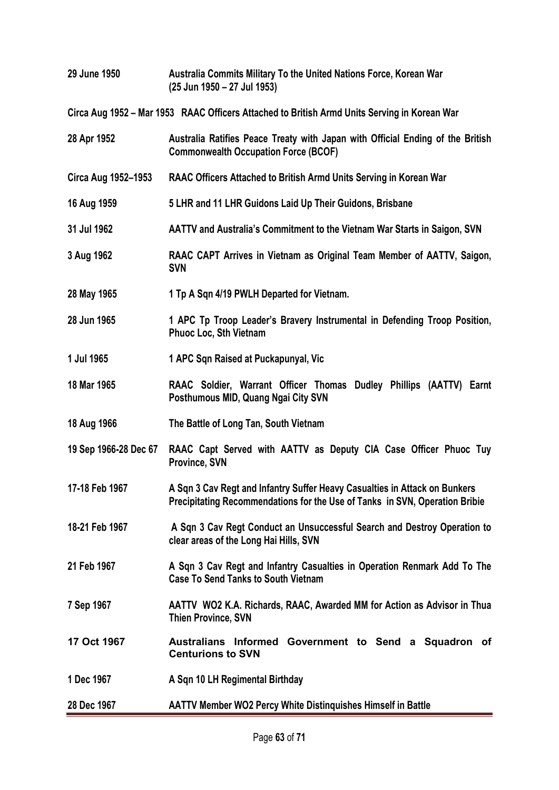| 29 June 1950          | Australia Commits Military To the United Nations Force, Korean War<br>(25 Jun 1950 - 27 Jul 1953)                                                         |
|-----------------------|-----------------------------------------------------------------------------------------------------------------------------------------------------------|
|                       | Circa Aug 1952 – Mar 1953 RAAC Officers Attached to British Armd Units Serving in Korean War                                                              |
| 28 Apr 1952           | Australia Ratifies Peace Treaty with Japan with Official Ending of the British<br><b>Commonwealth Occupation Force (BCOF)</b>                             |
| Circa Aug 1952-1953   | RAAC Officers Attached to British Armd Units Serving in Korean War                                                                                        |
| 16 Aug 1959           | 5 LHR and 11 LHR Guidons Laid Up Their Guidons, Brisbane                                                                                                  |
| 31 Jul 1962           | AATTV and Australia's Commitment to the Vietnam War Starts in Saigon, SVN                                                                                 |
| 3 Aug 1962            | RAAC CAPT Arrives in Vietnam as Original Team Member of AATTV, Saigon,<br><b>SVN</b>                                                                      |
| 28 May 1965           | 1 Tp A Sqn 4/19 PWLH Departed for Vietnam.                                                                                                                |
| 28 Jun 1965           | 1 APC Tp Troop Leader's Bravery Instrumental in Defending Troop Position,<br><b>Phuoc Loc, Sth Vietnam</b>                                                |
| 1 Jul 1965            | 1 APC Sqn Raised at Puckapunyal, Vic                                                                                                                      |
| 18 Mar 1965           | RAAC Soldier, Warrant Officer Thomas Dudley Phillips (AATTV) Earnt<br>Posthumous MID, Quang Ngai City SVN                                                 |
| 18 Aug 1966           | The Battle of Long Tan, South Vietnam                                                                                                                     |
| 19 Sep 1966-28 Dec 67 | RAAC Capt Served with AATTV as Deputy CIA Case Officer Phuoc Tuy<br>Province, SVN                                                                         |
| 17-18 Feb 1967        | A Sqn 3 Cav Regt and Infantry Suffer Heavy Casualties in Attack on Bunkers<br>Precipitating Recommendations for the Use of Tanks in SVN, Operation Bribie |
| 18-21 Feb 1967        | A Sqn 3 Cav Regt Conduct an Unsuccessful Search and Destroy Operation to<br>clear areas of the Long Hai Hills, SVN                                        |
| 21 Feb 1967           | A Sqn 3 Cav Regt and Infantry Casualties in Operation Renmark Add To The<br><b>Case To Send Tanks to South Vietnam</b>                                    |
| 7 Sep 1967            | AATTV WO2 K.A. Richards, RAAC, Awarded MM for Action as Advisor in Thua<br><b>Thien Province, SVN</b>                                                     |
| 17 Oct 1967           | Australians Informed Government to Send a Squadron of<br><b>Centurions to SVN</b>                                                                         |
| 1 Dec 1967            | A Sqn 10 LH Regimental Birthday                                                                                                                           |
| 28 Dec 1967           | <b>AATTV Member WO2 Percy White Distinguishes Himself in Battle</b>                                                                                       |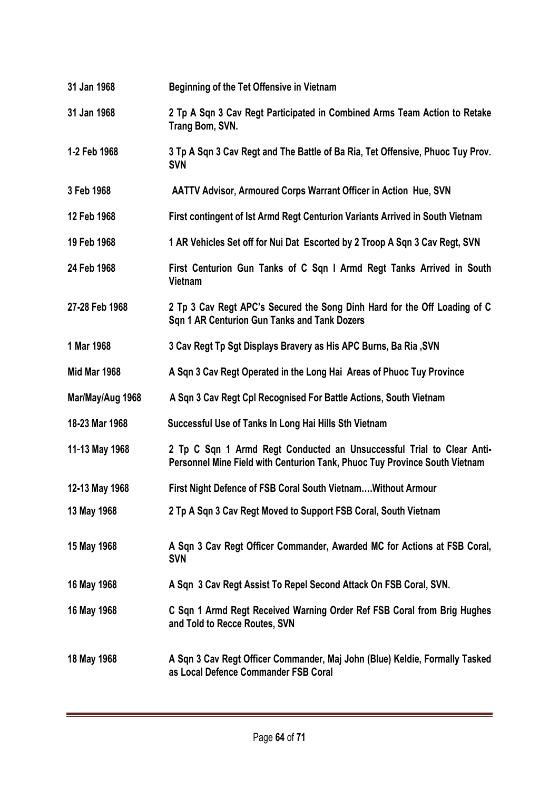| 31 Jan 1968         | Beginning of the Tet Offensive in Vietnam                                                                                                           |
|---------------------|-----------------------------------------------------------------------------------------------------------------------------------------------------|
| 31 Jan 1968         | 2 Tp A Sqn 3 Cav Regt Participated in Combined Arms Team Action to Retake<br>Trang Bom, SVN.                                                        |
| 1-2 Feb 1968        | 3 Tp A Sqn 3 Cav Regt and The Battle of Ba Ria, Tet Offensive, Phuoc Tuy Prov.<br><b>SVN</b>                                                        |
| 3 Feb 1968          | <b>AATTV Advisor, Armoured Corps Warrant Officer in Action Hue, SVN</b>                                                                             |
| 12 Feb 1968         | First contingent of 1st Armd Regt Centurion Variants Arrived in South Vietnam                                                                       |
| 19 Feb 1968         | 1 AR Vehicles Set off for Nui Dat Escorted by 2 Troop A Sqn 3 Cav Regt, SVN                                                                         |
| 24 Feb 1968         | First Centurion Gun Tanks of C Sqn I Armd Regt Tanks Arrived in South<br>Vietnam                                                                    |
| 27-28 Feb 1968      | 2 Tp 3 Cav Regt APC's Secured the Song Dinh Hard for the Off Loading of C<br>Sqn 1 AR Centurion Gun Tanks and Tank Dozers                           |
| 1 Mar 1968          | 3 Cav Regt Tp Sgt Displays Bravery as His APC Burns, Ba Ria, SVN                                                                                    |
| <b>Mid Mar 1968</b> | A Sqn 3 Cav Regt Operated in the Long Hai Areas of Phuoc Tuy Province                                                                               |
| Mar/May/Aug 1968    | A Sqn 3 Cav Regt Cpl Recognised For Battle Actions, South Vietnam                                                                                   |
| 18-23 Mar 1968      | Successful Use of Tanks In Long Hai Hills Sth Vietnam                                                                                               |
| 11-13 May 1968      | 2 Tp C Sqn 1 Armd Regt Conducted an Unsuccessful Trial to Clear Anti-<br>Personnel Mine Field with Centurion Tank, Phuoc Tuy Province South Vietnam |
| 12-13 May 1968      | First Night Defence of FSB Coral South Vietnam Without Armour                                                                                       |
| 13 May 1968         | 2 Tp A Sqn 3 Cav Regt Moved to Support FSB Coral, South Vietnam                                                                                     |
| 15 May 1968         | A Sqn 3 Cav Regt Officer Commander, Awarded MC for Actions at FSB Coral,<br><b>SVN</b>                                                              |
| 16 May 1968         | A Sqn 3 Cav Regt Assist To Repel Second Attack On FSB Coral, SVN.                                                                                   |
| 16 May 1968         | C Sqn 1 Armd Regt Received Warning Order Ref FSB Coral from Brig Hughes<br>and Told to Recce Routes, SVN                                            |
| 18 May 1968         | A Sqn 3 Cav Regt Officer Commander, Maj John (Blue) Keldie, Formally Tasked<br>as Local Defence Commander FSB Coral                                 |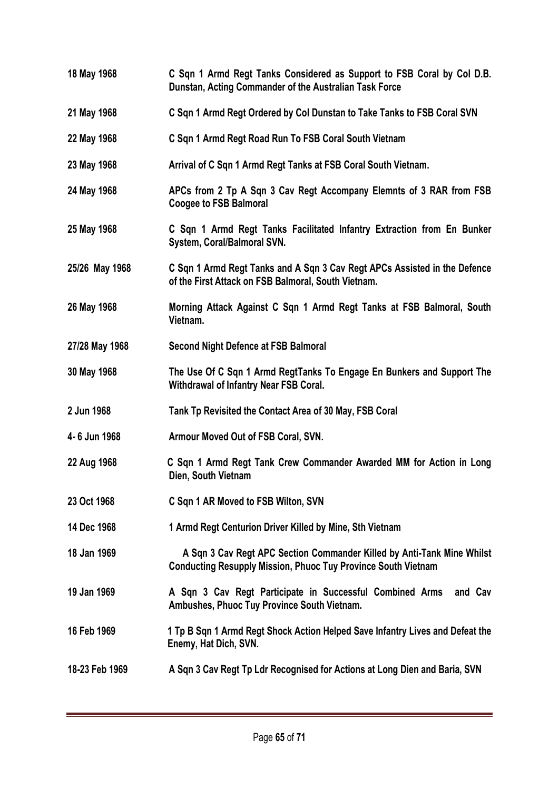**18 May 1968 C Sqn 1 Armd Regt Tanks Considered as Support to FSB Coral by Col D.B. Dunstan, Acting Commander of the Australian Task Force 21 May 1968 C Sqn 1 Armd Regt Ordered by Col Dunstan to Take Tanks to FSB Coral SVN 22 May 1968 C Sqn 1 Armd Regt Road Run To FSB Coral South Vietnam 23 May 1968 Arrival of C Sqn 1 Armd Regt Tanks at FSB Coral South Vietnam. 24 May 1968 APCs from 2 Tp A Sqn 3 Cav Regt Accompany Elemnts of 3 RAR from FSB Coogee to FSB Balmoral 25 May 1968 C Sqn 1 Armd Regt Tanks Facilitated Infantry Extraction from En Bunker System, Coral/Balmoral SVN. 25/26 May 1968 C Sqn 1 Armd Regt Tanks and A Sqn 3 Cav Regt APCs Assisted in the Defence of the First Attack on FSB Balmoral, South Vietnam. 26 May 1968 Morning Attack Against C Sqn 1 Armd Regt Tanks at FSB Balmoral, South Vietnam. 27/28 May 1968 Second Night Defence at FSB Balmoral 30 May 1968 The Use Of C Sqn 1 Armd RegtTanks To Engage En Bunkers and Support The Withdrawal of Infantry Near FSB Coral. 2 Jun 1968 Tank Tp Revisited the Contact Area of 30 May, FSB Coral 4- 6 Jun 1968 Armour Moved Out of FSB Coral, SVN. 22 Aug 1968 C Sqn 1 Armd Regt Tank Crew Commander Awarded MM for Action in Long Dien, South Vietnam 23 Oct 1968 C Sqn 1 AR Moved to FSB Wilton, SVN 14 Dec 1968 1 Armd Regt Centurion Driver Killed by Mine, Sth Vietnam 18 Jan 1969 A Sqn 3 Cav Regt APC Section Commander Killed by Anti-Tank Mine Whilst Conducting Resupply Mission, Phuoc Tuy Province South Vietnam 19 Jan 1969 A Sqn 3 Cav Regt Participate in Successful Combined Arms and Cav Ambushes, Phuoc Tuy Province South Vietnam. 16 Feb 1969 1 Tp B Sqn 1 Armd Regt Shock Action Helped Save Infantry Lives and Defeat the Enemy, Hat Dich, SVN. 18-23 Feb 1969 A Sqn 3 Cav Regt Tp Ldr Recognised for Actions at Long Dien and Baria, SVN**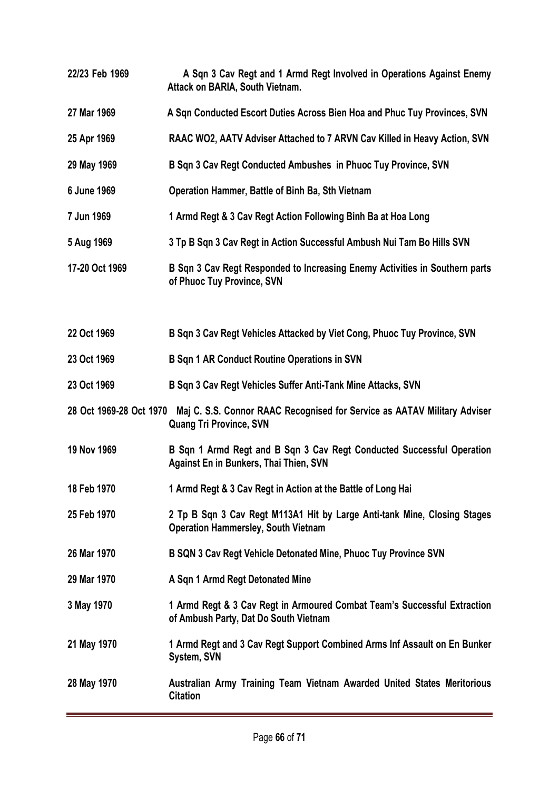| 22/23 Feb 1969 | A Sqn 3 Cav Regt and 1 Armd Regt Involved in Operations Against Enemy<br>Attack on BARIA, South Vietnam.                           |
|----------------|------------------------------------------------------------------------------------------------------------------------------------|
| 27 Mar 1969    | A Sqn Conducted Escort Duties Across Bien Hoa and Phuc Tuy Provinces, SVN                                                          |
| 25 Apr 1969    | RAAC WO2, AATV Adviser Attached to 7 ARVN Cav Killed in Heavy Action, SVN                                                          |
| 29 May 1969    | B Sqn 3 Cav Regt Conducted Ambushes in Phuoc Tuy Province, SVN                                                                     |
| 6 June 1969    | Operation Hammer, Battle of Binh Ba, Sth Vietnam                                                                                   |
| 7 Jun 1969     | 1 Armd Regt & 3 Cav Regt Action Following Binh Ba at Hoa Long                                                                      |
| 5 Aug 1969     | 3 Tp B Sqn 3 Cav Regt in Action Successful Ambush Nui Tam Bo Hills SVN                                                             |
| 17-20 Oct 1969 | B Sqn 3 Cav Regt Responded to Increasing Enemy Activities in Southern parts<br>of Phuoc Tuy Province, SVN                          |
| 22 Oct 1969    | B Sqn 3 Cav Regt Vehicles Attacked by Viet Cong, Phuoc Tuy Province, SVN                                                           |
| 23 Oct 1969    | <b>B Sqn 1 AR Conduct Routine Operations in SVN</b>                                                                                |
| 23 Oct 1969    | B Sqn 3 Cav Regt Vehicles Suffer Anti-Tank Mine Attacks, SVN                                                                       |
|                | 28 Oct 1969-28 Oct 1970 Maj C. S.S. Connor RAAC Recognised for Service as AATAV Military Adviser<br><b>Quang Tri Province, SVN</b> |
| 19 Nov 1969    | B Sqn 1 Armd Regt and B Sqn 3 Cav Regt Conducted Successful Operation<br>Against En in Bunkers, Thai Thien, SVN                    |
| 18 Feb 1970    | 1 Armd Regt & 3 Cav Regt in Action at the Battle of Long Hai                                                                       |
| 25 Feb 1970    | 2 Tp B Sqn 3 Cav Regt M113A1 Hit by Large Anti-tank Mine, Closing Stages<br><b>Operation Hammersley, South Vietnam</b>             |
| 26 Mar 1970    | B SQN 3 Cav Regt Vehicle Detonated Mine, Phuoc Tuy Province SVN                                                                    |
| 29 Mar 1970    | A Sqn 1 Armd Regt Detonated Mine                                                                                                   |
| 3 May 1970     | 1 Armd Regt & 3 Cav Regt in Armoured Combat Team's Successful Extraction<br>of Ambush Party, Dat Do South Vietnam                  |
| 21 May 1970    | 1 Armd Regt and 3 Cav Regt Support Combined Arms Inf Assault on En Bunker<br><b>System, SVN</b>                                    |
| 28 May 1970    | Australian Army Training Team Vietnam Awarded United States Meritorious<br><b>Citation</b>                                         |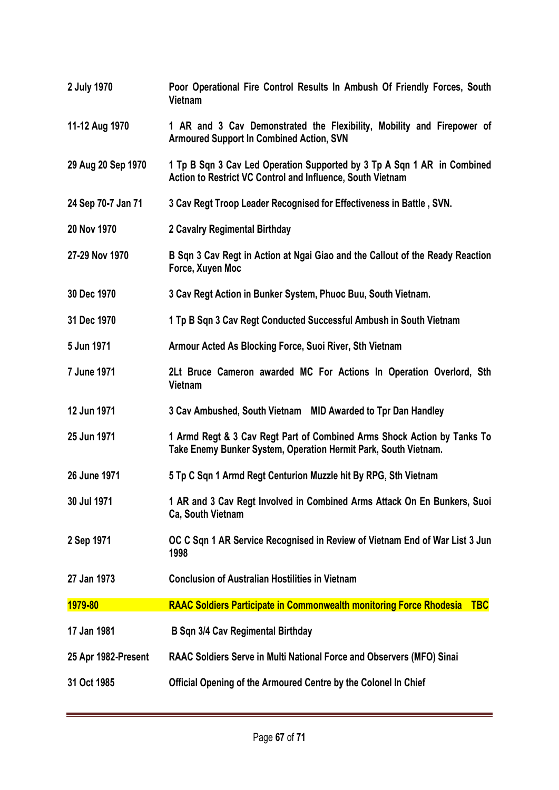| 2 July 1970         | Poor Operational Fire Control Results In Ambush Of Friendly Forces, South<br>Vietnam                                                       |
|---------------------|--------------------------------------------------------------------------------------------------------------------------------------------|
| 11-12 Aug 1970      | 1 AR and 3 Cav Demonstrated the Flexibility, Mobility and Firepower of<br><b>Armoured Support In Combined Action, SVN</b>                  |
| 29 Aug 20 Sep 1970  | 1 Tp B Sqn 3 Cav Led Operation Supported by 3 Tp A Sqn 1 AR in Combined<br>Action to Restrict VC Control and Influence, South Vietnam      |
| 24 Sep 70-7 Jan 71  | 3 Cav Regt Troop Leader Recognised for Effectiveness in Battle, SVN.                                                                       |
| 20 Nov 1970         | 2 Cavalry Regimental Birthday                                                                                                              |
| 27-29 Nov 1970      | B Sqn 3 Cav Regt in Action at Ngai Giao and the Callout of the Ready Reaction<br>Force, Xuyen Moc                                          |
| 30 Dec 1970         | 3 Cav Regt Action in Bunker System, Phuoc Buu, South Vietnam.                                                                              |
| 31 Dec 1970         | 1 Tp B Sqn 3 Cav Regt Conducted Successful Ambush in South Vietnam                                                                         |
| 5 Jun 1971          | Armour Acted As Blocking Force, Suoi River, Sth Vietnam                                                                                    |
| 7 June 1971         | 2Lt Bruce Cameron awarded MC For Actions In Operation Overlord, Sth<br>Vietnam                                                             |
| 12 Jun 1971         | 3 Cav Ambushed, South Vietnam MID Awarded to Tpr Dan Handley                                                                               |
| 25 Jun 1971         | 1 Armd Regt & 3 Cav Regt Part of Combined Arms Shock Action by Tanks To<br>Take Enemy Bunker System, Operation Hermit Park, South Vietnam. |
| 26 June 1971        | 5 Tp C Sqn 1 Armd Regt Centurion Muzzle hit By RPG, Sth Vietnam                                                                            |
| 30 Jul 1971         | 1 AR and 3 Cav Regt Involved in Combined Arms Attack On En Bunkers, Suoi<br>Ca, South Vietnam                                              |
| 2 Sep 1971          | OC C Sqn 1 AR Service Recognised in Review of Vietnam End of War List 3 Jun<br>1998                                                        |
| 27 Jan 1973         | <b>Conclusion of Australian Hostilities in Vietnam</b>                                                                                     |
| 1979-80             | <b>RAAC Soldiers Participate in Commonwealth monitoring Force Rhodesia</b><br><b>TBC</b>                                                   |
| 17 Jan 1981         | <b>B Sqn 3/4 Cav Regimental Birthday</b>                                                                                                   |
| 25 Apr 1982-Present | RAAC Soldiers Serve in Multi National Force and Observers (MFO) Sinai                                                                      |
| 31 Oct 1985         | Official Opening of the Armoured Centre by the Colonel In Chief                                                                            |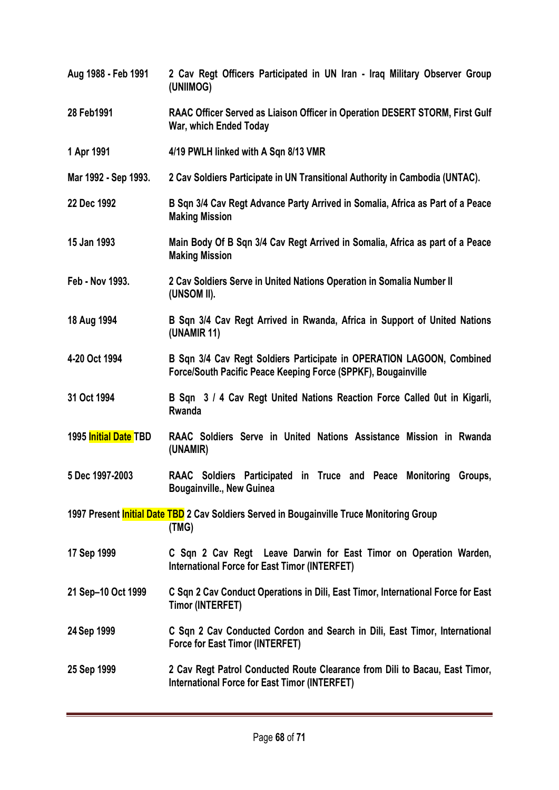| Aug 1988 - Feb 1991   | 2 Cav Regt Officers Participated in UN Iran - Iraq Military Observer Group<br>(UNIIMOG)                                                |
|-----------------------|----------------------------------------------------------------------------------------------------------------------------------------|
| 28 Feb1991            | RAAC Officer Served as Liaison Officer in Operation DESERT STORM, First Gulf<br>War, which Ended Today                                 |
| 1 Apr 1991            | 4/19 PWLH linked with A Sqn 8/13 VMR                                                                                                   |
| Mar 1992 - Sep 1993.  | 2 Cav Soldiers Participate in UN Transitional Authority in Cambodia (UNTAC).                                                           |
| 22 Dec 1992           | B Sqn 3/4 Cav Regt Advance Party Arrived in Somalia, Africa as Part of a Peace<br><b>Making Mission</b>                                |
| 15 Jan 1993           | Main Body Of B Sqn 3/4 Cav Regt Arrived in Somalia, Africa as part of a Peace<br><b>Making Mission</b>                                 |
| Feb - Nov 1993.       | 2 Cav Soldiers Serve in United Nations Operation in Somalia Number II<br>(UNSOM II).                                                   |
| 18 Aug 1994           | B Sqn 3/4 Cav Regt Arrived in Rwanda, Africa in Support of United Nations<br>(UNAMIR 11)                                               |
| 4-20 Oct 1994         | B Sqn 3/4 Cav Regt Soldiers Participate in OPERATION LAGOON, Combined<br>Force/South Pacific Peace Keeping Force (SPPKF), Bougainville |
| 31 Oct 1994           | B Sqn 3 / 4 Cav Regt United Nations Reaction Force Called Out in Kigarli,<br>Rwanda                                                    |
| 1995 Initial Date TBD | RAAC Soldiers Serve in United Nations Assistance Mission in Rwanda<br>(UNAMIR)                                                         |
| 5 Dec 1997-2003       | RAAC Soldiers Participated in Truce and Peace Monitoring Groups,<br><b>Bougainville., New Guinea</b>                                   |
|                       | 1997 Present <i>Initial Date TBD</i> 2 Cav Soldiers Served in Bougainville Truce Monitoring Group<br>(TMG)                             |
| 17 Sep 1999           | C Sqn 2 Cav Regt Leave Darwin for East Timor on Operation Warden,<br><b>International Force for East Timor (INTERFET)</b>              |
| 21 Sep-10 Oct 1999    | C Sqn 2 Cav Conduct Operations in Dili, East Timor, International Force for East<br>Timor (INTERFET)                                   |
| 24 Sep 1999           | C Sqn 2 Cav Conducted Cordon and Search in Dili, East Timor, International<br>Force for East Timor (INTERFET)                          |
| 25 Sep 1999           | 2 Cav Regt Patrol Conducted Route Clearance from Dili to Bacau, East Timor,<br><b>International Force for East Timor (INTERFET)</b>    |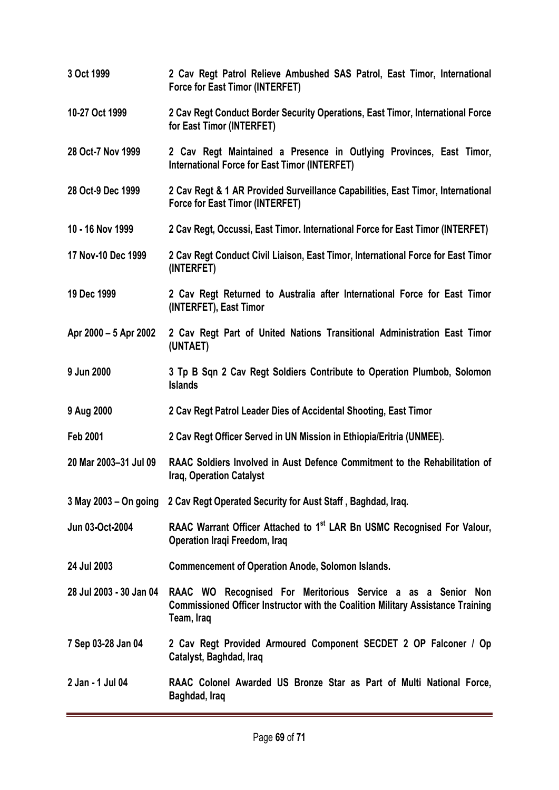**3 Oct 1999 2 Cav Regt Patrol Relieve Ambushed SAS Patrol, East Timor, International Force for East Timor (INTERFET) 10-27 Oct 1999 2 Cav Regt Conduct Border Security Operations, East Timor, International Force for East Timor (INTERFET) 28 Oct-7 Nov 1999 2 Cav Regt Maintained a Presence in Outlying Provinces, East Timor, International Force for East Timor (INTERFET) 28 Oct-9 Dec 1999 2 Cav Regt & 1 AR Provided Surveillance Capabilities, East Timor, International Force for East Timor (INTERFET) 10 - 16 Nov 1999 2 Cav Regt, Occussi, East Timor. International Force for East Timor (INTERFET) 17 Nov-10 Dec 1999 2 Cav Regt Conduct Civil Liaison, East Timor, International Force for East Timor (INTERFET) 19 Dec 1999 2 Cav Regt Returned to Australia after International Force for East Timor (INTERFET), East Timor Apr 2000 – 5 Apr 2002 2 Cav Regt Part of United Nations Transitional Administration East Timor (UNTAET) 9 Jun 2000 3 Tp B Sqn 2 Cav Regt Soldiers Contribute to Operation Plumbob, Solomon Islands 9 Aug 2000 2 Cav Regt Patrol Leader Dies of Accidental Shooting, East Timor Feb 2001 2 Cav Regt Officer Served in UN Mission in Ethiopia/Eritria (UNMEE). 20 Mar 2003–31 Jul 09 RAAC Soldiers Involved in Aust Defence Commitment to the Rehabilitation of Iraq, Operation Catalyst 3 May 2003 – On going 2 Cav Regt Operated Security for Aust Staff , Baghdad, Iraq. Jun 03-Oct-2004 RAAC Warrant Officer Attached to 1st LAR Bn USMC Recognised For Valour, Operation Iraqi Freedom, Iraq 24 Jul 2003 Commencement of Operation Anode, Solomon Islands. 28 Jul 2003 - 30 Jan 04 RAAC WO Recognised For Meritorious Service a as a Senior Non Commissioned Officer Instructor with the Coalition Military Assistance Training Team, Iraq 7 Sep 03-28 Jan 04 2 Cav Regt Provided Armoured Component SECDET 2 OP Falconer / Op Catalyst, Baghdad, Iraq 2 Jan - 1 Jul 04 RAAC Colonel Awarded US Bronze Star as Part of Multi National Force, Baghdad, Iraq**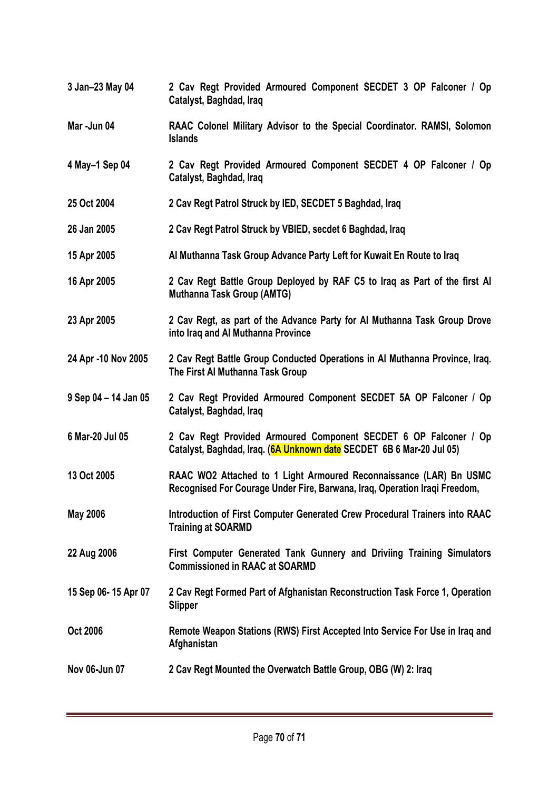- **3 Jan–23 May 04 2 Cav Regt Provided Armoured Component SECDET 3 OP Falconer / Op Catalyst, Baghdad, Iraq**
- **Mar -Jun 04 RAAC Colonel Military Advisor to the Special Coordinator. RAMSI, Solomon Islands**
- **4 May–1 Sep 04 2 Cav Regt Provided Armoured Component SECDET 4 OP Falconer / Op Catalyst, Baghdad, Iraq**
- **25 Oct 2004 2 Cav Regt Patrol Struck by IED, SECDET 5 Baghdad, Iraq**
- **26 Jan 2005 2 Cav Regt Patrol Struck by VBIED, secdet 6 Baghdad, Iraq**
- **15 Apr 2005 Al Muthanna Task Group Advance Party Left for Kuwait En Route to Iraq**
- **16 Apr 2005 2 Cav Regt Battle Group Deployed by RAF C5 to Iraq as Part of the first Al Muthanna Task Group (AMTG)**
- **23 Apr 2005 2 Cav Regt, as part of the Advance Party for Al Muthanna Task Group Drove into Iraq and Al Muthanna Province**
- **24 Apr -10 Nov 2005 2 Cav Regt Battle Group Conducted Operations in Al Muthanna Province, Iraq. The First Al Muthanna Task Group**
- **9 Sep 04 – 14 Jan 05 2 Cav Regt Provided Armoured Component SECDET 5A OP Falconer / Op Catalyst, Baghdad, Iraq**
- **6 Mar-20 Jul 05 2 Cav Regt Provided Armoured Component SECDET 6 OP Falconer / Op Catalyst, Baghdad, Iraq. (6A Unknown date SECDET 6B 6 Mar-20 Jul 05)**
- **13 Oct 2005 RAAC WO2 Attached to 1 Light Armoured Reconnaissance (LAR) Bn USMC Recognised For Courage Under Fire, Barwana, Iraq, Operation Iraqi Freedom,**
- **May 2006 Introduction of First Computer Generated Crew Procedural Trainers into RAAC Training at SOARMD**
- **22 Aug 2006 First Computer Generated Tank Gunnery and Driviing Training Simulators Commissioned in RAAC at SOARMD**
- **15 Sep 06- 15 Apr 07 2 Cav Regt Formed Part of Afghanistan Reconstruction Task Force 1, Operation Slipper**
- Oct 2006 Remote Weapon Stations (RWS) First Accepted Into Service For Use in Iraq and **Afghanistan**
- **Nov 06-Jun 07 2 Cav Regt Mounted the Overwatch Battle Group, OBG (W) 2: Iraq**